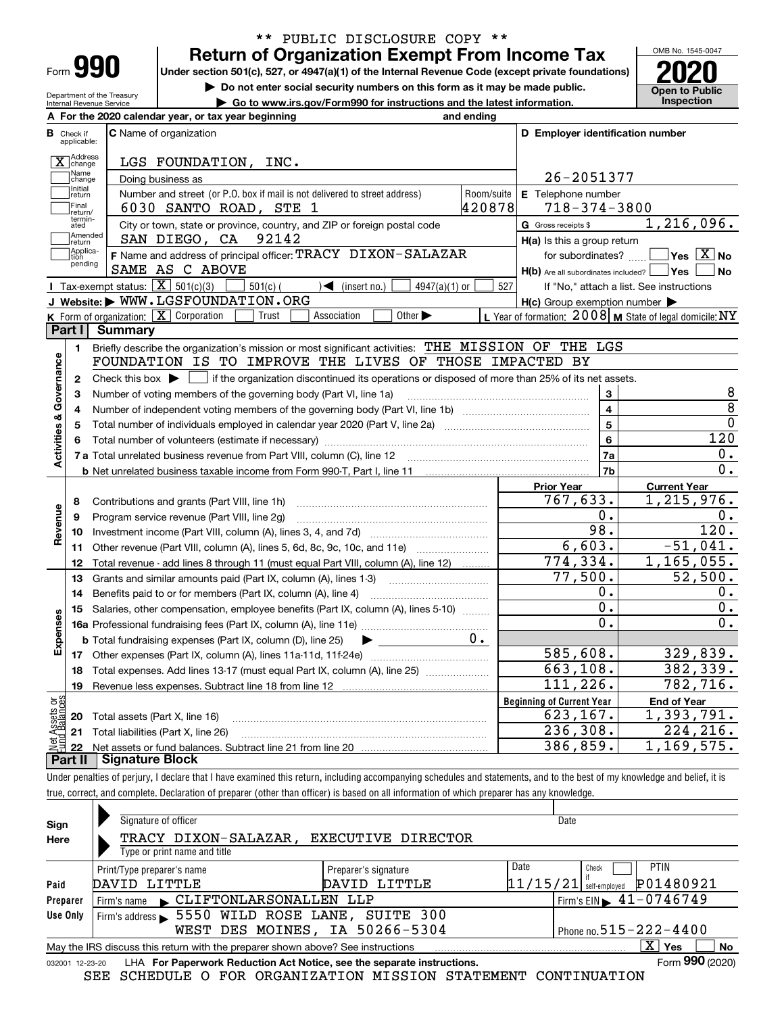| Form |  |
|------|--|

Department of the Treasury Internal Revenue Service

# **Return of Organization Exempt From Income Tax** \*\* PUBLIC DISCLOSURE COPY \*\*

**Under section 501(c), 527, or 4947(a)(1) of the Internal Revenue Code (except private foundations) 2020**

**| Do not enter social security numbers on this form as it may be made public.**

**| Go to www.irs.gov/Form990 for instructions and the latest information. Inspection**



|                         |                                  | A For the 2020 calendar year, or tax year beginning                                                                                                                                                                                 | and ending |                                                                                |                                                           |
|-------------------------|----------------------------------|-------------------------------------------------------------------------------------------------------------------------------------------------------------------------------------------------------------------------------------|------------|--------------------------------------------------------------------------------|-----------------------------------------------------------|
| в                       | Check if<br>applicable:          | <b>C</b> Name of organization                                                                                                                                                                                                       |            | D Employer identification number                                               |                                                           |
|                         | Address<br>$\overline{X}$ change | LGS FOUNDATION, INC.                                                                                                                                                                                                                |            |                                                                                |                                                           |
|                         | Name<br>change                   | Doing business as                                                                                                                                                                                                                   |            | 26-2051377                                                                     |                                                           |
|                         | Initial<br>return                | Number and street (or P.O. box if mail is not delivered to street address)                                                                                                                                                          | Room/suite | E Telephone number                                                             |                                                           |
|                         | Final                            | 6030 SANTO ROAD, STE 1                                                                                                                                                                                                              | 420878     | $718 - 374 - 3800$                                                             |                                                           |
|                         | return/<br>termin-<br>ated       | City or town, state or province, country, and ZIP or foreign postal code                                                                                                                                                            |            | G Gross receipts \$                                                            | 1,216,096.                                                |
|                         | Amended<br>Ireturn               | 92142<br>SAN DIEGO, CA                                                                                                                                                                                                              |            | $H(a)$ is this a group return                                                  |                                                           |
|                         | Applica-<br>tion<br>pending      | F Name and address of principal officer: TRACY DIXON-SALAZAR<br>SAME AS C ABOVE                                                                                                                                                     |            | for subordinates?<br>$H(b)$ Are all subordinates included? $\vert$ Yes $\vert$ | $\boxed{\phantom{1}}$ Yes $\boxed{\text{X}}$ No<br>∣No    |
|                         |                                  | Tax-exempt status: $\boxed{\mathbf{X}}$ 501(c)(3)<br>$\sqrt{\frac{1}{1}}$ (insert no.)<br>501(c) (<br>$4947(a)(1)$ or                                                                                                               | 527        |                                                                                | If "No," attach a list. See instructions                  |
|                         |                                  | J Website: WWW.LGSFOUNDATION.ORG                                                                                                                                                                                                    |            | $H(c)$ Group exemption number $\blacktriangleright$                            |                                                           |
|                         |                                  | K Form of organization: X Corporation<br>Trust<br>Association<br>Other $\blacktriangleright$                                                                                                                                        |            |                                                                                | L Year of formation: $2008$ M State of legal domicile: NY |
|                         | Part I                           | Summary                                                                                                                                                                                                                             |            |                                                                                |                                                           |
|                         | 1.                               | Briefly describe the organization's mission or most significant activities: THE MISSION OF THE LGS                                                                                                                                  |            |                                                                                |                                                           |
| Activities & Governance |                                  | FOUNDATION IS TO IMPROVE THE LIVES OF THOSE IMPACTED BY                                                                                                                                                                             |            |                                                                                |                                                           |
|                         | $\mathbf{2}$                     | Check this box $\blacktriangleright$ $\blacksquare$ if the organization discontinued its operations or disposed of more than 25% of its net assets.                                                                                 |            |                                                                                |                                                           |
|                         | 3                                | Number of voting members of the governing body (Part VI, line 1a)                                                                                                                                                                   |            | 3                                                                              | 8                                                         |
|                         | 4                                |                                                                                                                                                                                                                                     |            | $\overline{\mathbf{4}}$                                                        | $\overline{8}$                                            |
|                         | 5                                |                                                                                                                                                                                                                                     |            | $\overline{5}$                                                                 | $\overline{0}$                                            |
|                         |                                  |                                                                                                                                                                                                                                     |            | 6                                                                              | 120                                                       |
|                         |                                  |                                                                                                                                                                                                                                     |            | 7a                                                                             | 0.                                                        |
|                         |                                  |                                                                                                                                                                                                                                     |            | 7b                                                                             | 0.                                                        |
|                         |                                  |                                                                                                                                                                                                                                     |            | <b>Prior Year</b>                                                              | <b>Current Year</b>                                       |
|                         | 8                                | Contributions and grants (Part VIII, line 1h)                                                                                                                                                                                       |            | 767,633.                                                                       | 1,215,976.                                                |
| Revenue                 | 9                                | Program service revenue (Part VIII, line 2g)                                                                                                                                                                                        |            | О.                                                                             | 0.                                                        |
|                         | 10                               |                                                                                                                                                                                                                                     |            | 98.                                                                            | $\overline{1}20.$                                         |
|                         | 11                               | Other revenue (Part VIII, column (A), lines 5, 6d, 8c, 9c, 10c, and 11e)                                                                                                                                                            |            | 6,603.                                                                         | $-51,041.$                                                |
|                         | 12                               | Total revenue - add lines 8 through 11 (must equal Part VIII, column (A), line 12)                                                                                                                                                  |            | 774,334.                                                                       | 1,165,055.                                                |
|                         | 13                               | Grants and similar amounts paid (Part IX, column (A), lines 1-3) <i>managerous</i> contained to the state of the state of the state of the state of the state of the state of the state of the state of the state of the state of t |            | 77,500.                                                                        | 52,500.                                                   |
|                         | 14                               | Benefits paid to or for members (Part IX, column (A), line 4)                                                                                                                                                                       |            | о.                                                                             | 0.                                                        |
|                         | 15                               | Salaries, other compensation, employee benefits (Part IX, column (A), lines 5-10)                                                                                                                                                   |            | 0.                                                                             | 0.                                                        |
|                         |                                  |                                                                                                                                                                                                                                     |            | $\overline{0}$ .                                                               | $\overline{0}$ .                                          |
| Expenses                |                                  | <b>b</b> Total fundraising expenses (Part IX, column (D), line 25)                                                                                                                                                                  |            |                                                                                |                                                           |
|                         |                                  |                                                                                                                                                                                                                                     |            | 585,608.                                                                       | 329,839.                                                  |
|                         | 18                               | Total expenses. Add lines 13-17 (must equal Part IX, column (A), line 25)                                                                                                                                                           |            | 663,108.                                                                       | 382,339.                                                  |
|                         | 19                               |                                                                                                                                                                                                                                     |            | 111, 226.                                                                      | 782,716.                                                  |
| äš                      |                                  |                                                                                                                                                                                                                                     |            | <b>Beginning of Current Year</b>                                               | <b>End of Year</b>                                        |
|                         |                                  | <b>20</b> Total assets (Part X, line 16)                                                                                                                                                                                            |            | 623,167.                                                                       | 1,393,791.                                                |
| Assets<br>Ralanc        |                                  | 21 Total liabilities (Part X, line 26)                                                                                                                                                                                              |            | 236,308.                                                                       | 224, 216.                                                 |
| Jet                     |                                  |                                                                                                                                                                                                                                     |            | 386,859.                                                                       | 1, 169, 575.                                              |

Under penalties of perjury, I declare that I have examined this return, including accompanying schedules and statements, and to the best of my knowledge and belief, it is **Part II Signature Block**

true, correct, and complete. Declaration of preparer (other than officer) is based on all information of which preparer has any knowledge.

| Sign<br>Here    | Signature of officer<br>TRACY DIXON-SALAZAR,                                    | EXECUTIVE DIRECTOR   | Date                                            |
|-----------------|---------------------------------------------------------------------------------|----------------------|-------------------------------------------------|
|                 | Type or print name and title                                                    |                      |                                                 |
|                 | Print/Type preparer's name                                                      | Preparer's signature | Date<br><b>PTIN</b><br>Check                    |
| Paid            | DAVID LITTLE                                                                    | LITTLE<br>DAVID      | P01480921<br> 11/15/21 <br>self-emploved        |
| Preparer        | Firm's name CLIFTONLARSONALLEN LLP                                              |                      | $1$ Firm's EIN $\blacktriangleright$ 41-0746749 |
| Use Only        | Firm's address > 5550 WILD ROSE LANE, SUITE 300                                 |                      |                                                 |
|                 | WEST DES MOINES, IA 50266-5304                                                  |                      | Phone no. $515 - 222 - 4400$                    |
|                 | May the IRS discuss this return with the preparer shown above? See instructions |                      | $\overline{\mathrm{X}}$ Yes<br><b>No</b>        |
| 032001 12-23-20 | LHA For Paperwork Reduction Act Notice, see the separate instructions.          |                      | Form 990 (2020)                                 |

SEE SCHEDULE O FOR ORGANIZATION MISSION STATEMENT CONTINUATION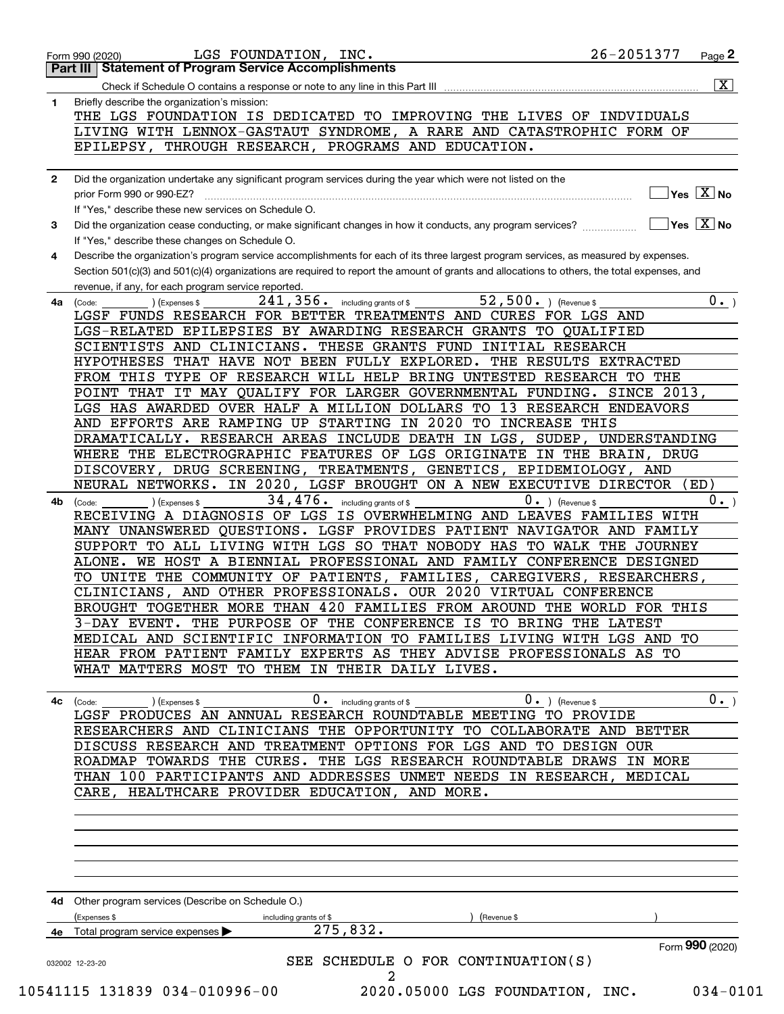| 1            | Briefly describe the organization's mission:                                                                                                                         |
|--------------|----------------------------------------------------------------------------------------------------------------------------------------------------------------------|
|              | THE LGS FOUNDATION IS DEDICATED TO IMPROVING THE LIVES OF INDVIDUALS                                                                                                 |
|              | LIVING WITH LENNOX-GASTAUT SYNDROME, A RARE AND CATASTROPHIC FORM OF                                                                                                 |
|              | EPILEPSY, THROUGH RESEARCH, PROGRAMS AND EDUCATION.                                                                                                                  |
|              |                                                                                                                                                                      |
| $\mathbf{2}$ | Did the organization undertake any significant program services during the year which were not listed on the<br>$\sqrt{}$ Yes $\sqrt{X}$ No                          |
|              | prior Form 990 or 990-EZ?<br>If "Yes," describe these new services on Schedule O.                                                                                    |
| 3            | $\overline{\mathsf{Yes}}$ $\overline{\mathsf{X}}$ No<br>Did the organization cease conducting, or make significant changes in how it conducts, any program services? |
|              | If "Yes," describe these changes on Schedule O.                                                                                                                      |
| 4            | Describe the organization's program service accomplishments for each of its three largest program services, as measured by expenses.                                 |
|              | Section 501(c)(3) and 501(c)(4) organizations are required to report the amount of grants and allocations to others, the total expenses, and                         |
|              | revenue, if any, for each program service reported.                                                                                                                  |
| 4a           | $\overline{241,356}$ including grants of \$<br>52,500. ) (Revenue \$<br>$0 \cdot$ )<br>(Code:<br>(Expenses \$                                                        |
|              | LGSF FUNDS RESEARCH FOR BETTER TREATMENTS AND CURES FOR LGS AND<br>LGS-RELATED EPILEPSIES BY AWARDING RESEARCH GRANTS TO QUALIFIED                                   |
|              | SCIENTISTS AND CLINICIANS. THESE GRANTS FUND INITIAL RESEARCH                                                                                                        |
|              | HYPOTHESES THAT HAVE NOT BEEN FULLY EXPLORED. THE RESULTS EXTRACTED                                                                                                  |
|              | FROM THIS TYPE OF RESEARCH WILL HELP BRING UNTESTED RESEARCH TO THE                                                                                                  |
|              | POINT THAT IT MAY QUALIFY FOR LARGER GOVERNMENTAL FUNDING. SINCE 2013,                                                                                               |
|              | LGS HAS AWARDED OVER HALF A MILLION DOLLARS TO 13 RESEARCH ENDEAVORS                                                                                                 |
|              | AND EFFORTS ARE RAMPING UP STARTING IN 2020 TO INCREASE THIS                                                                                                         |
|              | DRAMATICALLY. RESEARCH AREAS INCLUDE DEATH IN LGS, SUDEP, UNDERSTANDING                                                                                              |
|              | WHERE THE ELECTROGRAPHIC FEATURES OF LGS ORIGINATE IN THE BRAIN, DRUG                                                                                                |
|              | DISCOVERY, DRUG SCREENING, TREATMENTS, GENETICS, EPIDEMIOLOGY, AND<br>NEURAL NETWORKS. IN 2020, LGSF BROUGHT ON A NEW EXECUTIVE DIRECTOR                             |
|              | (ED)<br>34, 476. including grants of \$<br>$0 \cdot$<br>$0 \cdot$ ) (Revenue \$                                                                                      |
| 4b           | (Code:<br>(Expenses \$<br>RECEIVING A DIAGNOSIS OF LGS IS OVERWHELMING AND LEAVES FAMILIES WITH                                                                      |
|              | MANY UNANSWERED QUESTIONS. LGSF PROVIDES PATIENT NAVIGATOR AND FAMILY                                                                                                |
|              | SUPPORT TO ALL LIVING WITH LGS SO THAT NOBODY HAS TO WALK THE JOURNEY                                                                                                |
|              | ALONE. WE HOST A BIENNIAL PROFESSIONAL AND FAMILY CONFERENCE DESIGNED                                                                                                |
|              | TO UNITE THE COMMUNITY OF PATIENTS, FAMILIES, CAREGIVERS, RESEARCHERS,                                                                                               |
|              | CLINICIANS, AND OTHER PROFESSIONALS. OUR 2020 VIRTUAL CONFERENCE                                                                                                     |
|              | BROUGHT TOGETHER MORE THAN 420 FAMILIES FROM AROUND THE WORLD FOR THIS                                                                                               |
|              | THE PURPOSE OF THE CONFERENCE IS TO BRING THE LATEST<br>3-DAY EVENT.<br>MEDICAL AND SCIENTIFIC INFORMATION TO FAMILIES LIVING WITH LGS AND TO                        |
|              | HEAR FROM PATIENT FAMILY EXPERTS AS THEY ADVISE PROFESSIONALS AS TO                                                                                                  |
|              | WHAT MATTERS MOST TO THEM IN THEIR DAILY LIVES.                                                                                                                      |
|              |                                                                                                                                                                      |
| 4с           | 0.<br>$0.$ (Revenue \$<br>0. including grants of \$<br>) (Expenses \$<br>(Code:                                                                                      |
|              | LGSF PRODUCES AN ANNUAL RESEARCH ROUNDTABLE MEETING TO PROVIDE                                                                                                       |
|              | RESEARCHERS AND CLINICIANS THE OPPORTUNITY TO COLLABORATE AND BETTER                                                                                                 |
|              | DISCUSS RESEARCH AND TREATMENT OPTIONS FOR LGS AND TO DESIGN OUR                                                                                                     |
|              | ROADMAP TOWARDS THE CURES. THE LGS RESEARCH ROUNDTABLE DRAWS IN MORE<br>THAN 100 PARTICIPANTS AND ADDRESSES UNMET NEEDS IN RESEARCH, MEDICAL                         |
|              | CARE, HEALTHCARE PROVIDER EDUCATION, AND MORE.                                                                                                                       |
|              |                                                                                                                                                                      |
|              |                                                                                                                                                                      |
|              |                                                                                                                                                                      |
|              |                                                                                                                                                                      |
|              |                                                                                                                                                                      |
|              |                                                                                                                                                                      |
|              | 4d Other program services (Describe on Schedule O.)<br>(Expenses \$<br>(Revenue \$                                                                                   |
|              | including grants of \$<br>275,832.<br>4e Total program service expenses $\blacktriangleright$                                                                        |
|              | Form 990 (2020)                                                                                                                                                      |
|              | SEE SCHEDULE O FOR CONTINUATION(S)<br>032002 12-23-20                                                                                                                |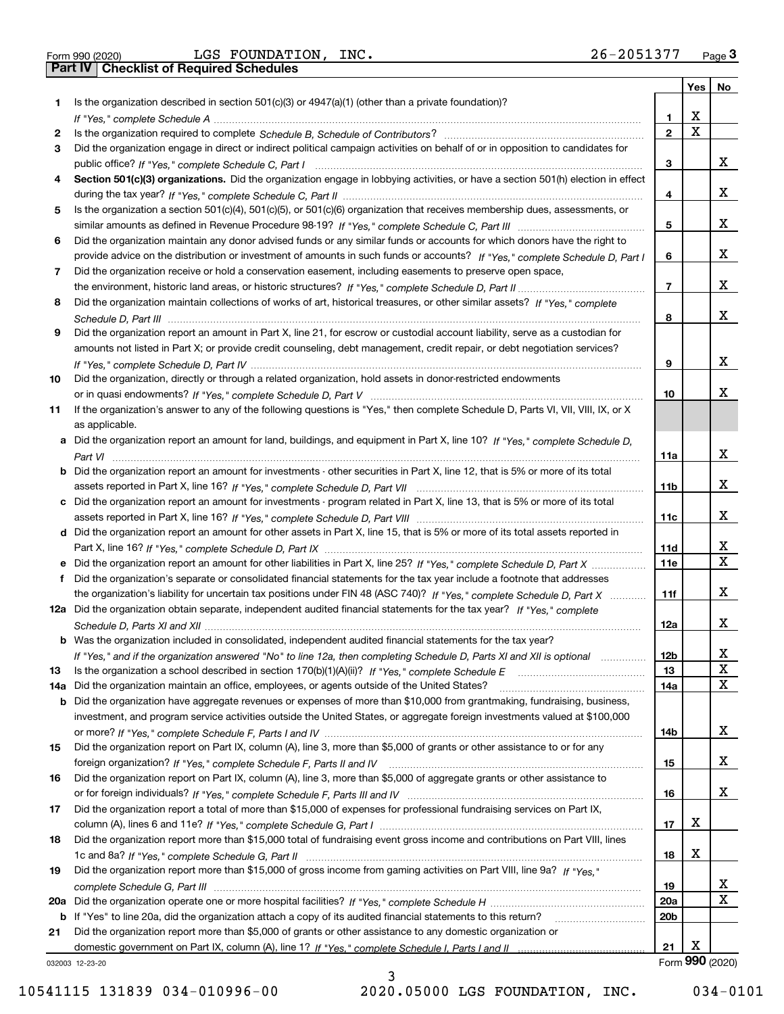|  | Form 990 (2020 |
|--|----------------|

Form 990 (2020) LGS FOUNDATION, INC. 2 6-2 0 5 1 3 7 7 <sub>Page</sub> 3<br>**Part IV** | Checklist of Required Schedules

| Is the organization described in section 501(c)(3) or 4947(a)(1) (other than a private foundation)?<br>1<br>х<br>1<br>X<br>$\mathbf{2}$<br>2<br>Did the organization engage in direct or indirect political campaign activities on behalf of or in opposition to candidates for<br>3<br>X.<br>3<br>Section 501(c)(3) organizations. Did the organization engage in lobbying activities, or have a section 501(h) election in effect<br>4<br>X.<br>4<br>Is the organization a section 501(c)(4), 501(c)(5), or 501(c)(6) organization that receives membership dues, assessments, or<br>5<br>X.<br>5<br>Did the organization maintain any donor advised funds or any similar funds or accounts for which donors have the right to<br>6<br>X.<br>provide advice on the distribution or investment of amounts in such funds or accounts? If "Yes," complete Schedule D, Part I<br>6<br>Did the organization receive or hold a conservation easement, including easements to preserve open space,<br>7<br>x<br>$\overline{7}$<br>Did the organization maintain collections of works of art, historical treasures, or other similar assets? If "Yes," complete<br>8<br>x<br>8<br>Did the organization report an amount in Part X, line 21, for escrow or custodial account liability, serve as a custodian for<br>9<br>amounts not listed in Part X; or provide credit counseling, debt management, credit repair, or debt negotiation services?<br>x<br>9<br>Did the organization, directly or through a related organization, hold assets in donor-restricted endowments<br>10<br>X.<br>10<br>If the organization's answer to any of the following questions is "Yes," then complete Schedule D, Parts VI, VII, VIII, IX, or X<br>11<br>as applicable.<br>a Did the organization report an amount for land, buildings, and equipment in Part X, line 10? If "Yes," complete Schedule D.<br>x<br>11a<br><b>b</b> Did the organization report an amount for investments - other securities in Part X, line 12, that is 5% or more of its total<br>X.<br>11 <sub>b</sub><br>c Did the organization report an amount for investments - program related in Part X, line 13, that is 5% or more of its total<br>X.<br>11c<br>d Did the organization report an amount for other assets in Part X, line 15, that is 5% or more of its total assets reported in<br>X<br>11d<br>х<br><b>11e</b><br>Did the organization's separate or consolidated financial statements for the tax year include a footnote that addresses<br>f<br>X<br>the organization's liability for uncertain tax positions under FIN 48 (ASC 740)? If "Yes," complete Schedule D, Part X<br>11f<br>12a Did the organization obtain separate, independent audited financial statements for the tax year? If "Yes," complete<br>X.<br>12a<br><b>b</b> Was the organization included in consolidated, independent audited financial statements for the tax year?<br>x<br>12 <sub>b</sub><br>If "Yes," and if the organization answered "No" to line 12a, then completing Schedule D, Parts XI and XII is optional<br>X<br>Is the organization a school described in section 170(b)(1)(A)(ii)? If "Yes," complete Schedule E<br>13<br>13<br>x<br>Did the organization maintain an office, employees, or agents outside of the United States?<br>14a<br>14a<br>Did the organization have aggregate revenues or expenses of more than \$10,000 from grantmaking, fundraising, business,<br>b<br>investment, and program service activities outside the United States, or aggregate foreign investments valued at \$100,000<br>X<br>14b<br>Did the organization report on Part IX, column (A), line 3, more than \$5,000 of grants or other assistance to or for any<br>15<br>X.<br>15<br>Did the organization report on Part IX, column (A), line 3, more than \$5,000 of aggregate grants or other assistance to<br>16<br>X.<br>16<br>Did the organization report a total of more than \$15,000 of expenses for professional fundraising services on Part IX,<br>17<br>x<br>17<br>Did the organization report more than \$15,000 total of fundraising event gross income and contributions on Part VIII, lines<br>18<br>х<br>18<br>Did the organization report more than \$15,000 of gross income from gaming activities on Part VIII, line 9a? If "Yes."<br>19<br>X<br>19<br>х<br>20a<br>If "Yes" to line 20a, did the organization attach a copy of its audited financial statements to this return?<br>20 <sub>b</sub><br>b<br>Did the organization report more than \$5,000 of grants or other assistance to any domestic organization or<br>21<br>х<br>21<br>Form 990 (2020)<br>032003 12-23-20 |  | Yes | No |
|----------------------------------------------------------------------------------------------------------------------------------------------------------------------------------------------------------------------------------------------------------------------------------------------------------------------------------------------------------------------------------------------------------------------------------------------------------------------------------------------------------------------------------------------------------------------------------------------------------------------------------------------------------------------------------------------------------------------------------------------------------------------------------------------------------------------------------------------------------------------------------------------------------------------------------------------------------------------------------------------------------------------------------------------------------------------------------------------------------------------------------------------------------------------------------------------------------------------------------------------------------------------------------------------------------------------------------------------------------------------------------------------------------------------------------------------------------------------------------------------------------------------------------------------------------------------------------------------------------------------------------------------------------------------------------------------------------------------------------------------------------------------------------------------------------------------------------------------------------------------------------------------------------------------------------------------------------------------------------------------------------------------------------------------------------------------------------------------------------------------------------------------------------------------------------------------------------------------------------------------------------------------------------------------------------------------------------------------------------------------------------------------------------------------------------------------------------------------------------------------------------------------------------------------------------------------------------------------------------------------------------------------------------------------------------------------------------------------------------------------------------------------------------------------------------------------------------------------------------------------------------------------------------------------------------------------------------------------------------------------------------------------------------------------------------------------------------------------------------------------------------------------------------------------------------------------------------------------------------------------------------------------------------------------------------------------------------------------------------------------------------------------------------------------------------------------------------------------------------------------------------------------------------------------------------------------------------------------------------------------------------------------------------------------------------------------------------------------------------------------------------------------------------------------------------------------------------------------------------------------------------------------------------------------------------------------------------------------------------------------------------------------------------------------------------------------------------------------------------------------------------------------------------------------------------------------------------------------------------------------------------------------------------------------------------------------------------------------------------------------------------------------------------------------------------------------------------------------------------------------------------------------------------------------------------------------------------------------------------------------------------------------------------|--|-----|----|
|                                                                                                                                                                                                                                                                                                                                                                                                                                                                                                                                                                                                                                                                                                                                                                                                                                                                                                                                                                                                                                                                                                                                                                                                                                                                                                                                                                                                                                                                                                                                                                                                                                                                                                                                                                                                                                                                                                                                                                                                                                                                                                                                                                                                                                                                                                                                                                                                                                                                                                                                                                                                                                                                                                                                                                                                                                                                                                                                                                                                                                                                                                                                                                                                                                                                                                                                                                                                                                                                                                                                                                                                                                                                                                                                                                                                                                                                                                                                                                                                                                                                                                                                                                                                                                                                                                                                                                                                                                                                                                                                                                                                                                                          |  |     |    |
|                                                                                                                                                                                                                                                                                                                                                                                                                                                                                                                                                                                                                                                                                                                                                                                                                                                                                                                                                                                                                                                                                                                                                                                                                                                                                                                                                                                                                                                                                                                                                                                                                                                                                                                                                                                                                                                                                                                                                                                                                                                                                                                                                                                                                                                                                                                                                                                                                                                                                                                                                                                                                                                                                                                                                                                                                                                                                                                                                                                                                                                                                                                                                                                                                                                                                                                                                                                                                                                                                                                                                                                                                                                                                                                                                                                                                                                                                                                                                                                                                                                                                                                                                                                                                                                                                                                                                                                                                                                                                                                                                                                                                                                          |  |     |    |
|                                                                                                                                                                                                                                                                                                                                                                                                                                                                                                                                                                                                                                                                                                                                                                                                                                                                                                                                                                                                                                                                                                                                                                                                                                                                                                                                                                                                                                                                                                                                                                                                                                                                                                                                                                                                                                                                                                                                                                                                                                                                                                                                                                                                                                                                                                                                                                                                                                                                                                                                                                                                                                                                                                                                                                                                                                                                                                                                                                                                                                                                                                                                                                                                                                                                                                                                                                                                                                                                                                                                                                                                                                                                                                                                                                                                                                                                                                                                                                                                                                                                                                                                                                                                                                                                                                                                                                                                                                                                                                                                                                                                                                                          |  |     |    |
|                                                                                                                                                                                                                                                                                                                                                                                                                                                                                                                                                                                                                                                                                                                                                                                                                                                                                                                                                                                                                                                                                                                                                                                                                                                                                                                                                                                                                                                                                                                                                                                                                                                                                                                                                                                                                                                                                                                                                                                                                                                                                                                                                                                                                                                                                                                                                                                                                                                                                                                                                                                                                                                                                                                                                                                                                                                                                                                                                                                                                                                                                                                                                                                                                                                                                                                                                                                                                                                                                                                                                                                                                                                                                                                                                                                                                                                                                                                                                                                                                                                                                                                                                                                                                                                                                                                                                                                                                                                                                                                                                                                                                                                          |  |     |    |
|                                                                                                                                                                                                                                                                                                                                                                                                                                                                                                                                                                                                                                                                                                                                                                                                                                                                                                                                                                                                                                                                                                                                                                                                                                                                                                                                                                                                                                                                                                                                                                                                                                                                                                                                                                                                                                                                                                                                                                                                                                                                                                                                                                                                                                                                                                                                                                                                                                                                                                                                                                                                                                                                                                                                                                                                                                                                                                                                                                                                                                                                                                                                                                                                                                                                                                                                                                                                                                                                                                                                                                                                                                                                                                                                                                                                                                                                                                                                                                                                                                                                                                                                                                                                                                                                                                                                                                                                                                                                                                                                                                                                                                                          |  |     |    |
|                                                                                                                                                                                                                                                                                                                                                                                                                                                                                                                                                                                                                                                                                                                                                                                                                                                                                                                                                                                                                                                                                                                                                                                                                                                                                                                                                                                                                                                                                                                                                                                                                                                                                                                                                                                                                                                                                                                                                                                                                                                                                                                                                                                                                                                                                                                                                                                                                                                                                                                                                                                                                                                                                                                                                                                                                                                                                                                                                                                                                                                                                                                                                                                                                                                                                                                                                                                                                                                                                                                                                                                                                                                                                                                                                                                                                                                                                                                                                                                                                                                                                                                                                                                                                                                                                                                                                                                                                                                                                                                                                                                                                                                          |  |     |    |
|                                                                                                                                                                                                                                                                                                                                                                                                                                                                                                                                                                                                                                                                                                                                                                                                                                                                                                                                                                                                                                                                                                                                                                                                                                                                                                                                                                                                                                                                                                                                                                                                                                                                                                                                                                                                                                                                                                                                                                                                                                                                                                                                                                                                                                                                                                                                                                                                                                                                                                                                                                                                                                                                                                                                                                                                                                                                                                                                                                                                                                                                                                                                                                                                                                                                                                                                                                                                                                                                                                                                                                                                                                                                                                                                                                                                                                                                                                                                                                                                                                                                                                                                                                                                                                                                                                                                                                                                                                                                                                                                                                                                                                                          |  |     |    |
|                                                                                                                                                                                                                                                                                                                                                                                                                                                                                                                                                                                                                                                                                                                                                                                                                                                                                                                                                                                                                                                                                                                                                                                                                                                                                                                                                                                                                                                                                                                                                                                                                                                                                                                                                                                                                                                                                                                                                                                                                                                                                                                                                                                                                                                                                                                                                                                                                                                                                                                                                                                                                                                                                                                                                                                                                                                                                                                                                                                                                                                                                                                                                                                                                                                                                                                                                                                                                                                                                                                                                                                                                                                                                                                                                                                                                                                                                                                                                                                                                                                                                                                                                                                                                                                                                                                                                                                                                                                                                                                                                                                                                                                          |  |     |    |
|                                                                                                                                                                                                                                                                                                                                                                                                                                                                                                                                                                                                                                                                                                                                                                                                                                                                                                                                                                                                                                                                                                                                                                                                                                                                                                                                                                                                                                                                                                                                                                                                                                                                                                                                                                                                                                                                                                                                                                                                                                                                                                                                                                                                                                                                                                                                                                                                                                                                                                                                                                                                                                                                                                                                                                                                                                                                                                                                                                                                                                                                                                                                                                                                                                                                                                                                                                                                                                                                                                                                                                                                                                                                                                                                                                                                                                                                                                                                                                                                                                                                                                                                                                                                                                                                                                                                                                                                                                                                                                                                                                                                                                                          |  |     |    |
|                                                                                                                                                                                                                                                                                                                                                                                                                                                                                                                                                                                                                                                                                                                                                                                                                                                                                                                                                                                                                                                                                                                                                                                                                                                                                                                                                                                                                                                                                                                                                                                                                                                                                                                                                                                                                                                                                                                                                                                                                                                                                                                                                                                                                                                                                                                                                                                                                                                                                                                                                                                                                                                                                                                                                                                                                                                                                                                                                                                                                                                                                                                                                                                                                                                                                                                                                                                                                                                                                                                                                                                                                                                                                                                                                                                                                                                                                                                                                                                                                                                                                                                                                                                                                                                                                                                                                                                                                                                                                                                                                                                                                                                          |  |     |    |
|                                                                                                                                                                                                                                                                                                                                                                                                                                                                                                                                                                                                                                                                                                                                                                                                                                                                                                                                                                                                                                                                                                                                                                                                                                                                                                                                                                                                                                                                                                                                                                                                                                                                                                                                                                                                                                                                                                                                                                                                                                                                                                                                                                                                                                                                                                                                                                                                                                                                                                                                                                                                                                                                                                                                                                                                                                                                                                                                                                                                                                                                                                                                                                                                                                                                                                                                                                                                                                                                                                                                                                                                                                                                                                                                                                                                                                                                                                                                                                                                                                                                                                                                                                                                                                                                                                                                                                                                                                                                                                                                                                                                                                                          |  |     |    |
|                                                                                                                                                                                                                                                                                                                                                                                                                                                                                                                                                                                                                                                                                                                                                                                                                                                                                                                                                                                                                                                                                                                                                                                                                                                                                                                                                                                                                                                                                                                                                                                                                                                                                                                                                                                                                                                                                                                                                                                                                                                                                                                                                                                                                                                                                                                                                                                                                                                                                                                                                                                                                                                                                                                                                                                                                                                                                                                                                                                                                                                                                                                                                                                                                                                                                                                                                                                                                                                                                                                                                                                                                                                                                                                                                                                                                                                                                                                                                                                                                                                                                                                                                                                                                                                                                                                                                                                                                                                                                                                                                                                                                                                          |  |     |    |
|                                                                                                                                                                                                                                                                                                                                                                                                                                                                                                                                                                                                                                                                                                                                                                                                                                                                                                                                                                                                                                                                                                                                                                                                                                                                                                                                                                                                                                                                                                                                                                                                                                                                                                                                                                                                                                                                                                                                                                                                                                                                                                                                                                                                                                                                                                                                                                                                                                                                                                                                                                                                                                                                                                                                                                                                                                                                                                                                                                                                                                                                                                                                                                                                                                                                                                                                                                                                                                                                                                                                                                                                                                                                                                                                                                                                                                                                                                                                                                                                                                                                                                                                                                                                                                                                                                                                                                                                                                                                                                                                                                                                                                                          |  |     |    |
|                                                                                                                                                                                                                                                                                                                                                                                                                                                                                                                                                                                                                                                                                                                                                                                                                                                                                                                                                                                                                                                                                                                                                                                                                                                                                                                                                                                                                                                                                                                                                                                                                                                                                                                                                                                                                                                                                                                                                                                                                                                                                                                                                                                                                                                                                                                                                                                                                                                                                                                                                                                                                                                                                                                                                                                                                                                                                                                                                                                                                                                                                                                                                                                                                                                                                                                                                                                                                                                                                                                                                                                                                                                                                                                                                                                                                                                                                                                                                                                                                                                                                                                                                                                                                                                                                                                                                                                                                                                                                                                                                                                                                                                          |  |     |    |
|                                                                                                                                                                                                                                                                                                                                                                                                                                                                                                                                                                                                                                                                                                                                                                                                                                                                                                                                                                                                                                                                                                                                                                                                                                                                                                                                                                                                                                                                                                                                                                                                                                                                                                                                                                                                                                                                                                                                                                                                                                                                                                                                                                                                                                                                                                                                                                                                                                                                                                                                                                                                                                                                                                                                                                                                                                                                                                                                                                                                                                                                                                                                                                                                                                                                                                                                                                                                                                                                                                                                                                                                                                                                                                                                                                                                                                                                                                                                                                                                                                                                                                                                                                                                                                                                                                                                                                                                                                                                                                                                                                                                                                                          |  |     |    |
|                                                                                                                                                                                                                                                                                                                                                                                                                                                                                                                                                                                                                                                                                                                                                                                                                                                                                                                                                                                                                                                                                                                                                                                                                                                                                                                                                                                                                                                                                                                                                                                                                                                                                                                                                                                                                                                                                                                                                                                                                                                                                                                                                                                                                                                                                                                                                                                                                                                                                                                                                                                                                                                                                                                                                                                                                                                                                                                                                                                                                                                                                                                                                                                                                                                                                                                                                                                                                                                                                                                                                                                                                                                                                                                                                                                                                                                                                                                                                                                                                                                                                                                                                                                                                                                                                                                                                                                                                                                                                                                                                                                                                                                          |  |     |    |
|                                                                                                                                                                                                                                                                                                                                                                                                                                                                                                                                                                                                                                                                                                                                                                                                                                                                                                                                                                                                                                                                                                                                                                                                                                                                                                                                                                                                                                                                                                                                                                                                                                                                                                                                                                                                                                                                                                                                                                                                                                                                                                                                                                                                                                                                                                                                                                                                                                                                                                                                                                                                                                                                                                                                                                                                                                                                                                                                                                                                                                                                                                                                                                                                                                                                                                                                                                                                                                                                                                                                                                                                                                                                                                                                                                                                                                                                                                                                                                                                                                                                                                                                                                                                                                                                                                                                                                                                                                                                                                                                                                                                                                                          |  |     |    |
|                                                                                                                                                                                                                                                                                                                                                                                                                                                                                                                                                                                                                                                                                                                                                                                                                                                                                                                                                                                                                                                                                                                                                                                                                                                                                                                                                                                                                                                                                                                                                                                                                                                                                                                                                                                                                                                                                                                                                                                                                                                                                                                                                                                                                                                                                                                                                                                                                                                                                                                                                                                                                                                                                                                                                                                                                                                                                                                                                                                                                                                                                                                                                                                                                                                                                                                                                                                                                                                                                                                                                                                                                                                                                                                                                                                                                                                                                                                                                                                                                                                                                                                                                                                                                                                                                                                                                                                                                                                                                                                                                                                                                                                          |  |     |    |
|                                                                                                                                                                                                                                                                                                                                                                                                                                                                                                                                                                                                                                                                                                                                                                                                                                                                                                                                                                                                                                                                                                                                                                                                                                                                                                                                                                                                                                                                                                                                                                                                                                                                                                                                                                                                                                                                                                                                                                                                                                                                                                                                                                                                                                                                                                                                                                                                                                                                                                                                                                                                                                                                                                                                                                                                                                                                                                                                                                                                                                                                                                                                                                                                                                                                                                                                                                                                                                                                                                                                                                                                                                                                                                                                                                                                                                                                                                                                                                                                                                                                                                                                                                                                                                                                                                                                                                                                                                                                                                                                                                                                                                                          |  |     |    |
|                                                                                                                                                                                                                                                                                                                                                                                                                                                                                                                                                                                                                                                                                                                                                                                                                                                                                                                                                                                                                                                                                                                                                                                                                                                                                                                                                                                                                                                                                                                                                                                                                                                                                                                                                                                                                                                                                                                                                                                                                                                                                                                                                                                                                                                                                                                                                                                                                                                                                                                                                                                                                                                                                                                                                                                                                                                                                                                                                                                                                                                                                                                                                                                                                                                                                                                                                                                                                                                                                                                                                                                                                                                                                                                                                                                                                                                                                                                                                                                                                                                                                                                                                                                                                                                                                                                                                                                                                                                                                                                                                                                                                                                          |  |     |    |
|                                                                                                                                                                                                                                                                                                                                                                                                                                                                                                                                                                                                                                                                                                                                                                                                                                                                                                                                                                                                                                                                                                                                                                                                                                                                                                                                                                                                                                                                                                                                                                                                                                                                                                                                                                                                                                                                                                                                                                                                                                                                                                                                                                                                                                                                                                                                                                                                                                                                                                                                                                                                                                                                                                                                                                                                                                                                                                                                                                                                                                                                                                                                                                                                                                                                                                                                                                                                                                                                                                                                                                                                                                                                                                                                                                                                                                                                                                                                                                                                                                                                                                                                                                                                                                                                                                                                                                                                                                                                                                                                                                                                                                                          |  |     |    |
|                                                                                                                                                                                                                                                                                                                                                                                                                                                                                                                                                                                                                                                                                                                                                                                                                                                                                                                                                                                                                                                                                                                                                                                                                                                                                                                                                                                                                                                                                                                                                                                                                                                                                                                                                                                                                                                                                                                                                                                                                                                                                                                                                                                                                                                                                                                                                                                                                                                                                                                                                                                                                                                                                                                                                                                                                                                                                                                                                                                                                                                                                                                                                                                                                                                                                                                                                                                                                                                                                                                                                                                                                                                                                                                                                                                                                                                                                                                                                                                                                                                                                                                                                                                                                                                                                                                                                                                                                                                                                                                                                                                                                                                          |  |     |    |
|                                                                                                                                                                                                                                                                                                                                                                                                                                                                                                                                                                                                                                                                                                                                                                                                                                                                                                                                                                                                                                                                                                                                                                                                                                                                                                                                                                                                                                                                                                                                                                                                                                                                                                                                                                                                                                                                                                                                                                                                                                                                                                                                                                                                                                                                                                                                                                                                                                                                                                                                                                                                                                                                                                                                                                                                                                                                                                                                                                                                                                                                                                                                                                                                                                                                                                                                                                                                                                                                                                                                                                                                                                                                                                                                                                                                                                                                                                                                                                                                                                                                                                                                                                                                                                                                                                                                                                                                                                                                                                                                                                                                                                                          |  |     |    |
|                                                                                                                                                                                                                                                                                                                                                                                                                                                                                                                                                                                                                                                                                                                                                                                                                                                                                                                                                                                                                                                                                                                                                                                                                                                                                                                                                                                                                                                                                                                                                                                                                                                                                                                                                                                                                                                                                                                                                                                                                                                                                                                                                                                                                                                                                                                                                                                                                                                                                                                                                                                                                                                                                                                                                                                                                                                                                                                                                                                                                                                                                                                                                                                                                                                                                                                                                                                                                                                                                                                                                                                                                                                                                                                                                                                                                                                                                                                                                                                                                                                                                                                                                                                                                                                                                                                                                                                                                                                                                                                                                                                                                                                          |  |     |    |
|                                                                                                                                                                                                                                                                                                                                                                                                                                                                                                                                                                                                                                                                                                                                                                                                                                                                                                                                                                                                                                                                                                                                                                                                                                                                                                                                                                                                                                                                                                                                                                                                                                                                                                                                                                                                                                                                                                                                                                                                                                                                                                                                                                                                                                                                                                                                                                                                                                                                                                                                                                                                                                                                                                                                                                                                                                                                                                                                                                                                                                                                                                                                                                                                                                                                                                                                                                                                                                                                                                                                                                                                                                                                                                                                                                                                                                                                                                                                                                                                                                                                                                                                                                                                                                                                                                                                                                                                                                                                                                                                                                                                                                                          |  |     |    |
|                                                                                                                                                                                                                                                                                                                                                                                                                                                                                                                                                                                                                                                                                                                                                                                                                                                                                                                                                                                                                                                                                                                                                                                                                                                                                                                                                                                                                                                                                                                                                                                                                                                                                                                                                                                                                                                                                                                                                                                                                                                                                                                                                                                                                                                                                                                                                                                                                                                                                                                                                                                                                                                                                                                                                                                                                                                                                                                                                                                                                                                                                                                                                                                                                                                                                                                                                                                                                                                                                                                                                                                                                                                                                                                                                                                                                                                                                                                                                                                                                                                                                                                                                                                                                                                                                                                                                                                                                                                                                                                                                                                                                                                          |  |     |    |
|                                                                                                                                                                                                                                                                                                                                                                                                                                                                                                                                                                                                                                                                                                                                                                                                                                                                                                                                                                                                                                                                                                                                                                                                                                                                                                                                                                                                                                                                                                                                                                                                                                                                                                                                                                                                                                                                                                                                                                                                                                                                                                                                                                                                                                                                                                                                                                                                                                                                                                                                                                                                                                                                                                                                                                                                                                                                                                                                                                                                                                                                                                                                                                                                                                                                                                                                                                                                                                                                                                                                                                                                                                                                                                                                                                                                                                                                                                                                                                                                                                                                                                                                                                                                                                                                                                                                                                                                                                                                                                                                                                                                                                                          |  |     |    |
|                                                                                                                                                                                                                                                                                                                                                                                                                                                                                                                                                                                                                                                                                                                                                                                                                                                                                                                                                                                                                                                                                                                                                                                                                                                                                                                                                                                                                                                                                                                                                                                                                                                                                                                                                                                                                                                                                                                                                                                                                                                                                                                                                                                                                                                                                                                                                                                                                                                                                                                                                                                                                                                                                                                                                                                                                                                                                                                                                                                                                                                                                                                                                                                                                                                                                                                                                                                                                                                                                                                                                                                                                                                                                                                                                                                                                                                                                                                                                                                                                                                                                                                                                                                                                                                                                                                                                                                                                                                                                                                                                                                                                                                          |  |     |    |
|                                                                                                                                                                                                                                                                                                                                                                                                                                                                                                                                                                                                                                                                                                                                                                                                                                                                                                                                                                                                                                                                                                                                                                                                                                                                                                                                                                                                                                                                                                                                                                                                                                                                                                                                                                                                                                                                                                                                                                                                                                                                                                                                                                                                                                                                                                                                                                                                                                                                                                                                                                                                                                                                                                                                                                                                                                                                                                                                                                                                                                                                                                                                                                                                                                                                                                                                                                                                                                                                                                                                                                                                                                                                                                                                                                                                                                                                                                                                                                                                                                                                                                                                                                                                                                                                                                                                                                                                                                                                                                                                                                                                                                                          |  |     |    |
|                                                                                                                                                                                                                                                                                                                                                                                                                                                                                                                                                                                                                                                                                                                                                                                                                                                                                                                                                                                                                                                                                                                                                                                                                                                                                                                                                                                                                                                                                                                                                                                                                                                                                                                                                                                                                                                                                                                                                                                                                                                                                                                                                                                                                                                                                                                                                                                                                                                                                                                                                                                                                                                                                                                                                                                                                                                                                                                                                                                                                                                                                                                                                                                                                                                                                                                                                                                                                                                                                                                                                                                                                                                                                                                                                                                                                                                                                                                                                                                                                                                                                                                                                                                                                                                                                                                                                                                                                                                                                                                                                                                                                                                          |  |     |    |
|                                                                                                                                                                                                                                                                                                                                                                                                                                                                                                                                                                                                                                                                                                                                                                                                                                                                                                                                                                                                                                                                                                                                                                                                                                                                                                                                                                                                                                                                                                                                                                                                                                                                                                                                                                                                                                                                                                                                                                                                                                                                                                                                                                                                                                                                                                                                                                                                                                                                                                                                                                                                                                                                                                                                                                                                                                                                                                                                                                                                                                                                                                                                                                                                                                                                                                                                                                                                                                                                                                                                                                                                                                                                                                                                                                                                                                                                                                                                                                                                                                                                                                                                                                                                                                                                                                                                                                                                                                                                                                                                                                                                                                                          |  |     |    |
|                                                                                                                                                                                                                                                                                                                                                                                                                                                                                                                                                                                                                                                                                                                                                                                                                                                                                                                                                                                                                                                                                                                                                                                                                                                                                                                                                                                                                                                                                                                                                                                                                                                                                                                                                                                                                                                                                                                                                                                                                                                                                                                                                                                                                                                                                                                                                                                                                                                                                                                                                                                                                                                                                                                                                                                                                                                                                                                                                                                                                                                                                                                                                                                                                                                                                                                                                                                                                                                                                                                                                                                                                                                                                                                                                                                                                                                                                                                                                                                                                                                                                                                                                                                                                                                                                                                                                                                                                                                                                                                                                                                                                                                          |  |     |    |
|                                                                                                                                                                                                                                                                                                                                                                                                                                                                                                                                                                                                                                                                                                                                                                                                                                                                                                                                                                                                                                                                                                                                                                                                                                                                                                                                                                                                                                                                                                                                                                                                                                                                                                                                                                                                                                                                                                                                                                                                                                                                                                                                                                                                                                                                                                                                                                                                                                                                                                                                                                                                                                                                                                                                                                                                                                                                                                                                                                                                                                                                                                                                                                                                                                                                                                                                                                                                                                                                                                                                                                                                                                                                                                                                                                                                                                                                                                                                                                                                                                                                                                                                                                                                                                                                                                                                                                                                                                                                                                                                                                                                                                                          |  |     |    |
|                                                                                                                                                                                                                                                                                                                                                                                                                                                                                                                                                                                                                                                                                                                                                                                                                                                                                                                                                                                                                                                                                                                                                                                                                                                                                                                                                                                                                                                                                                                                                                                                                                                                                                                                                                                                                                                                                                                                                                                                                                                                                                                                                                                                                                                                                                                                                                                                                                                                                                                                                                                                                                                                                                                                                                                                                                                                                                                                                                                                                                                                                                                                                                                                                                                                                                                                                                                                                                                                                                                                                                                                                                                                                                                                                                                                                                                                                                                                                                                                                                                                                                                                                                                                                                                                                                                                                                                                                                                                                                                                                                                                                                                          |  |     |    |
|                                                                                                                                                                                                                                                                                                                                                                                                                                                                                                                                                                                                                                                                                                                                                                                                                                                                                                                                                                                                                                                                                                                                                                                                                                                                                                                                                                                                                                                                                                                                                                                                                                                                                                                                                                                                                                                                                                                                                                                                                                                                                                                                                                                                                                                                                                                                                                                                                                                                                                                                                                                                                                                                                                                                                                                                                                                                                                                                                                                                                                                                                                                                                                                                                                                                                                                                                                                                                                                                                                                                                                                                                                                                                                                                                                                                                                                                                                                                                                                                                                                                                                                                                                                                                                                                                                                                                                                                                                                                                                                                                                                                                                                          |  |     |    |
|                                                                                                                                                                                                                                                                                                                                                                                                                                                                                                                                                                                                                                                                                                                                                                                                                                                                                                                                                                                                                                                                                                                                                                                                                                                                                                                                                                                                                                                                                                                                                                                                                                                                                                                                                                                                                                                                                                                                                                                                                                                                                                                                                                                                                                                                                                                                                                                                                                                                                                                                                                                                                                                                                                                                                                                                                                                                                                                                                                                                                                                                                                                                                                                                                                                                                                                                                                                                                                                                                                                                                                                                                                                                                                                                                                                                                                                                                                                                                                                                                                                                                                                                                                                                                                                                                                                                                                                                                                                                                                                                                                                                                                                          |  |     |    |
|                                                                                                                                                                                                                                                                                                                                                                                                                                                                                                                                                                                                                                                                                                                                                                                                                                                                                                                                                                                                                                                                                                                                                                                                                                                                                                                                                                                                                                                                                                                                                                                                                                                                                                                                                                                                                                                                                                                                                                                                                                                                                                                                                                                                                                                                                                                                                                                                                                                                                                                                                                                                                                                                                                                                                                                                                                                                                                                                                                                                                                                                                                                                                                                                                                                                                                                                                                                                                                                                                                                                                                                                                                                                                                                                                                                                                                                                                                                                                                                                                                                                                                                                                                                                                                                                                                                                                                                                                                                                                                                                                                                                                                                          |  |     |    |
|                                                                                                                                                                                                                                                                                                                                                                                                                                                                                                                                                                                                                                                                                                                                                                                                                                                                                                                                                                                                                                                                                                                                                                                                                                                                                                                                                                                                                                                                                                                                                                                                                                                                                                                                                                                                                                                                                                                                                                                                                                                                                                                                                                                                                                                                                                                                                                                                                                                                                                                                                                                                                                                                                                                                                                                                                                                                                                                                                                                                                                                                                                                                                                                                                                                                                                                                                                                                                                                                                                                                                                                                                                                                                                                                                                                                                                                                                                                                                                                                                                                                                                                                                                                                                                                                                                                                                                                                                                                                                                                                                                                                                                                          |  |     |    |
|                                                                                                                                                                                                                                                                                                                                                                                                                                                                                                                                                                                                                                                                                                                                                                                                                                                                                                                                                                                                                                                                                                                                                                                                                                                                                                                                                                                                                                                                                                                                                                                                                                                                                                                                                                                                                                                                                                                                                                                                                                                                                                                                                                                                                                                                                                                                                                                                                                                                                                                                                                                                                                                                                                                                                                                                                                                                                                                                                                                                                                                                                                                                                                                                                                                                                                                                                                                                                                                                                                                                                                                                                                                                                                                                                                                                                                                                                                                                                                                                                                                                                                                                                                                                                                                                                                                                                                                                                                                                                                                                                                                                                                                          |  |     |    |
|                                                                                                                                                                                                                                                                                                                                                                                                                                                                                                                                                                                                                                                                                                                                                                                                                                                                                                                                                                                                                                                                                                                                                                                                                                                                                                                                                                                                                                                                                                                                                                                                                                                                                                                                                                                                                                                                                                                                                                                                                                                                                                                                                                                                                                                                                                                                                                                                                                                                                                                                                                                                                                                                                                                                                                                                                                                                                                                                                                                                                                                                                                                                                                                                                                                                                                                                                                                                                                                                                                                                                                                                                                                                                                                                                                                                                                                                                                                                                                                                                                                                                                                                                                                                                                                                                                                                                                                                                                                                                                                                                                                                                                                          |  |     |    |
|                                                                                                                                                                                                                                                                                                                                                                                                                                                                                                                                                                                                                                                                                                                                                                                                                                                                                                                                                                                                                                                                                                                                                                                                                                                                                                                                                                                                                                                                                                                                                                                                                                                                                                                                                                                                                                                                                                                                                                                                                                                                                                                                                                                                                                                                                                                                                                                                                                                                                                                                                                                                                                                                                                                                                                                                                                                                                                                                                                                                                                                                                                                                                                                                                                                                                                                                                                                                                                                                                                                                                                                                                                                                                                                                                                                                                                                                                                                                                                                                                                                                                                                                                                                                                                                                                                                                                                                                                                                                                                                                                                                                                                                          |  |     |    |
|                                                                                                                                                                                                                                                                                                                                                                                                                                                                                                                                                                                                                                                                                                                                                                                                                                                                                                                                                                                                                                                                                                                                                                                                                                                                                                                                                                                                                                                                                                                                                                                                                                                                                                                                                                                                                                                                                                                                                                                                                                                                                                                                                                                                                                                                                                                                                                                                                                                                                                                                                                                                                                                                                                                                                                                                                                                                                                                                                                                                                                                                                                                                                                                                                                                                                                                                                                                                                                                                                                                                                                                                                                                                                                                                                                                                                                                                                                                                                                                                                                                                                                                                                                                                                                                                                                                                                                                                                                                                                                                                                                                                                                                          |  |     |    |
|                                                                                                                                                                                                                                                                                                                                                                                                                                                                                                                                                                                                                                                                                                                                                                                                                                                                                                                                                                                                                                                                                                                                                                                                                                                                                                                                                                                                                                                                                                                                                                                                                                                                                                                                                                                                                                                                                                                                                                                                                                                                                                                                                                                                                                                                                                                                                                                                                                                                                                                                                                                                                                                                                                                                                                                                                                                                                                                                                                                                                                                                                                                                                                                                                                                                                                                                                                                                                                                                                                                                                                                                                                                                                                                                                                                                                                                                                                                                                                                                                                                                                                                                                                                                                                                                                                                                                                                                                                                                                                                                                                                                                                                          |  |     |    |
|                                                                                                                                                                                                                                                                                                                                                                                                                                                                                                                                                                                                                                                                                                                                                                                                                                                                                                                                                                                                                                                                                                                                                                                                                                                                                                                                                                                                                                                                                                                                                                                                                                                                                                                                                                                                                                                                                                                                                                                                                                                                                                                                                                                                                                                                                                                                                                                                                                                                                                                                                                                                                                                                                                                                                                                                                                                                                                                                                                                                                                                                                                                                                                                                                                                                                                                                                                                                                                                                                                                                                                                                                                                                                                                                                                                                                                                                                                                                                                                                                                                                                                                                                                                                                                                                                                                                                                                                                                                                                                                                                                                                                                                          |  |     |    |
|                                                                                                                                                                                                                                                                                                                                                                                                                                                                                                                                                                                                                                                                                                                                                                                                                                                                                                                                                                                                                                                                                                                                                                                                                                                                                                                                                                                                                                                                                                                                                                                                                                                                                                                                                                                                                                                                                                                                                                                                                                                                                                                                                                                                                                                                                                                                                                                                                                                                                                                                                                                                                                                                                                                                                                                                                                                                                                                                                                                                                                                                                                                                                                                                                                                                                                                                                                                                                                                                                                                                                                                                                                                                                                                                                                                                                                                                                                                                                                                                                                                                                                                                                                                                                                                                                                                                                                                                                                                                                                                                                                                                                                                          |  |     |    |
|                                                                                                                                                                                                                                                                                                                                                                                                                                                                                                                                                                                                                                                                                                                                                                                                                                                                                                                                                                                                                                                                                                                                                                                                                                                                                                                                                                                                                                                                                                                                                                                                                                                                                                                                                                                                                                                                                                                                                                                                                                                                                                                                                                                                                                                                                                                                                                                                                                                                                                                                                                                                                                                                                                                                                                                                                                                                                                                                                                                                                                                                                                                                                                                                                                                                                                                                                                                                                                                                                                                                                                                                                                                                                                                                                                                                                                                                                                                                                                                                                                                                                                                                                                                                                                                                                                                                                                                                                                                                                                                                                                                                                                                          |  |     |    |
|                                                                                                                                                                                                                                                                                                                                                                                                                                                                                                                                                                                                                                                                                                                                                                                                                                                                                                                                                                                                                                                                                                                                                                                                                                                                                                                                                                                                                                                                                                                                                                                                                                                                                                                                                                                                                                                                                                                                                                                                                                                                                                                                                                                                                                                                                                                                                                                                                                                                                                                                                                                                                                                                                                                                                                                                                                                                                                                                                                                                                                                                                                                                                                                                                                                                                                                                                                                                                                                                                                                                                                                                                                                                                                                                                                                                                                                                                                                                                                                                                                                                                                                                                                                                                                                                                                                                                                                                                                                                                                                                                                                                                                                          |  |     |    |
|                                                                                                                                                                                                                                                                                                                                                                                                                                                                                                                                                                                                                                                                                                                                                                                                                                                                                                                                                                                                                                                                                                                                                                                                                                                                                                                                                                                                                                                                                                                                                                                                                                                                                                                                                                                                                                                                                                                                                                                                                                                                                                                                                                                                                                                                                                                                                                                                                                                                                                                                                                                                                                                                                                                                                                                                                                                                                                                                                                                                                                                                                                                                                                                                                                                                                                                                                                                                                                                                                                                                                                                                                                                                                                                                                                                                                                                                                                                                                                                                                                                                                                                                                                                                                                                                                                                                                                                                                                                                                                                                                                                                                                                          |  |     |    |
|                                                                                                                                                                                                                                                                                                                                                                                                                                                                                                                                                                                                                                                                                                                                                                                                                                                                                                                                                                                                                                                                                                                                                                                                                                                                                                                                                                                                                                                                                                                                                                                                                                                                                                                                                                                                                                                                                                                                                                                                                                                                                                                                                                                                                                                                                                                                                                                                                                                                                                                                                                                                                                                                                                                                                                                                                                                                                                                                                                                                                                                                                                                                                                                                                                                                                                                                                                                                                                                                                                                                                                                                                                                                                                                                                                                                                                                                                                                                                                                                                                                                                                                                                                                                                                                                                                                                                                                                                                                                                                                                                                                                                                                          |  |     |    |
|                                                                                                                                                                                                                                                                                                                                                                                                                                                                                                                                                                                                                                                                                                                                                                                                                                                                                                                                                                                                                                                                                                                                                                                                                                                                                                                                                                                                                                                                                                                                                                                                                                                                                                                                                                                                                                                                                                                                                                                                                                                                                                                                                                                                                                                                                                                                                                                                                                                                                                                                                                                                                                                                                                                                                                                                                                                                                                                                                                                                                                                                                                                                                                                                                                                                                                                                                                                                                                                                                                                                                                                                                                                                                                                                                                                                                                                                                                                                                                                                                                                                                                                                                                                                                                                                                                                                                                                                                                                                                                                                                                                                                                                          |  |     |    |
|                                                                                                                                                                                                                                                                                                                                                                                                                                                                                                                                                                                                                                                                                                                                                                                                                                                                                                                                                                                                                                                                                                                                                                                                                                                                                                                                                                                                                                                                                                                                                                                                                                                                                                                                                                                                                                                                                                                                                                                                                                                                                                                                                                                                                                                                                                                                                                                                                                                                                                                                                                                                                                                                                                                                                                                                                                                                                                                                                                                                                                                                                                                                                                                                                                                                                                                                                                                                                                                                                                                                                                                                                                                                                                                                                                                                                                                                                                                                                                                                                                                                                                                                                                                                                                                                                                                                                                                                                                                                                                                                                                                                                                                          |  |     |    |
|                                                                                                                                                                                                                                                                                                                                                                                                                                                                                                                                                                                                                                                                                                                                                                                                                                                                                                                                                                                                                                                                                                                                                                                                                                                                                                                                                                                                                                                                                                                                                                                                                                                                                                                                                                                                                                                                                                                                                                                                                                                                                                                                                                                                                                                                                                                                                                                                                                                                                                                                                                                                                                                                                                                                                                                                                                                                                                                                                                                                                                                                                                                                                                                                                                                                                                                                                                                                                                                                                                                                                                                                                                                                                                                                                                                                                                                                                                                                                                                                                                                                                                                                                                                                                                                                                                                                                                                                                                                                                                                                                                                                                                                          |  |     |    |
|                                                                                                                                                                                                                                                                                                                                                                                                                                                                                                                                                                                                                                                                                                                                                                                                                                                                                                                                                                                                                                                                                                                                                                                                                                                                                                                                                                                                                                                                                                                                                                                                                                                                                                                                                                                                                                                                                                                                                                                                                                                                                                                                                                                                                                                                                                                                                                                                                                                                                                                                                                                                                                                                                                                                                                                                                                                                                                                                                                                                                                                                                                                                                                                                                                                                                                                                                                                                                                                                                                                                                                                                                                                                                                                                                                                                                                                                                                                                                                                                                                                                                                                                                                                                                                                                                                                                                                                                                                                                                                                                                                                                                                                          |  |     |    |
|                                                                                                                                                                                                                                                                                                                                                                                                                                                                                                                                                                                                                                                                                                                                                                                                                                                                                                                                                                                                                                                                                                                                                                                                                                                                                                                                                                                                                                                                                                                                                                                                                                                                                                                                                                                                                                                                                                                                                                                                                                                                                                                                                                                                                                                                                                                                                                                                                                                                                                                                                                                                                                                                                                                                                                                                                                                                                                                                                                                                                                                                                                                                                                                                                                                                                                                                                                                                                                                                                                                                                                                                                                                                                                                                                                                                                                                                                                                                                                                                                                                                                                                                                                                                                                                                                                                                                                                                                                                                                                                                                                                                                                                          |  |     |    |
|                                                                                                                                                                                                                                                                                                                                                                                                                                                                                                                                                                                                                                                                                                                                                                                                                                                                                                                                                                                                                                                                                                                                                                                                                                                                                                                                                                                                                                                                                                                                                                                                                                                                                                                                                                                                                                                                                                                                                                                                                                                                                                                                                                                                                                                                                                                                                                                                                                                                                                                                                                                                                                                                                                                                                                                                                                                                                                                                                                                                                                                                                                                                                                                                                                                                                                                                                                                                                                                                                                                                                                                                                                                                                                                                                                                                                                                                                                                                                                                                                                                                                                                                                                                                                                                                                                                                                                                                                                                                                                                                                                                                                                                          |  |     |    |
|                                                                                                                                                                                                                                                                                                                                                                                                                                                                                                                                                                                                                                                                                                                                                                                                                                                                                                                                                                                                                                                                                                                                                                                                                                                                                                                                                                                                                                                                                                                                                                                                                                                                                                                                                                                                                                                                                                                                                                                                                                                                                                                                                                                                                                                                                                                                                                                                                                                                                                                                                                                                                                                                                                                                                                                                                                                                                                                                                                                                                                                                                                                                                                                                                                                                                                                                                                                                                                                                                                                                                                                                                                                                                                                                                                                                                                                                                                                                                                                                                                                                                                                                                                                                                                                                                                                                                                                                                                                                                                                                                                                                                                                          |  |     |    |
|                                                                                                                                                                                                                                                                                                                                                                                                                                                                                                                                                                                                                                                                                                                                                                                                                                                                                                                                                                                                                                                                                                                                                                                                                                                                                                                                                                                                                                                                                                                                                                                                                                                                                                                                                                                                                                                                                                                                                                                                                                                                                                                                                                                                                                                                                                                                                                                                                                                                                                                                                                                                                                                                                                                                                                                                                                                                                                                                                                                                                                                                                                                                                                                                                                                                                                                                                                                                                                                                                                                                                                                                                                                                                                                                                                                                                                                                                                                                                                                                                                                                                                                                                                                                                                                                                                                                                                                                                                                                                                                                                                                                                                                          |  |     |    |
|                                                                                                                                                                                                                                                                                                                                                                                                                                                                                                                                                                                                                                                                                                                                                                                                                                                                                                                                                                                                                                                                                                                                                                                                                                                                                                                                                                                                                                                                                                                                                                                                                                                                                                                                                                                                                                                                                                                                                                                                                                                                                                                                                                                                                                                                                                                                                                                                                                                                                                                                                                                                                                                                                                                                                                                                                                                                                                                                                                                                                                                                                                                                                                                                                                                                                                                                                                                                                                                                                                                                                                                                                                                                                                                                                                                                                                                                                                                                                                                                                                                                                                                                                                                                                                                                                                                                                                                                                                                                                                                                                                                                                                                          |  |     |    |
|                                                                                                                                                                                                                                                                                                                                                                                                                                                                                                                                                                                                                                                                                                                                                                                                                                                                                                                                                                                                                                                                                                                                                                                                                                                                                                                                                                                                                                                                                                                                                                                                                                                                                                                                                                                                                                                                                                                                                                                                                                                                                                                                                                                                                                                                                                                                                                                                                                                                                                                                                                                                                                                                                                                                                                                                                                                                                                                                                                                                                                                                                                                                                                                                                                                                                                                                                                                                                                                                                                                                                                                                                                                                                                                                                                                                                                                                                                                                                                                                                                                                                                                                                                                                                                                                                                                                                                                                                                                                                                                                                                                                                                                          |  |     |    |

10541115 131839 034-010996-00 2020.05000 LGS FOUNDATION, INC. 034-0101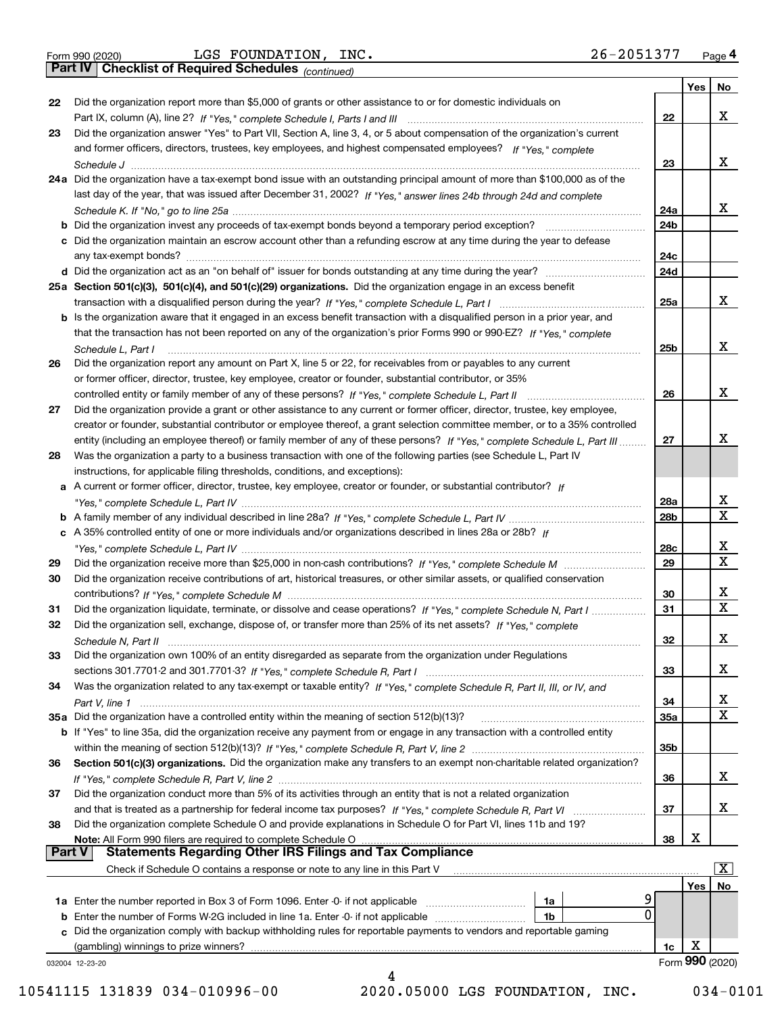|  | Form 990 (2020) |
|--|-----------------|
|  |                 |

*(continued)*

|          |                                                                                                                              |                 | Yes | <b>No</b>             |
|----------|------------------------------------------------------------------------------------------------------------------------------|-----------------|-----|-----------------------|
| 22       | Did the organization report more than \$5,000 of grants or other assistance to or for domestic individuals on                |                 |     |                       |
|          |                                                                                                                              | 22              |     | х                     |
| 23       | Did the organization answer "Yes" to Part VII, Section A, line 3, 4, or 5 about compensation of the organization's current   |                 |     |                       |
|          | and former officers, directors, trustees, key employees, and highest compensated employees? If "Yes," complete               |                 |     |                       |
|          |                                                                                                                              | 23              |     | х                     |
|          | 24a Did the organization have a tax-exempt bond issue with an outstanding principal amount of more than \$100,000 as of the  |                 |     |                       |
|          | last day of the year, that was issued after December 31, 2002? If "Yes," answer lines 24b through 24d and complete           |                 |     |                       |
|          |                                                                                                                              | 24a             |     | х                     |
|          | b Did the organization invest any proceeds of tax-exempt bonds beyond a temporary period exception?                          | 24b             |     |                       |
|          | c Did the organization maintain an escrow account other than a refunding escrow at any time during the year to defease       |                 |     |                       |
|          | any tax-exempt bonds?                                                                                                        | 24c             |     |                       |
|          |                                                                                                                              | 24d             |     |                       |
|          | 25a Section 501(c)(3), 501(c)(4), and 501(c)(29) organizations. Did the organization engage in an excess benefit             |                 |     |                       |
|          |                                                                                                                              | 25a             |     | х                     |
|          | b Is the organization aware that it engaged in an excess benefit transaction with a disqualified person in a prior year, and |                 |     |                       |
|          | that the transaction has not been reported on any of the organization's prior Forms 990 or 990-EZ? If "Yes," complete        |                 |     |                       |
|          | Schedule L, Part I                                                                                                           | 25 <sub>b</sub> |     | х                     |
| 26       | Did the organization report any amount on Part X, line 5 or 22, for receivables from or payables to any current              |                 |     |                       |
|          | or former officer, director, trustee, key employee, creator or founder, substantial contributor, or 35%                      |                 |     |                       |
|          |                                                                                                                              | 26              |     | х                     |
| 27       | Did the organization provide a grant or other assistance to any current or former officer, director, trustee, key employee,  |                 |     |                       |
|          | creator or founder, substantial contributor or employee thereof, a grant selection committee member, or to a 35% controlled  |                 |     |                       |
|          | entity (including an employee thereof) or family member of any of these persons? If "Yes," complete Schedule L, Part III     | 27              |     | x                     |
| 28       | Was the organization a party to a business transaction with one of the following parties (see Schedule L, Part IV            |                 |     |                       |
|          | instructions, for applicable filing thresholds, conditions, and exceptions):                                                 |                 |     |                       |
|          | a A current or former officer, director, trustee, key employee, creator or founder, or substantial contributor? If           |                 |     |                       |
|          |                                                                                                                              | 28a             |     | х                     |
|          |                                                                                                                              | 28 <sub>b</sub> |     | $\mathbf X$           |
|          | c A 35% controlled entity of one or more individuals and/or organizations described in lines 28a or 28b? If                  |                 |     |                       |
|          |                                                                                                                              | 28c             |     | x                     |
| 29       |                                                                                                                              | 29              |     | $\mathbf X$           |
| 30       | Did the organization receive contributions of art, historical treasures, or other similar assets, or qualified conservation  |                 |     |                       |
|          |                                                                                                                              | 30              |     | x                     |
| 31       | Did the organization liquidate, terminate, or dissolve and cease operations? If "Yes," complete Schedule N, Part I           | 31              |     | $\mathbf X$           |
| 32       | Did the organization sell, exchange, dispose of, or transfer more than 25% of its net assets? If "Yes," complete             |                 |     |                       |
|          |                                                                                                                              | 32              |     | х                     |
| 33       | Did the organization own 100% of an entity disregarded as separate from the organization under Regulations                   |                 |     |                       |
|          |                                                                                                                              | 33              |     | х                     |
| 34       | Was the organization related to any tax-exempt or taxable entity? If "Yes," complete Schedule R, Part II, III, or IV, and    |                 |     |                       |
|          |                                                                                                                              | 34              |     | х                     |
|          | 35a Did the organization have a controlled entity within the meaning of section 512(b)(13)?                                  | 35a             |     | х                     |
|          | b If "Yes" to line 35a, did the organization receive any payment from or engage in any transaction with a controlled entity  |                 |     |                       |
|          |                                                                                                                              | 35 <sub>b</sub> |     |                       |
| 36       | Section 501(c)(3) organizations. Did the organization make any transfers to an exempt non-charitable related organization?   |                 |     |                       |
|          |                                                                                                                              | 36              |     | x                     |
| 37       | Did the organization conduct more than 5% of its activities through an entity that is not a related organization             |                 |     |                       |
|          | and that is treated as a partnership for federal income tax purposes? If "Yes," complete Schedule R, Part VI                 | 37              |     | x                     |
| 38       | Did the organization complete Schedule O and provide explanations in Schedule O for Part VI, lines 11b and 19?               |                 |     |                       |
|          | Note: All Form 990 filers are required to complete Schedule O                                                                | 38              | X   |                       |
| ∣ Part V | <b>Statements Regarding Other IRS Filings and Tax Compliance</b>                                                             |                 |     |                       |
|          | Check if Schedule O contains a response or note to any line in this Part V                                                   |                 |     | $\overline{\text{X}}$ |
|          |                                                                                                                              |                 | Yes | No                    |
|          | <b>1a</b> Enter the number reported in Box 3 of Form 1096. Enter -0- if not applicable <i>manumumumum</i><br>1a              |                 |     |                       |
|          | 0<br><b>b</b> Enter the number of Forms W-2G included in line 1a. Enter -0- if not applicable<br>1b                          |                 |     |                       |
|          | c Did the organization comply with backup withholding rules for reportable payments to vendors and reportable gaming         |                 |     |                       |
|          | (gambling) winnings to prize winners?                                                                                        | 1c              | х   |                       |
|          | 032004 12-23-20                                                                                                              |                 |     | Form 990 (2020)       |
|          | 4                                                                                                                            |                 |     |                       |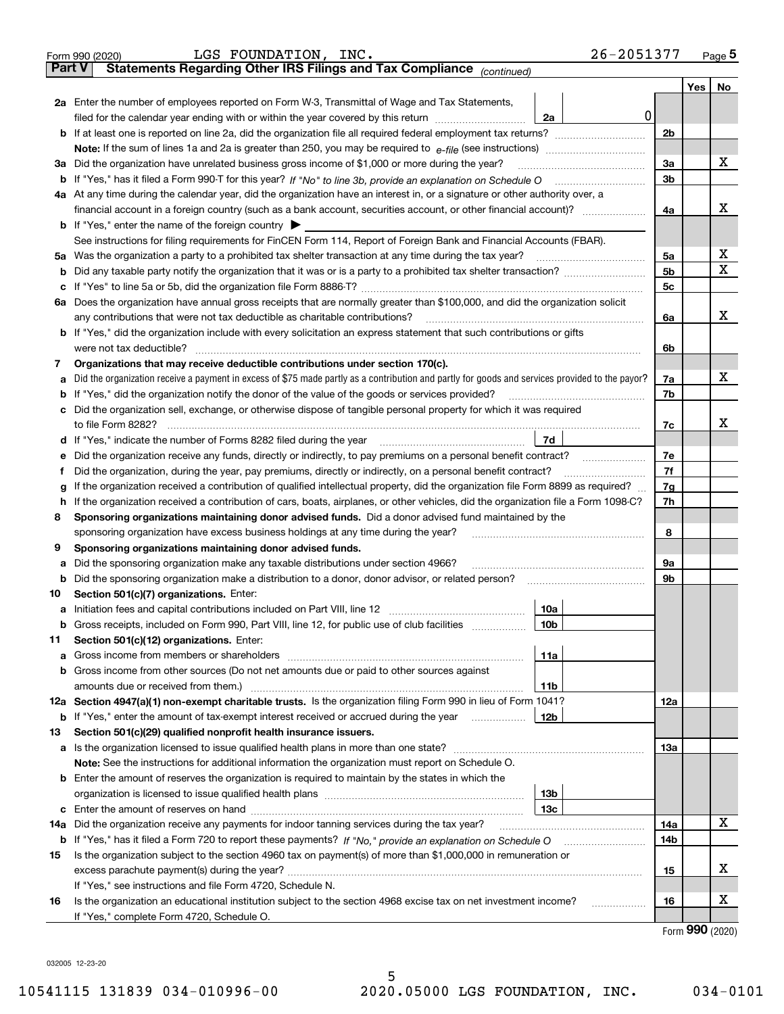|               | LGS FOUNDATION, INC.<br>26-2051377<br>Form 990 (2020)                                                                                                                                                         |                |     | Page 5                      |
|---------------|---------------------------------------------------------------------------------------------------------------------------------------------------------------------------------------------------------------|----------------|-----|-----------------------------|
| <b>Part V</b> | Statements Regarding Other IRS Filings and Tax Compliance (continued)                                                                                                                                         |                |     |                             |
|               |                                                                                                                                                                                                               |                | Yes | No                          |
|               | 2a Enter the number of employees reported on Form W-3, Transmittal of Wage and Tax Statements,                                                                                                                |                |     |                             |
|               | filed for the calendar year ending with or within the year covered by this return <i>manumumumum</i><br>2a                                                                                                    | 0              |     |                             |
|               |                                                                                                                                                                                                               | 2 <sub>b</sub> |     |                             |
|               |                                                                                                                                                                                                               |                |     |                             |
|               | 3a Did the organization have unrelated business gross income of \$1,000 or more during the year?                                                                                                              | 3a             |     | х                           |
|               |                                                                                                                                                                                                               | 3 <sub>b</sub> |     |                             |
|               | 4a At any time during the calendar year, did the organization have an interest in, or a signature or other authority over, a                                                                                  |                |     |                             |
|               | financial account in a foreign country (such as a bank account, securities account, or other financial account)?                                                                                              | 4a             |     | x                           |
|               | <b>b</b> If "Yes," enter the name of the foreign country $\blacktriangleright$                                                                                                                                |                |     |                             |
|               | See instructions for filing requirements for FinCEN Form 114, Report of Foreign Bank and Financial Accounts (FBAR).                                                                                           |                |     |                             |
|               |                                                                                                                                                                                                               | 5a             |     | х                           |
| b             |                                                                                                                                                                                                               | 5 <sub>b</sub> |     | x                           |
|               |                                                                                                                                                                                                               | 5с             |     |                             |
|               | 6a Does the organization have annual gross receipts that are normally greater than \$100,000, and did the organization solicit                                                                                |                |     |                             |
|               | any contributions that were not tax deductible as charitable contributions?                                                                                                                                   | 6a             |     | x                           |
|               | <b>b</b> If "Yes," did the organization include with every solicitation an express statement that such contributions or gifts                                                                                 |                |     |                             |
|               | were not tax deductible?                                                                                                                                                                                      | 6b             |     |                             |
| 7             | Organizations that may receive deductible contributions under section 170(c).                                                                                                                                 |                |     |                             |
| a             | Did the organization receive a payment in excess of \$75 made partly as a contribution and partly for goods and services provided to the payor?                                                               | 7a             |     | x                           |
|               | <b>b</b> If "Yes," did the organization notify the donor of the value of the goods or services provided?                                                                                                      | 7b             |     |                             |
|               | c Did the organization sell, exchange, or otherwise dispose of tangible personal property for which it was required                                                                                           |                |     |                             |
|               |                                                                                                                                                                                                               | 7c             |     | x                           |
|               | 7d<br>d If "Yes," indicate the number of Forms 8282 filed during the year [11] [11] The System manuscription of Forms 8282 filed during the year [11] [12] The System manuscription of the Year [12] $\sigma$ |                |     |                             |
| е             | Did the organization receive any funds, directly or indirectly, to pay premiums on a personal benefit contract?                                                                                               | 7e             |     |                             |
| f             | Did the organization, during the year, pay premiums, directly or indirectly, on a personal benefit contract?                                                                                                  | 7f             |     |                             |
| g             | If the organization received a contribution of qualified intellectual property, did the organization file Form 8899 as required?                                                                              | 7g             |     |                             |
| h.            | If the organization received a contribution of cars, boats, airplanes, or other vehicles, did the organization file a Form 1098-C?                                                                            | 7h             |     |                             |
| 8             | Sponsoring organizations maintaining donor advised funds. Did a donor advised fund maintained by the                                                                                                          |                |     |                             |
|               | sponsoring organization have excess business holdings at any time during the year?                                                                                                                            | 8              |     |                             |
| 9             | Sponsoring organizations maintaining donor advised funds.                                                                                                                                                     |                |     |                             |
| а             | Did the sponsoring organization make any taxable distributions under section 4966?                                                                                                                            | 9a             |     |                             |
|               | <b>b</b> Did the sponsoring organization make a distribution to a donor, donor advisor, or related person?                                                                                                    | 9b             |     |                             |
| 10            | Section 501(c)(7) organizations. Enter:                                                                                                                                                                       |                |     |                             |
|               | 10a                                                                                                                                                                                                           |                |     |                             |
|               | 10b <br>Gross receipts, included on Form 990, Part VIII, line 12, for public use of club facilities                                                                                                           |                |     |                             |
| 11            | Section 501(c)(12) organizations. Enter:                                                                                                                                                                      |                |     |                             |
|               | <b>a</b> Gross income from members or shareholders<br>11a                                                                                                                                                     |                |     |                             |
|               | b Gross income from other sources (Do not net amounts due or paid to other sources against                                                                                                                    |                |     |                             |
|               | 11b                                                                                                                                                                                                           |                |     |                             |
|               | 12a Section 4947(a)(1) non-exempt charitable trusts. Is the organization filing Form 990 in lieu of Form 1041?                                                                                                | 12a            |     |                             |
|               | <b>b</b> If "Yes," enter the amount of tax-exempt interest received or accrued during the year<br>12b                                                                                                         |                |     |                             |
| 13            | Section 501(c)(29) qualified nonprofit health insurance issuers.                                                                                                                                              |                |     |                             |
|               | <b>a</b> Is the organization licensed to issue qualified health plans in more than one state?                                                                                                                 | 13а            |     |                             |
|               | Note: See the instructions for additional information the organization must report on Schedule O.                                                                                                             |                |     |                             |
|               | <b>b</b> Enter the amount of reserves the organization is required to maintain by the states in which the                                                                                                     |                |     |                             |
|               | 13b                                                                                                                                                                                                           |                |     |                             |
|               | 13с                                                                                                                                                                                                           |                |     |                             |
| 14a           | Did the organization receive any payments for indoor tanning services during the tax year?                                                                                                                    | 14a            |     | x                           |
|               | <b>b</b> If "Yes," has it filed a Form 720 to report these payments? If "No," provide an explanation on Schedule O                                                                                            | 14b            |     |                             |
| 15            | Is the organization subject to the section 4960 tax on payment(s) of more than \$1,000,000 in remuneration or                                                                                                 |                |     |                             |
|               |                                                                                                                                                                                                               | 15             |     | x                           |
|               | If "Yes," see instructions and file Form 4720, Schedule N.                                                                                                                                                    |                |     |                             |
| 16            | Is the organization an educational institution subject to the section 4968 excise tax on net investment income?                                                                                               | 16             |     | x                           |
|               | If "Yes," complete Form 4720, Schedule O.                                                                                                                                                                     |                |     |                             |
|               |                                                                                                                                                                                                               |                |     | $F_{\text{arm}}$ 990 (2020) |

Form (2020) **990**

032005 12-23-20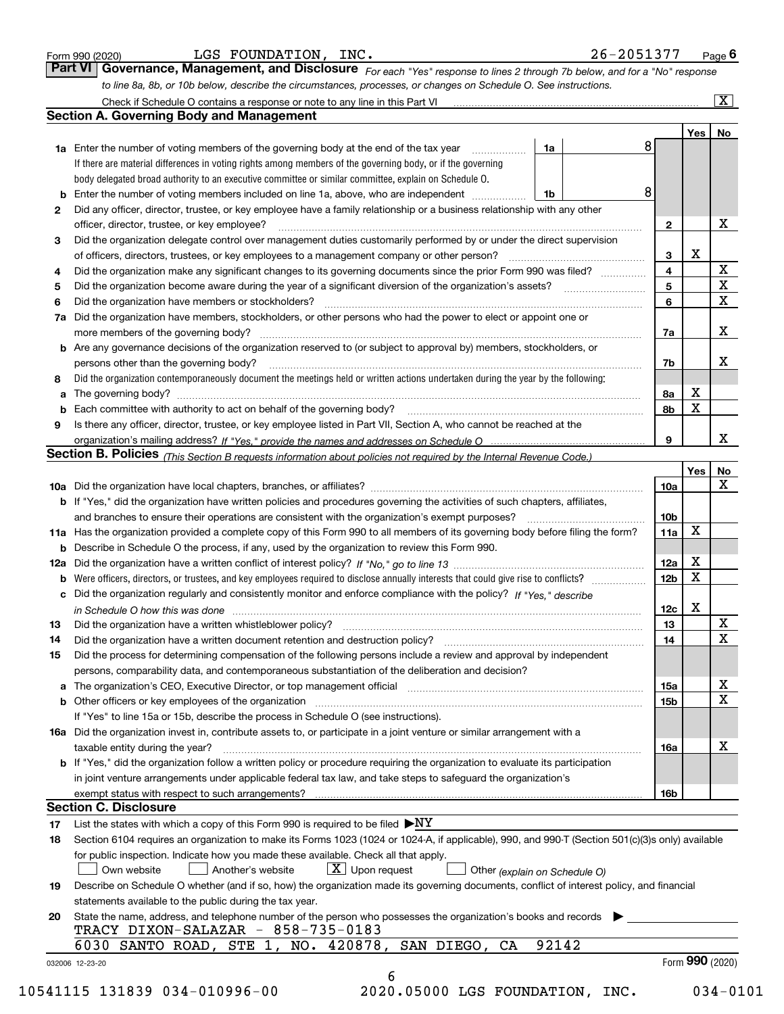|  | Form 990 (2020) |
|--|-----------------|
|  |                 |

| Form 990 (2020) | LGS FOUNDATION, INC. | 26-2051377                                                                                                                  | $P$ age $6$ |
|-----------------|----------------------|-----------------------------------------------------------------------------------------------------------------------------|-------------|
|                 |                      | Part VI Governance, Management, and Disclosure For each "Yes" response to lines 2 through 7b below, and for a "No" response |             |
|                 |                      | to line 8a, 8b, or 10b below, describe the circumstances, processes, or changes on Schedule O. See instructions.            |             |

|              |                                                                                                                                                                                                                                |       |                         | Yes             | No                      |
|--------------|--------------------------------------------------------------------------------------------------------------------------------------------------------------------------------------------------------------------------------|-------|-------------------------|-----------------|-------------------------|
|              | <b>1a</b> Enter the number of voting members of the governing body at the end of the tax year <i>manumum</i>                                                                                                                   | 1a    | 8                       |                 |                         |
|              | If there are material differences in voting rights among members of the governing body, or if the governing                                                                                                                    |       |                         |                 |                         |
|              | body delegated broad authority to an executive committee or similar committee, explain on Schedule O.                                                                                                                          |       |                         |                 |                         |
| b            | Enter the number of voting members included on line 1a, above, who are independent                                                                                                                                             | l 1b  | 8                       |                 |                         |
| $\mathbf{2}$ | Did any officer, director, trustee, or key employee have a family relationship or a business relationship with any other                                                                                                       |       |                         |                 |                         |
|              | officer, director, trustee, or key employee?                                                                                                                                                                                   |       | $\mathbf{2}$            |                 | х                       |
| 3            | Did the organization delegate control over management duties customarily performed by or under the direct supervision                                                                                                          |       |                         |                 |                         |
|              |                                                                                                                                                                                                                                |       | 3                       | X               |                         |
| 4            | Did the organization make any significant changes to its governing documents since the prior Form 990 was filed?                                                                                                               |       | $\overline{\mathbf{4}}$ |                 | $\mathbf X$             |
| 5            |                                                                                                                                                                                                                                |       | 5                       |                 | $\overline{\mathbf{x}}$ |
| 6            | Did the organization have members or stockholders?                                                                                                                                                                             |       | 6                       |                 | X                       |
|              | 7a Did the organization have members, stockholders, or other persons who had the power to elect or appoint one or                                                                                                              |       |                         |                 |                         |
|              |                                                                                                                                                                                                                                |       | 7a                      |                 | X                       |
|              | <b>b</b> Are any governance decisions of the organization reserved to (or subject to approval by) members, stockholders, or                                                                                                    |       |                         |                 |                         |
|              | persons other than the governing body?                                                                                                                                                                                         |       | 7b                      |                 | х                       |
| 8            | Did the organization contemporaneously document the meetings held or written actions undertaken during the year by the following:                                                                                              |       |                         |                 |                         |
| a            |                                                                                                                                                                                                                                |       | 8a                      | X               |                         |
| b            | Each committee with authority to act on behalf of the governing body? [10] manufacture manufacture with authority to act on behalf of the governing body? [10] manufacture with authority of the state with an interval and th |       | 8b                      | X               |                         |
| 9            | Is there any officer, director, trustee, or key employee listed in Part VII, Section A, who cannot be reached at the                                                                                                           |       |                         |                 |                         |
|              |                                                                                                                                                                                                                                |       | 9                       |                 | x                       |
|              | Section B. Policies (This Section B requests information about policies not required by the Internal Revenue Code.)                                                                                                            |       |                         |                 |                         |
|              |                                                                                                                                                                                                                                |       |                         | Yes             | No                      |
|              |                                                                                                                                                                                                                                |       | 10a                     |                 | X                       |
|              | <b>b</b> If "Yes," did the organization have written policies and procedures governing the activities of such chapters, affiliates,                                                                                            |       |                         |                 |                         |
|              |                                                                                                                                                                                                                                |       | 10 <sub>b</sub>         |                 |                         |
|              | 11a Has the organization provided a complete copy of this Form 990 to all members of its governing body before filing the form?                                                                                                |       | 11a                     | X               |                         |
|              | <b>b</b> Describe in Schedule O the process, if any, used by the organization to review this Form 990.                                                                                                                         |       |                         |                 |                         |
|              |                                                                                                                                                                                                                                |       | 12a                     | X               |                         |
| b            |                                                                                                                                                                                                                                |       | 12 <sub>b</sub>         | X               |                         |
| c            | Did the organization regularly and consistently monitor and enforce compliance with the policy? If "Yes," describe                                                                                                             |       |                         |                 |                         |
|              | in Schedule O how this was done material contracts and the set of the state of the state of the state of the state of the state of the state of the state of the state of the state of the state of the state of the state of  |       | 12c                     | X               |                         |
| 13           |                                                                                                                                                                                                                                |       | 13                      |                 | X                       |
| 14           | Did the organization have a written document retention and destruction policy? manufactured and the organization have a written document retention and destruction policy?                                                     |       | 14                      |                 | $\mathbf X$             |
| 15           | Did the process for determining compensation of the following persons include a review and approval by independent                                                                                                             |       |                         |                 |                         |
|              | persons, comparability data, and contemporaneous substantiation of the deliberation and decision?                                                                                                                              |       |                         |                 |                         |
|              | a The organization's CEO, Executive Director, or top management official manufactured content content of the organization's CEO, Executive Director, or top management official manufactured content of the state of the state |       | 15a                     |                 | х                       |
|              | <b>b</b> Other officers or key employees of the organization                                                                                                                                                                   |       | 15b                     |                 | X                       |
|              | If "Yes" to line 15a or 15b, describe the process in Schedule O (see instructions).                                                                                                                                            |       |                         |                 |                         |
|              |                                                                                                                                                                                                                                |       |                         |                 |                         |
|              | 16a Did the organization invest in, contribute assets to, or participate in a joint venture or similar arrangement with a                                                                                                      |       |                         |                 | X                       |
|              | taxable entity during the year?<br>b If "Yes," did the organization follow a written policy or procedure requiring the organization to evaluate its participation                                                              |       | 16a                     |                 |                         |
|              |                                                                                                                                                                                                                                |       |                         |                 |                         |
|              | in joint venture arrangements under applicable federal tax law, and take steps to safeguard the organization's                                                                                                                 |       |                         |                 |                         |
|              | exempt status with respect to such arrangements?<br><b>Section C. Disclosure</b>                                                                                                                                               |       | 16b                     |                 |                         |
|              |                                                                                                                                                                                                                                |       |                         |                 |                         |
| 17           | List the states with which a copy of this Form 990 is required to be filed $\blacktriangleright$ NY                                                                                                                            |       |                         |                 |                         |
| 18           | Section 6104 requires an organization to make its Forms 1023 (1024 or 1024-A, if applicable), 990, and 990-T (Section 501(c)(3)s only) available                                                                               |       |                         |                 |                         |
|              | for public inspection. Indicate how you made these available. Check all that apply.                                                                                                                                            |       |                         |                 |                         |
|              | $X$ Upon request<br>Another's website<br>Own website<br>Other (explain on Schedule O)                                                                                                                                          |       |                         |                 |                         |
| 19           | Describe on Schedule O whether (and if so, how) the organization made its governing documents, conflict of interest policy, and financial                                                                                      |       |                         |                 |                         |
|              | statements available to the public during the tax year.                                                                                                                                                                        |       |                         |                 |                         |
| 20           | State the name, address, and telephone number of the person who possesses the organization's books and records                                                                                                                 |       |                         |                 |                         |
|              | TRACY DIXON-SALAZAR - 858-735-0183                                                                                                                                                                                             |       |                         |                 |                         |
|              | 6030 SANTO ROAD, STE 1, NO. 420878, SAN DIEGO, CA                                                                                                                                                                              | 92142 |                         |                 |                         |
|              | 032006 12-23-20                                                                                                                                                                                                                |       |                         | Form 990 (2020) |                         |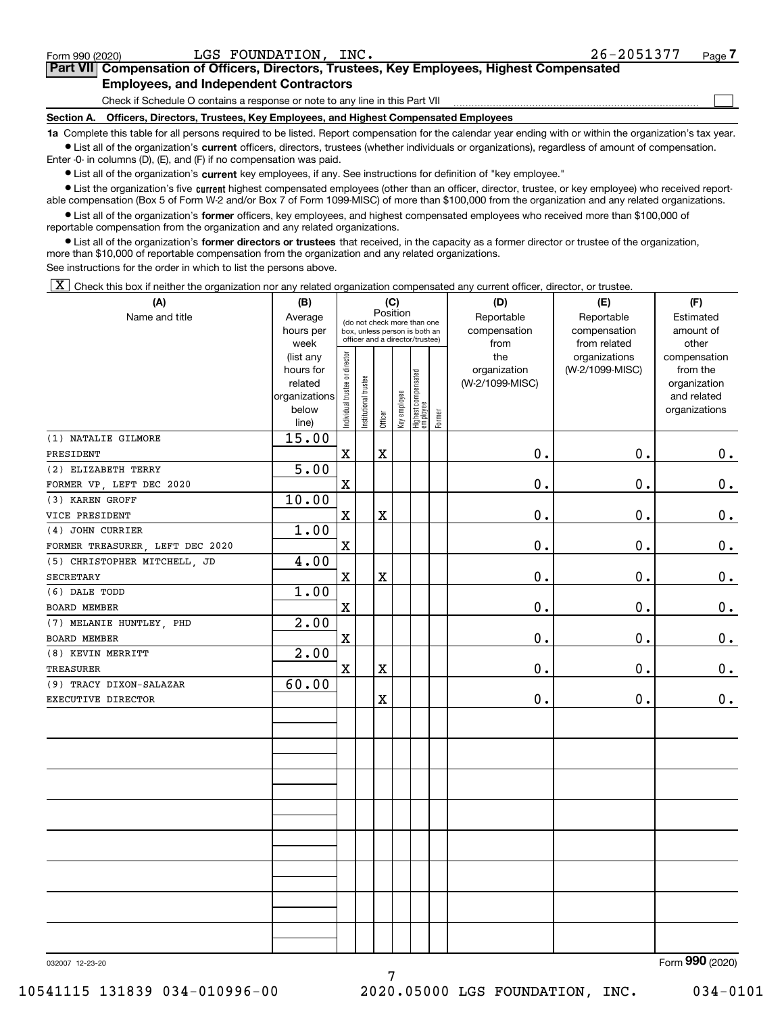| Form 990 (2020) | LGS FOUNDATION, INC.                                                                                                                                      | 26-2051377 | Page |
|-----------------|-----------------------------------------------------------------------------------------------------------------------------------------------------------|------------|------|
|                 | Part VII Compensation of Officers, Directors, Trustees, Key Employees, Highest Compensated                                                                |            |      |
|                 | <b>Employees, and Independent Contractors</b>                                                                                                             |            |      |
|                 | Check if Schedule O contains a response or note to any line in this Part VII                                                                              |            |      |
| Section A.      | Officers, Directors, Trustees, Key Employees, and Highest Compensated Employees                                                                           |            |      |
|                 | to Complete this tople for all persons required to be listed. Benef compensation for the colondary very ending with or within the examination's toy year. |            |      |

**1a •** List all of the organization's current officers, directors, trustees (whether individuals or organizations), regardless of amount of compensation. for all persons required to be listed. Report compensation for the calendar year ending with or within the organization's tax ye Enter -0- in columns (D), (E), and (F) if no compensation was paid.

 $\bullet$  List all of the organization's  $\,$ current key employees, if any. See instructions for definition of "key employee."

**•** List the organization's five current highest compensated employees (other than an officer, director, trustee, or key employee) who received reportable compensation (Box 5 of Form W-2 and/or Box 7 of Form 1099-MISC) of more than \$100,000 from the organization and any related organizations.

**•** List all of the organization's former officers, key employees, and highest compensated employees who received more than \$100,000 of reportable compensation from the organization and any related organizations.

**former directors or trustees**  ¥ List all of the organization's that received, in the capacity as a former director or trustee of the organization, more than \$10,000 of reportable compensation from the organization and any related organizations.

See instructions for the order in which to list the persons above.

 $\boxed{\textbf{X}}$  Check this box if neither the organization nor any related organization compensated any current officer, director, or trustee.

| (A)                             | (B)               |                                |                       |                                                                  | (C)          |                                 |        | (D)             | (E)                           | (F)                   |
|---------------------------------|-------------------|--------------------------------|-----------------------|------------------------------------------------------------------|--------------|---------------------------------|--------|-----------------|-------------------------------|-----------------------|
| Name and title                  | Average           |                                |                       | Position<br>(do not check more than one                          |              |                                 |        | Reportable      | Reportable                    | Estimated             |
|                                 | hours per         |                                |                       | box, unless person is both an<br>officer and a director/trustee) |              |                                 |        | compensation    | compensation                  | amount of             |
|                                 | week<br>(list any |                                |                       |                                                                  |              |                                 |        | from<br>the     | from related<br>organizations | other<br>compensation |
|                                 | hours for         |                                |                       |                                                                  |              |                                 |        | organization    | (W-2/1099-MISC)               | from the              |
|                                 | related           |                                |                       |                                                                  |              |                                 |        | (W-2/1099-MISC) |                               | organization          |
|                                 | organizations     |                                |                       |                                                                  |              |                                 |        |                 |                               | and related           |
|                                 | below             | Individual trustee or director | Institutional trustee |                                                                  | Key employee | Highest compensated<br>employee |        |                 |                               | organizations         |
|                                 | line)             |                                |                       | Officer                                                          |              |                                 | Former |                 |                               |                       |
| (1) NATALIE GILMORE             | 15.00             |                                |                       |                                                                  |              |                                 |        |                 |                               |                       |
| PRESIDENT                       |                   | $\mathbf X$                    |                       | $\mathbf X$                                                      |              |                                 |        | 0.              | $\mathbf 0$ .                 | $0_{.}$               |
| (2) ELIZABETH TERRY             | 5.00              |                                |                       |                                                                  |              |                                 |        |                 |                               |                       |
| FORMER VP, LEFT DEC 2020        |                   | X                              |                       |                                                                  |              |                                 |        | 0.              | 0.                            | $\mathbf 0$ .         |
| (3) KAREN GROFF                 | 10.00             |                                |                       |                                                                  |              |                                 |        |                 |                               |                       |
| VICE PRESIDENT                  |                   | X                              |                       | $\mathbf X$                                                      |              |                                 |        | 0.              | 0.                            | $\mathbf 0$ .         |
| (4) JOHN CURRIER                | 1.00              |                                |                       |                                                                  |              |                                 |        |                 |                               |                       |
| FORMER TREASURER, LEFT DEC 2020 |                   | X                              |                       |                                                                  |              |                                 |        | 0.              | 0.                            | $\mathbf 0$ .         |
| (5) CHRISTOPHER MITCHELL, JD    | 4.00              |                                |                       |                                                                  |              |                                 |        |                 |                               |                       |
| <b>SECRETARY</b>                |                   | $\mathbf X$                    |                       | $\mathbf X$                                                      |              |                                 |        | 0.              | 0.                            | $\mathbf 0$ .         |
| (6) DALE TODD                   | 1.00              |                                |                       |                                                                  |              |                                 |        |                 |                               |                       |
| BOARD MEMBER                    |                   | $\mathbf X$                    |                       |                                                                  |              |                                 |        | 0.              | 0.                            | $\mathbf 0$ .         |
| (7) MELANIE HUNTLEY, PHD        | 2.00              |                                |                       |                                                                  |              |                                 |        |                 |                               |                       |
| <b>BOARD MEMBER</b>             |                   | $\mathbf X$                    |                       |                                                                  |              |                                 |        | 0.              | 0.                            | $\mathbf 0$ .         |
| (8) KEVIN MERRITT               | 2.00              |                                |                       |                                                                  |              |                                 |        |                 |                               |                       |
| TREASURER                       |                   | $\mathbf X$                    |                       | $\mathbf X$                                                      |              |                                 |        | 0.              | 0.                            | $\mathbf 0$ .         |
| (9) TRACY DIXON-SALAZAR         | 60.00             |                                |                       |                                                                  |              |                                 |        |                 |                               |                       |
| EXECUTIVE DIRECTOR              |                   |                                |                       | $\mathbf X$                                                      |              |                                 |        | 0.              | 0.                            | 0.                    |
|                                 |                   |                                |                       |                                                                  |              |                                 |        |                 |                               |                       |
|                                 |                   |                                |                       |                                                                  |              |                                 |        |                 |                               |                       |
|                                 |                   |                                |                       |                                                                  |              |                                 |        |                 |                               |                       |
|                                 |                   |                                |                       |                                                                  |              |                                 |        |                 |                               |                       |
|                                 |                   |                                |                       |                                                                  |              |                                 |        |                 |                               |                       |
|                                 |                   |                                |                       |                                                                  |              |                                 |        |                 |                               |                       |
|                                 |                   |                                |                       |                                                                  |              |                                 |        |                 |                               |                       |
|                                 |                   |                                |                       |                                                                  |              |                                 |        |                 |                               |                       |
|                                 |                   |                                |                       |                                                                  |              |                                 |        |                 |                               |                       |
|                                 |                   |                                |                       |                                                                  |              |                                 |        |                 |                               |                       |
|                                 |                   |                                |                       |                                                                  |              |                                 |        |                 |                               |                       |
|                                 |                   |                                |                       |                                                                  |              |                                 |        |                 |                               |                       |
|                                 |                   |                                |                       |                                                                  |              |                                 |        |                 |                               |                       |
|                                 |                   |                                |                       |                                                                  |              |                                 |        |                 |                               |                       |
|                                 |                   |                                |                       |                                                                  |              |                                 |        |                 |                               |                       |
|                                 |                   |                                |                       |                                                                  |              |                                 |        |                 |                               |                       |
|                                 |                   |                                |                       |                                                                  |              |                                 |        |                 |                               |                       |

7

032007 12-23-20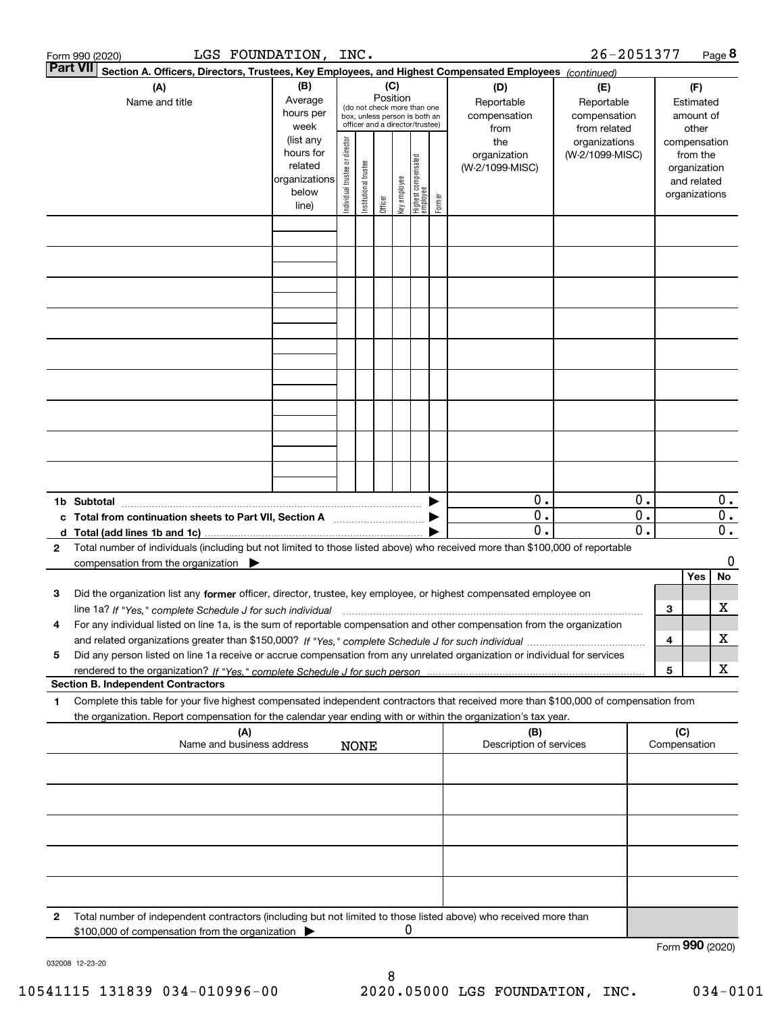|              | Form 990 (2020)                                                                                                                                                                                                                                                          | LGS FOUNDATION, INC. |                                                                      |                               |                       |                 |              |                                                                                                 |        |                                                                                                        | 26-2051377                                        |                        |        |                                                                          | Page 8                 |
|--------------|--------------------------------------------------------------------------------------------------------------------------------------------------------------------------------------------------------------------------------------------------------------------------|----------------------|----------------------------------------------------------------------|-------------------------------|-----------------------|-----------------|--------------|-------------------------------------------------------------------------------------------------|--------|--------------------------------------------------------------------------------------------------------|---------------------------------------------------|------------------------|--------|--------------------------------------------------------------------------|------------------------|
|              | <b>Part VII</b>                                                                                                                                                                                                                                                          |                      |                                                                      |                               |                       |                 |              |                                                                                                 |        | Section A. Officers, Directors, Trustees, Key Employees, and Highest Compensated Employees (continued) |                                                   |                        |        |                                                                          |                        |
|              | (B)<br>(A)<br>Average<br>Name and title<br>hours per<br>week                                                                                                                                                                                                             |                      |                                                                      |                               |                       | (C)<br>Position |              | (do not check more than one<br>box, unless person is both an<br>officer and a director/trustee) |        | (D)<br>Reportable<br>compensation<br>from                                                              | (E)<br>Reportable<br>compensation<br>from related |                        |        | (F)<br>Estimated<br>amount of<br>other                                   |                        |
|              |                                                                                                                                                                                                                                                                          |                      | (list any<br>hours for<br>related<br>organizations<br>below<br>line) | ndividual trustee or director | Institutional trustee | Officer         | Key employee | Highest compensated<br>employee                                                                 | Former | the<br>organization<br>(W-2/1099-MISC)                                                                 | organizations<br>(W-2/1099-MISC)                  |                        |        | compensation<br>from the<br>organization<br>and related<br>organizations |                        |
|              |                                                                                                                                                                                                                                                                          |                      |                                                                      |                               |                       |                 |              |                                                                                                 |        |                                                                                                        |                                                   |                        |        |                                                                          |                        |
|              |                                                                                                                                                                                                                                                                          |                      |                                                                      |                               |                       |                 |              |                                                                                                 |        |                                                                                                        |                                                   |                        |        |                                                                          |                        |
|              |                                                                                                                                                                                                                                                                          |                      |                                                                      |                               |                       |                 |              |                                                                                                 |        |                                                                                                        |                                                   |                        |        |                                                                          |                        |
|              |                                                                                                                                                                                                                                                                          |                      |                                                                      |                               |                       |                 |              |                                                                                                 |        |                                                                                                        |                                                   |                        |        |                                                                          |                        |
|              |                                                                                                                                                                                                                                                                          |                      |                                                                      |                               |                       |                 |              |                                                                                                 |        |                                                                                                        |                                                   |                        |        |                                                                          |                        |
|              | 1b Subtotal                                                                                                                                                                                                                                                              |                      |                                                                      |                               |                       |                 |              |                                                                                                 |        | 0.                                                                                                     |                                                   | 0.                     |        |                                                                          | 0.                     |
| $\mathbf{2}$ | c Total from continuation sheets to Part VII, Section A <b>manual</b> contains the Total from continuum<br>d Total (add lines 1b and 1c)<br>Total number of individuals (including but not limited to those listed above) who received more than \$100,000 of reportable |                      |                                                                      |                               |                       |                 |              |                                                                                                 |        | $\overline{0}$ .<br>$\mathbf 0$ .                                                                      |                                                   | 0.<br>$\overline{0}$ . |        |                                                                          | 0.<br>$\overline{0}$ . |
|              | compensation from the organization $\blacktriangleright$                                                                                                                                                                                                                 |                      |                                                                      |                               |                       |                 |              |                                                                                                 |        |                                                                                                        |                                                   |                        |        | Yes                                                                      | 0<br>No                |
| з<br>4       | Did the organization list any former officer, director, trustee, key employee, or highest compensated employee on<br>For any individual listed on line 1a, is the sum of reportable compensation and other compensation from the organization                            |                      |                                                                      |                               |                       |                 |              |                                                                                                 |        |                                                                                                        |                                                   |                        | 3      |                                                                          | х                      |
| 5            | Did any person listed on line 1a receive or accrue compensation from any unrelated organization or individual for services                                                                                                                                               |                      |                                                                      |                               |                       |                 |              |                                                                                                 |        |                                                                                                        |                                                   |                        | 4<br>5 |                                                                          | х<br>x                 |
|              | <b>Section B. Independent Contractors</b>                                                                                                                                                                                                                                |                      |                                                                      |                               |                       |                 |              |                                                                                                 |        |                                                                                                        |                                                   |                        |        |                                                                          |                        |
| 1            | Complete this table for your five highest compensated independent contractors that received more than \$100,000 of compensation from<br>the organization. Report compensation for the calendar year ending with or within the organization's tax year.                   |                      |                                                                      |                               |                       |                 |              |                                                                                                 |        |                                                                                                        |                                                   |                        |        |                                                                          |                        |
|              | (A)<br>(B)<br>Name and business address<br>Description of services<br><b>NONE</b>                                                                                                                                                                                        |                      |                                                                      |                               |                       |                 |              |                                                                                                 |        | (C)                                                                                                    | Compensation                                      |                        |        |                                                                          |                        |
|              |                                                                                                                                                                                                                                                                          |                      |                                                                      |                               |                       |                 |              |                                                                                                 |        |                                                                                                        |                                                   |                        |        |                                                                          |                        |
|              |                                                                                                                                                                                                                                                                          |                      |                                                                      |                               |                       |                 |              |                                                                                                 |        |                                                                                                        |                                                   |                        |        |                                                                          |                        |
|              |                                                                                                                                                                                                                                                                          |                      |                                                                      |                               |                       |                 |              |                                                                                                 |        |                                                                                                        |                                                   |                        |        |                                                                          |                        |
| 2            | Total number of independent contractors (including but not limited to those listed above) who received more than<br>\$100,000 of compensation from the organization                                                                                                      |                      |                                                                      |                               |                       |                 | U            |                                                                                                 |        |                                                                                                        |                                                   |                        |        | QQQ                                                                      |                        |

032008 12-23-20

Form (2020) **990**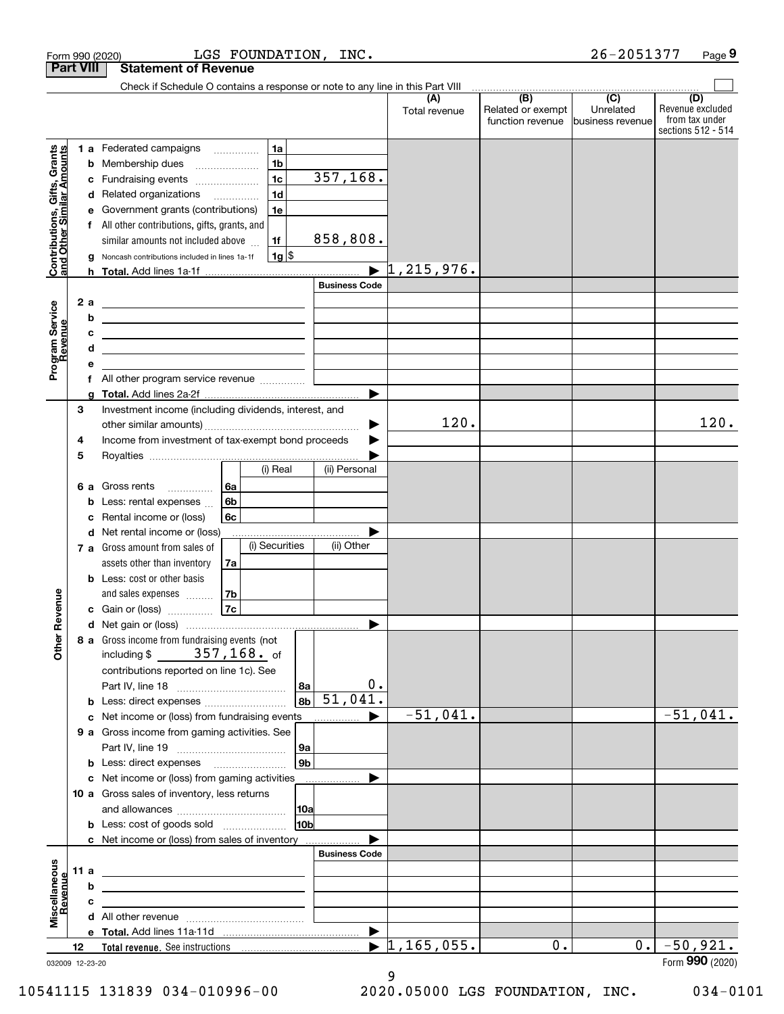|                                                           |                  | Form 990 (2020)                                                                                                      | LGS FOUNDATION, INC. |                       |                      |                                              | 26-2051377                                        | Page 9                                                          |
|-----------------------------------------------------------|------------------|----------------------------------------------------------------------------------------------------------------------|----------------------|-----------------------|----------------------|----------------------------------------------|---------------------------------------------------|-----------------------------------------------------------------|
|                                                           | <b>Part VIII</b> | <b>Statement of Revenue</b>                                                                                          |                      |                       |                      |                                              |                                                   |                                                                 |
|                                                           |                  | Check if Schedule O contains a response or note to any line in this Part VIII                                        |                      |                       |                      |                                              |                                                   |                                                                 |
|                                                           |                  |                                                                                                                      |                      |                       | (A)<br>Total revenue | (B)<br>Related or exempt<br>function revenue | $\overline{(C)}$<br>Unrelated<br>business revenue | (D)<br>Revenue excluded<br>from tax under<br>sections 512 - 514 |
|                                                           |                  | 1 a Federated campaigns                                                                                              | 1a                   |                       |                      |                                              |                                                   |                                                                 |
| Contributions, Gifts, Grants<br>and Other Similar Amounts | b                | Membership dues                                                                                                      | 1 <sub>b</sub>       |                       |                      |                                              |                                                   |                                                                 |
|                                                           | с                | Fundraising events                                                                                                   | 1 <sub>c</sub>       | 357, 168.             |                      |                                              |                                                   |                                                                 |
|                                                           | d                | Related organizations <i>mimiming</i>                                                                                | 1 <sub>d</sub>       |                       |                      |                                              |                                                   |                                                                 |
|                                                           | е                | Government grants (contributions)                                                                                    | 1e                   |                       |                      |                                              |                                                   |                                                                 |
|                                                           | f                | All other contributions, gifts, grants, and                                                                          |                      |                       |                      |                                              |                                                   |                                                                 |
|                                                           |                  | similar amounts not included above                                                                                   | 1f                   | 858,808.              |                      |                                              |                                                   |                                                                 |
|                                                           | g                | Noncash contributions included in lines 1a-1f                                                                        | $1g$ \$              |                       |                      |                                              |                                                   |                                                                 |
|                                                           |                  |                                                                                                                      |                      |                       | 1,215,976.           |                                              |                                                   |                                                                 |
|                                                           |                  |                                                                                                                      |                      | <b>Business Code</b>  |                      |                                              |                                                   |                                                                 |
|                                                           |                  |                                                                                                                      |                      |                       |                      |                                              |                                                   |                                                                 |
|                                                           | 2a               | <u>experience</u> and the contract of the contract of the contract of the contract of                                |                      |                       |                      |                                              |                                                   |                                                                 |
|                                                           | b                | <u> 1989 - Andrea Stadt Britain, amerikansk politik (</u>                                                            |                      |                       |                      |                                              |                                                   |                                                                 |
| Program Service<br>Revenue                                | с                | <u> Alexandria de la contrada de la contrada de la contrada de la contrada de la contrada de la contrada de la c</u> |                      |                       |                      |                                              |                                                   |                                                                 |
|                                                           | d                | <u> 1989 - Johann Barn, amerikansk politiker (d. 1989)</u>                                                           |                      |                       |                      |                                              |                                                   |                                                                 |
|                                                           | е                |                                                                                                                      |                      |                       |                      |                                              |                                                   |                                                                 |
|                                                           | f                |                                                                                                                      |                      |                       |                      |                                              |                                                   |                                                                 |
|                                                           | g<br>3           |                                                                                                                      |                      |                       |                      |                                              |                                                   |                                                                 |
|                                                           |                  | Investment income (including dividends, interest, and                                                                |                      |                       | 120.                 |                                              |                                                   | 120.                                                            |
|                                                           |                  |                                                                                                                      |                      | ▶                     |                      |                                              |                                                   |                                                                 |
|                                                           | 4                | Income from investment of tax-exempt bond proceeds                                                                   |                      |                       |                      |                                              |                                                   |                                                                 |
|                                                           | 5                |                                                                                                                      | (i) Real             | (ii) Personal         |                      |                                              |                                                   |                                                                 |
|                                                           |                  |                                                                                                                      |                      |                       |                      |                                              |                                                   |                                                                 |
|                                                           | 6а               | 6a<br>Gross rents                                                                                                    |                      |                       |                      |                                              |                                                   |                                                                 |
|                                                           | b                | 6b<br>Less: rental expenses                                                                                          |                      |                       |                      |                                              |                                                   |                                                                 |
|                                                           | с                | Rental income or (loss)<br>6с                                                                                        |                      |                       |                      |                                              |                                                   |                                                                 |
|                                                           |                  | d Net rental income or (loss)                                                                                        |                      |                       |                      |                                              |                                                   |                                                                 |
|                                                           |                  | 7 a Gross amount from sales of                                                                                       | (i) Securities       | (ii) Other            |                      |                                              |                                                   |                                                                 |
|                                                           |                  | assets other than inventory<br>7a                                                                                    |                      |                       |                      |                                              |                                                   |                                                                 |
|                                                           |                  | <b>b</b> Less: cost or other basis                                                                                   |                      |                       |                      |                                              |                                                   |                                                                 |
| evenue                                                    |                  | 7b<br>and sales expenses                                                                                             |                      |                       |                      |                                              |                                                   |                                                                 |
|                                                           |                  | 7c<br>c Gain or (loss)                                                                                               |                      |                       |                      |                                              |                                                   |                                                                 |
|                                                           |                  |                                                                                                                      |                      |                       |                      |                                              |                                                   |                                                                 |
| Other <sub>R</sub>                                        |                  | 8 a Gross income from fundraising events (not                                                                        |                      |                       |                      |                                              |                                                   |                                                                 |
|                                                           |                  | including \$ $357, 168$ . of                                                                                         |                      |                       |                      |                                              |                                                   |                                                                 |
|                                                           |                  | contributions reported on line 1c). See                                                                              |                      |                       |                      |                                              |                                                   |                                                                 |
|                                                           |                  |                                                                                                                      | 8a                   | 0.                    |                      |                                              |                                                   |                                                                 |
|                                                           |                  | <b>b</b> Less: direct expenses <b>constants b</b>                                                                    | 8 <sub>b</sub>       | 51,041.               |                      |                                              |                                                   |                                                                 |
|                                                           |                  | c Net income or (loss) from fundraising events                                                                       |                      | ▶                     | $-51,041.$           |                                              |                                                   | $-51,041.$                                                      |
|                                                           |                  | 9 a Gross income from gaming activities. See                                                                         |                      |                       |                      |                                              |                                                   |                                                                 |
|                                                           |                  |                                                                                                                      | 9a                   |                       |                      |                                              |                                                   |                                                                 |
|                                                           |                  | <b>b</b> Less: direct expenses <b>manually</b>                                                                       | 9 <sub>b</sub>       |                       |                      |                                              |                                                   |                                                                 |
|                                                           |                  | c Net income or (loss) from gaming activities                                                                        |                      | .                     |                      |                                              |                                                   |                                                                 |
|                                                           |                  | 10 a Gross sales of inventory, less returns                                                                          |                      |                       |                      |                                              |                                                   |                                                                 |
|                                                           |                  |                                                                                                                      | 10a                  |                       |                      |                                              |                                                   |                                                                 |
|                                                           |                  | <b>b</b> Less: cost of goods sold                                                                                    | 10 <sub>b</sub>      |                       |                      |                                              |                                                   |                                                                 |
|                                                           |                  | c Net income or (loss) from sales of inventory                                                                       |                      |                       |                      |                                              |                                                   |                                                                 |
|                                                           |                  |                                                                                                                      |                      | <b>Business Code</b>  |                      |                                              |                                                   |                                                                 |
|                                                           | 11 a             | <u> 1989 - Johann John Stein, fransk politik (f. 1989)</u>                                                           |                      |                       |                      |                                              |                                                   |                                                                 |
|                                                           | b                | the contract of the contract of the contract of the contract of the contract of                                      |                      |                       |                      |                                              |                                                   |                                                                 |
| Miscellaneous<br>Revenue                                  | c                | the contract of the contract of the contract of the contract of the contract of                                      |                      |                       |                      |                                              |                                                   |                                                                 |
|                                                           |                  |                                                                                                                      |                      |                       |                      |                                              |                                                   |                                                                 |
|                                                           |                  |                                                                                                                      |                      | $\blacktriangleright$ |                      |                                              |                                                   |                                                                 |
|                                                           | 12               |                                                                                                                      |                      | $\blacktriangleright$ | 1, 165, 055.         | 0.                                           | 0.                                                | $-50,921.$                                                      |
|                                                           | 032009 12-23-20  |                                                                                                                      |                      |                       |                      |                                              |                                                   | Form 990 (2020)                                                 |

10541115 131839 034-010996-00 2020.05000 LGS FOUNDATION, INC. 034-0101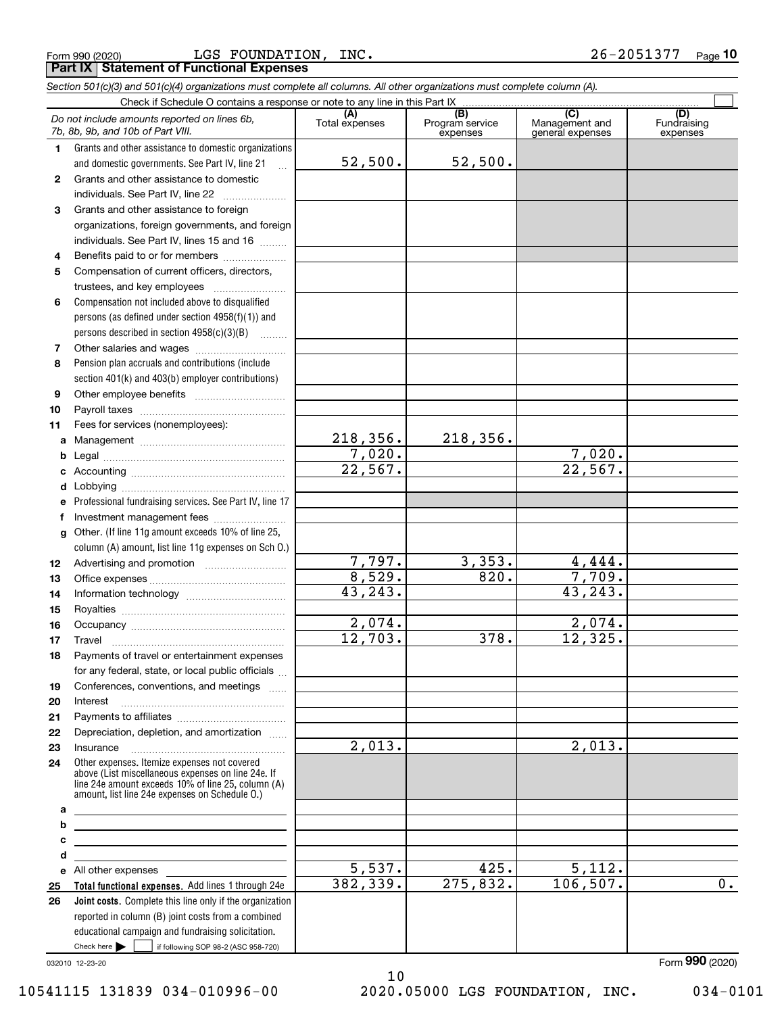|  | Form 990 (2020) |
|--|-----------------|
|  |                 |

Form 990 (2020) LGS FOUNDATION , INC . 2 6-2 0 5 1 3 7 7 Page **Part IX Statement of Functional Expenses**

|              | Section 501(c)(3) and 501(c)(4) organizations must complete all columns. All other organizations must complete column (A).                                                                                 |                       |                                    |                                           |                                |
|--------------|------------------------------------------------------------------------------------------------------------------------------------------------------------------------------------------------------------|-----------------------|------------------------------------|-------------------------------------------|--------------------------------|
|              | Check if Schedule O contains a response or note to any line in this Part IX                                                                                                                                |                       |                                    |                                           |                                |
|              | Do not include amounts reported on lines 6b,<br>7b, 8b, 9b, and 10b of Part VIII.                                                                                                                          | (A)<br>Total expenses | (B)<br>Program service<br>expenses | (C)<br>Management and<br>general expenses | (D)<br>Fundraising<br>expenses |
| 1.           | Grants and other assistance to domestic organizations                                                                                                                                                      |                       |                                    |                                           |                                |
|              | and domestic governments. See Part IV, line 21                                                                                                                                                             | 52,500.               | 52,500.                            |                                           |                                |
| $\mathbf{2}$ | Grants and other assistance to domestic                                                                                                                                                                    |                       |                                    |                                           |                                |
|              | individuals. See Part IV, line 22                                                                                                                                                                          |                       |                                    |                                           |                                |
| 3            | Grants and other assistance to foreign                                                                                                                                                                     |                       |                                    |                                           |                                |
|              | organizations, foreign governments, and foreign                                                                                                                                                            |                       |                                    |                                           |                                |
|              | individuals. See Part IV, lines 15 and 16                                                                                                                                                                  |                       |                                    |                                           |                                |
| 4            | Benefits paid to or for members                                                                                                                                                                            |                       |                                    |                                           |                                |
| 5            | Compensation of current officers, directors,                                                                                                                                                               |                       |                                    |                                           |                                |
|              | trustees, and key employees                                                                                                                                                                                |                       |                                    |                                           |                                |
| 6            | Compensation not included above to disqualified                                                                                                                                                            |                       |                                    |                                           |                                |
|              | persons (as defined under section 4958(f)(1)) and                                                                                                                                                          |                       |                                    |                                           |                                |
|              | persons described in section 4958(c)(3)(B)                                                                                                                                                                 |                       |                                    |                                           |                                |
| 7            |                                                                                                                                                                                                            |                       |                                    |                                           |                                |
| 8            | Pension plan accruals and contributions (include                                                                                                                                                           |                       |                                    |                                           |                                |
|              | section 401(k) and 403(b) employer contributions)                                                                                                                                                          |                       |                                    |                                           |                                |
| 9            |                                                                                                                                                                                                            |                       |                                    |                                           |                                |
| 10           |                                                                                                                                                                                                            |                       |                                    |                                           |                                |
| 11           | Fees for services (nonemployees):                                                                                                                                                                          |                       |                                    |                                           |                                |
| а            |                                                                                                                                                                                                            | 218,356.              | 218,356.                           |                                           |                                |
| b            |                                                                                                                                                                                                            | 7,020.                |                                    | $\frac{7,020}{22,567}$                    |                                |
| c            |                                                                                                                                                                                                            | 22,567.               |                                    |                                           |                                |
| d            |                                                                                                                                                                                                            |                       |                                    |                                           |                                |
|              | Professional fundraising services. See Part IV, line 17                                                                                                                                                    |                       |                                    |                                           |                                |
|              | Investment management fees                                                                                                                                                                                 |                       |                                    |                                           |                                |
| g            | Other. (If line 11g amount exceeds 10% of line 25,                                                                                                                                                         |                       |                                    |                                           |                                |
|              | column (A) amount, list line 11g expenses on Sch O.)                                                                                                                                                       |                       |                                    |                                           |                                |
| 12           |                                                                                                                                                                                                            | 7,797.                | 3,353.                             | 4,444.                                    |                                |
| 13           |                                                                                                                                                                                                            | 8,529.                | 820.                               | 7,709.                                    |                                |
| 14           |                                                                                                                                                                                                            | 43,243.               |                                    | 43, 243.                                  |                                |
| 15           |                                                                                                                                                                                                            |                       |                                    |                                           |                                |
| 16           |                                                                                                                                                                                                            | 2,074.                |                                    | 2,074.                                    |                                |
| 17           |                                                                                                                                                                                                            | 12,703.               | 378.                               | 12,325.                                   |                                |
| 18           | Payments of travel or entertainment expenses                                                                                                                                                               |                       |                                    |                                           |                                |
|              | for any federal, state, or local public officials                                                                                                                                                          |                       |                                    |                                           |                                |
| 19           | Conferences, conventions, and meetings                                                                                                                                                                     |                       |                                    |                                           |                                |
| 20           | Interest                                                                                                                                                                                                   |                       |                                    |                                           |                                |
| 21           |                                                                                                                                                                                                            |                       |                                    |                                           |                                |
| 22           | Depreciation, depletion, and amortization                                                                                                                                                                  | 2,013.                |                                    |                                           |                                |
| 23           | Insurance                                                                                                                                                                                                  |                       |                                    | 2,013.                                    |                                |
| 24           | Other expenses. Itemize expenses not covered<br>above (List miscellaneous expenses on line 24e. If<br>line 24e amount exceeds 10% of line 25, column (A)<br>amount. list line 24e expenses on Schedule 0.) |                       |                                    |                                           |                                |
| а            |                                                                                                                                                                                                            |                       |                                    |                                           |                                |
| b            | <u> 1989 - Johann Barn, mars ann an t-Amhain ann an t-Aonaichte ann an t-Aonaichte ann an t-Aonaichte ann an t-Aon</u>                                                                                     |                       |                                    |                                           |                                |
| с            |                                                                                                                                                                                                            |                       |                                    |                                           |                                |
| d            |                                                                                                                                                                                                            |                       |                                    |                                           |                                |
|              | e All other expenses and the All other expenses                                                                                                                                                            | 5,537.                | 425.                               | 5,112.                                    |                                |
| 25           | Total functional expenses. Add lines 1 through 24e                                                                                                                                                         | 382, 339.             | 275,832.                           | 106, 507.                                 | $\mathbf 0$ .                  |
| 26           | Joint costs. Complete this line only if the organization                                                                                                                                                   |                       |                                    |                                           |                                |
|              | reported in column (B) joint costs from a combined                                                                                                                                                         |                       |                                    |                                           |                                |
|              | educational campaign and fundraising solicitation.<br>Check here $\blacktriangleright$<br>if following SOP 98-2 (ASC 958-720)                                                                              |                       |                                    |                                           |                                |
|              |                                                                                                                                                                                                            |                       |                                    |                                           |                                |

032010 12-23-20

# 10541115 131839 034-010996-00 2020.05000 LGS FOUNDATION, INC. 034-0101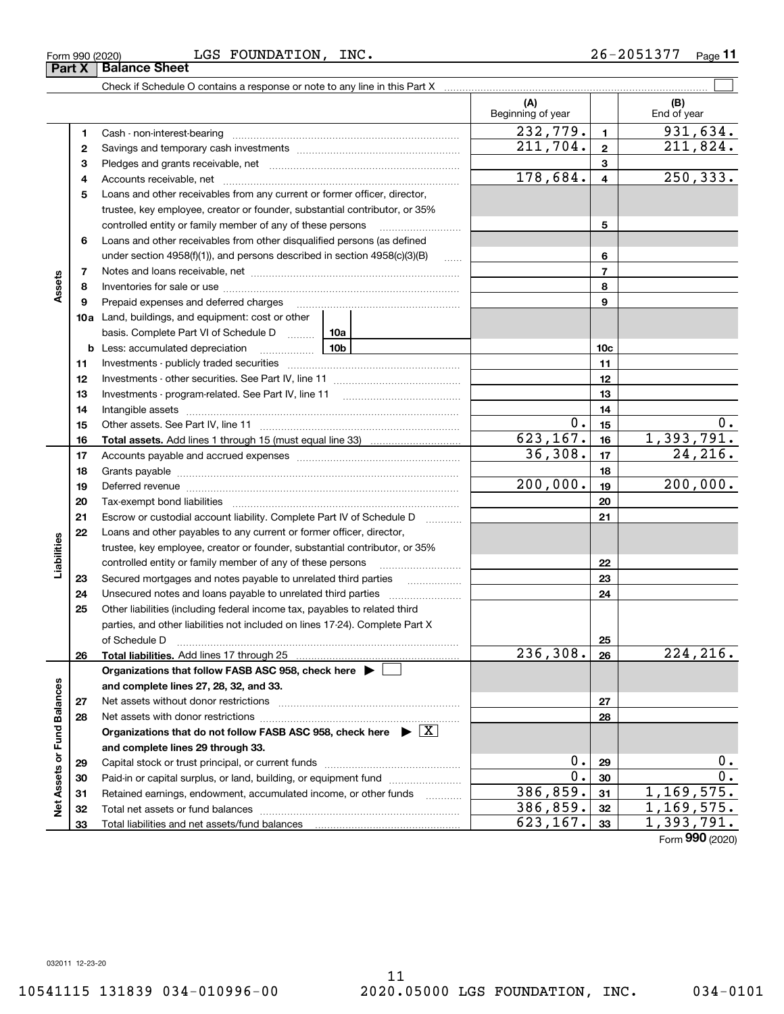**Net Assets or Fund Balances**

ξ

Assets or Fund Balances

**23** Pledges and grants receivable, net  $\ldots$  **multimes contained and grants receivable**, net **multimes contained and grants receivable**, net **multimes contained and grants receivable 45**Loans and other receivables from any current or former officer, director, **678910a**Land, buildings, and equipment: cost or other **111213141516171819202122232425262728292345678910c11121314151617181920212223242526b** Less: accumulated depreciation  $\ldots$  **10b** basis. Complete Part VI of Schedule D will aller **Total assets.**  Add lines 1 through 15 (must equal line 33) **Total liabilities.**  Add lines 17 through 25 **Organizations that follow FASB ASC 958, check here** | **and complete lines 27, 28, 32, and 33. 2728**Organizations that do not follow FASB ASC 958, check here  $\quadblacktriangleright\; \boxed{\mathrm{X}}$ **and complete lines 29 through 33. 29**0. 0. Cash - non-interest-bearing ~~~~~~~~~~~~~~~~~~~~~~~~~ Savings and temporary cash investments ~~~~~~~~~~~~~~~~~~Accounts receivable, net ~~~~~~~~~~~~~~~~~~~~~~~~~~ trustee, key employee, creator or founder, substantial contributor, or 35% controlled entity or family member of any of these persons ............................ Loans and other receivables from other disqualified persons (as defined under section  $4958(f)(1)$ , and persons described in section  $4958(c)(3)(B)$ Notes and loans receivable, net ~~~~~~~~~~~~~~~~~~~~~~~ Inventories for sale or use ~~~~~~~~~~~~~~~~~~~~~~~~~~ Prepaid expenses and deferred charges ~~~~~~~~~~~~~~~~~~ Investments - publicly traded securities ~~~~~~~~~~~~~~~~~~~ Investments - other securities. See Part IV, line 11 ~~~~~~~~~~~~~~ Investments - program-related. See Part IV, line 11 [2010] [2010] [2010] [2010] [2010] [2010] [2010] [2010] [2 Intangible assets …………………………………………………………………………………… Other assets. See Part IV, line 11 ~~~~~~~~~~~~~~~~~~~~~~ Accounts payable and accrued expenses ~~~~~~~~~~~~~~~~~~ Grants payable ~~~~~~~~~~~~~~~~~~~~~~~~~~~~~~~ Deferred revenue ~~~~~~~~~~~~~~~~~~~~~~~~~~~~~~ Tax-exempt bond liabilities …………………………………………………………… Escrow or custodial account liability. Complete Part IV of Schedule D Loans and other payables to any current or former officer, director, trustee, key employee, creator or founder, substantial contributor, or 35% controlled entity or family member of any of these persons ~~~~~~~~~Secured mortgages and notes payable to unrelated third parties **Fig. 1.1.1.1.1.1.1.1.1.1.** Unsecured notes and loans payable to unrelated third parties  $\ldots$ Other liabilities (including federal income tax, payables to related third parties, and other liabilities not included on lines 17-24). Complete Part X of Schedule D ~~~~~~~~~~~~~~~~~~~~~~~~~~~~~~~ Net assets without donor restrictions ~~~~~~~~~~~~~~~~~~~~ Net assets with donor restrictions ~~~~~~~~~~~~~~~~~~~~~~Capital stock or trust principal, or current funds ~~~~~~~~~~~~~~~ $178,684. | 4 | 250,333.$  $0.1$  15  $\vert$  0.  $623, 167.$  16 1,393,791.  $211,704.$  2 211,824.  $36,308.$   $17$   $24,216$ .  $200,000$ .  $19$  200,000.  $236,308.$  26 224,216.

Form 990 (2020) LGS FOUNDATION , INC **.** 2 6-2 0 5 1 3 7 7 <sub>Page</sub> 11 LGS FOUNDATION, INC.

Paid-in or capital surplus, or land, building, or equipment fund www.commun.com Retained earnings, endowment, accumulated income, or other funds www.com Total net assets or fund balances ~~~~~~~~~~~~~~~~~~~~~~

Total liabilities and net assets/fund balances

Check if Schedule O contains a response or note to any line in this Part X

 $\mathcal{L}^{\text{max}}$ 

**(A) (B)**

Beginning of year | | End of year

**1**

 $232,779.$  1 931,634.

 $386,859.$   $32 \mid 1,169,575.$  $623, 167.$  33  $1, 393, 791.$ 

 $386,859.$  31 | 1,169,575.

 $0.$ |  $30$  |  $0.$ 

Form (2020) **990**

**1**

**Assets**

**Liabilities**

iabilities

**Part X** Balance Sheet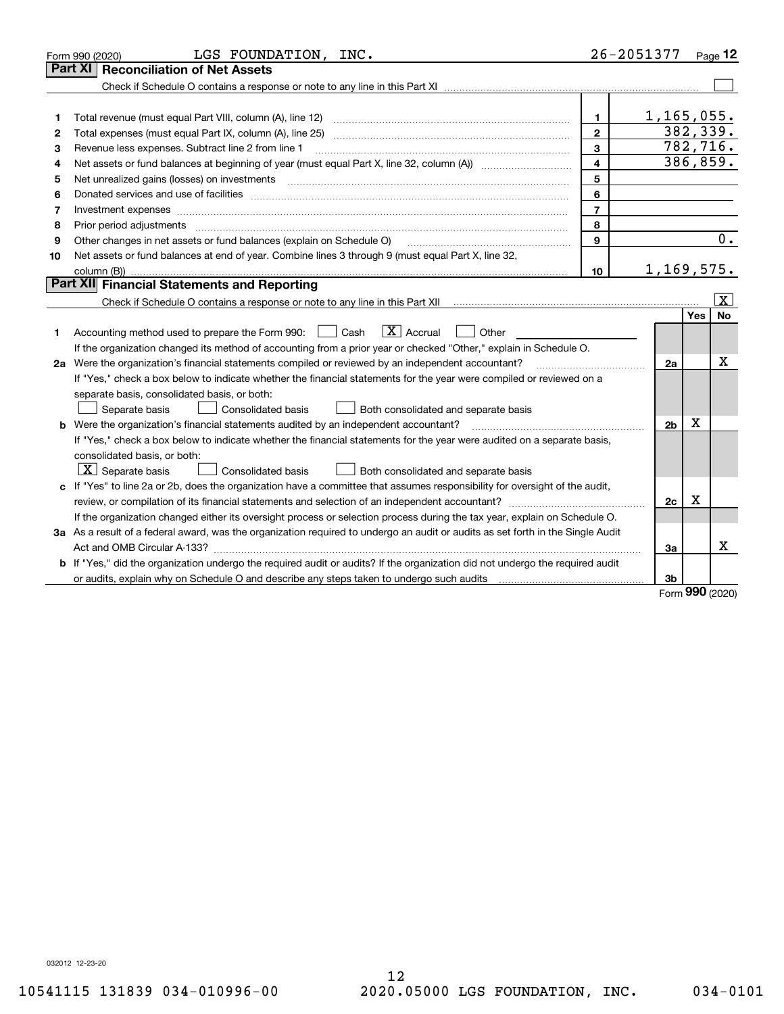|    | LGS FOUNDATION, INC.<br>Form 990 (2020)                                                                                                                                                                                                                                                                                                                                                                                                                                    |                         | 26-2051377     |     | Page $12$             |
|----|----------------------------------------------------------------------------------------------------------------------------------------------------------------------------------------------------------------------------------------------------------------------------------------------------------------------------------------------------------------------------------------------------------------------------------------------------------------------------|-------------------------|----------------|-----|-----------------------|
|    | <b>Reconciliation of Net Assets</b><br>Part XI                                                                                                                                                                                                                                                                                                                                                                                                                             |                         |                |     |                       |
|    |                                                                                                                                                                                                                                                                                                                                                                                                                                                                            |                         |                |     |                       |
|    |                                                                                                                                                                                                                                                                                                                                                                                                                                                                            |                         |                |     |                       |
| 1  | Total revenue (must equal Part VIII, column (A), line 12)                                                                                                                                                                                                                                                                                                                                                                                                                  | 1                       | 1, 165, 055.   |     |                       |
| 2  | Total expenses (must equal Part IX, column (A), line 25) maturing content content content content content conte                                                                                                                                                                                                                                                                                                                                                            | $\mathbf{2}$            | 382,339.       |     |                       |
| з  | Revenue less expenses. Subtract line 2 from line 1                                                                                                                                                                                                                                                                                                                                                                                                                         | 3                       | 782,716.       |     |                       |
| 4  |                                                                                                                                                                                                                                                                                                                                                                                                                                                                            | $\overline{\mathbf{4}}$ | 386,859.       |     |                       |
| 5  | Net unrealized gains (losses) on investments<br>$\overline{a_1, \ldots, a_n, \ldots, a_n, \ldots, a_n, \ldots, a_n, \ldots, a_n, \ldots, a_n, \ldots, a_n, \ldots, a_n, \ldots, a_n, \ldots, a_n, \ldots, a_n, \ldots, a_n, \ldots, a_n, \ldots, a_n, \ldots, a_n, \ldots, a_n, \ldots, a_n, \ldots, a_n, \ldots, a_n, \ldots, a_n, \ldots, a_n, \ldots, a_n, \ldots, a_n, \ldots, a_n, \ldots, a_n, \ldots, a_n, \ldots, a_n, \ldots, a_n, \ldots, a_n, \ldots, a_n, \ld$ | 5                       |                |     |                       |
| 6  |                                                                                                                                                                                                                                                                                                                                                                                                                                                                            | 6                       |                |     |                       |
| 7  | Investment expenses www.communication.com/www.communication.com/www.communication.com/www.com                                                                                                                                                                                                                                                                                                                                                                              | $\overline{7}$          |                |     |                       |
| 8  | Prior period adjustments                                                                                                                                                                                                                                                                                                                                                                                                                                                   | 8                       |                |     |                       |
| 9  | Other changes in net assets or fund balances (explain on Schedule O)                                                                                                                                                                                                                                                                                                                                                                                                       | 9                       |                |     | 0.                    |
| 10 | Net assets or fund balances at end of year. Combine lines 3 through 9 (must equal Part X, line 32,                                                                                                                                                                                                                                                                                                                                                                         |                         |                |     |                       |
|    |                                                                                                                                                                                                                                                                                                                                                                                                                                                                            | 10                      | 1,169,575.     |     |                       |
|    | Part XII Financial Statements and Reporting                                                                                                                                                                                                                                                                                                                                                                                                                                |                         |                |     |                       |
|    |                                                                                                                                                                                                                                                                                                                                                                                                                                                                            |                         |                |     | $\overline{\text{X}}$ |
|    |                                                                                                                                                                                                                                                                                                                                                                                                                                                                            |                         |                | Yes | No                    |
| 1. | $ X $ Accrual<br>Accounting method used to prepare the Form 990: <u>I</u> Cash<br>Other                                                                                                                                                                                                                                                                                                                                                                                    |                         |                |     |                       |
|    | If the organization changed its method of accounting from a prior year or checked "Other," explain in Schedule O.                                                                                                                                                                                                                                                                                                                                                          |                         |                |     |                       |
|    | 2a Were the organization's financial statements compiled or reviewed by an independent accountant?                                                                                                                                                                                                                                                                                                                                                                         |                         | 2a             |     | X                     |
|    | If "Yes," check a box below to indicate whether the financial statements for the year were compiled or reviewed on a                                                                                                                                                                                                                                                                                                                                                       |                         |                |     |                       |
|    | separate basis, consolidated basis, or both:                                                                                                                                                                                                                                                                                                                                                                                                                               |                         |                |     |                       |
|    | Separate basis<br>Consolidated basis<br>Both consolidated and separate basis                                                                                                                                                                                                                                                                                                                                                                                               |                         |                |     |                       |
|    | <b>b</b> Were the organization's financial statements audited by an independent accountant?                                                                                                                                                                                                                                                                                                                                                                                |                         | 2 <sub>b</sub> | X   |                       |
|    | If "Yes," check a box below to indicate whether the financial statements for the year were audited on a separate basis,                                                                                                                                                                                                                                                                                                                                                    |                         |                |     |                       |
|    | consolidated basis, or both:                                                                                                                                                                                                                                                                                                                                                                                                                                               |                         |                |     |                       |
|    | $ \mathbf{X} $ Separate basis<br><b>Consolidated basis</b><br>Both consolidated and separate basis                                                                                                                                                                                                                                                                                                                                                                         |                         |                |     |                       |
|    | c If "Yes" to line 2a or 2b, does the organization have a committee that assumes responsibility for oversight of the audit,                                                                                                                                                                                                                                                                                                                                                |                         |                |     |                       |
|    | review, or compilation of its financial statements and selection of an independent accountant?                                                                                                                                                                                                                                                                                                                                                                             |                         | 2c             | х   |                       |
|    | If the organization changed either its oversight process or selection process during the tax year, explain on Schedule O.                                                                                                                                                                                                                                                                                                                                                  |                         |                |     |                       |
|    | 3a As a result of a federal award, was the organization required to undergo an audit or audits as set forth in the Single Audit                                                                                                                                                                                                                                                                                                                                            |                         |                |     |                       |
|    |                                                                                                                                                                                                                                                                                                                                                                                                                                                                            |                         | За             |     | x                     |
|    | b If "Yes," did the organization undergo the required audit or audits? If the organization did not undergo the required audit                                                                                                                                                                                                                                                                                                                                              |                         |                |     |                       |
|    |                                                                                                                                                                                                                                                                                                                                                                                                                                                                            |                         | 3b             |     |                       |

Form (2020) **990**

032012 12-23-20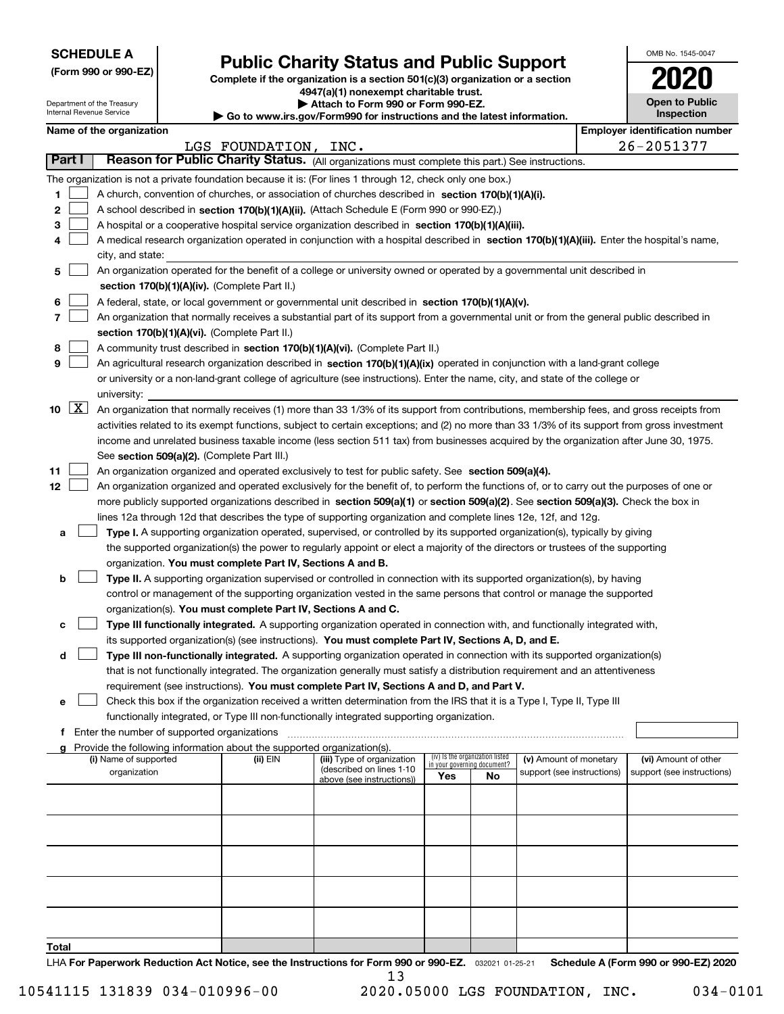| <b>SCHEDULE A</b> |
|-------------------|
|-------------------|

Department of the Treasury Internal Revenue Service

**(Form 990 or 990-EZ)**

# **Public Charity Status and Public Support**

**Complete if the organization is a section 501(c)(3) organization or a section 4947(a)(1) nonexempt charitable trust. | Attach to Form 990 or Form 990-EZ.** 

| $\blacksquare$                                                           |
|--------------------------------------------------------------------------|
| ▶ Go to www.irs.gov/Form990 for instructions and the latest information. |

| OMB No. 1545-0047            |
|------------------------------|
| 2020                         |
| Open to Public<br>Inspection |

# **Name of the organization Employer identification** number

|        |        |                                                                                                                                                                                               | LGS FOUNDATION, INC. |                                                        |                             |                                 |                            |  | 26-2051377                 |
|--------|--------|-----------------------------------------------------------------------------------------------------------------------------------------------------------------------------------------------|----------------------|--------------------------------------------------------|-----------------------------|---------------------------------|----------------------------|--|----------------------------|
| Part I |        | Reason for Public Charity Status. (All organizations must complete this part.) See instructions.                                                                                              |                      |                                                        |                             |                                 |                            |  |                            |
|        |        | The organization is not a private foundation because it is: (For lines 1 through 12, check only one box.)                                                                                     |                      |                                                        |                             |                                 |                            |  |                            |
| 1.     |        | A church, convention of churches, or association of churches described in section 170(b)(1)(A)(i).                                                                                            |                      |                                                        |                             |                                 |                            |  |                            |
| 2      |        | A school described in section 170(b)(1)(A)(ii). (Attach Schedule E (Form 990 or 990-EZ).)                                                                                                     |                      |                                                        |                             |                                 |                            |  |                            |
| З      |        | A hospital or a cooperative hospital service organization described in section 170(b)(1)(A)(iii).                                                                                             |                      |                                                        |                             |                                 |                            |  |                            |
| 4      |        | A medical research organization operated in conjunction with a hospital described in section 170(b)(1)(A)(iii). Enter the hospital's name,                                                    |                      |                                                        |                             |                                 |                            |  |                            |
|        |        | city, and state:                                                                                                                                                                              |                      |                                                        |                             |                                 |                            |  |                            |
| 5      |        | An organization operated for the benefit of a college or university owned or operated by a governmental unit described in                                                                     |                      |                                                        |                             |                                 |                            |  |                            |
|        |        | section 170(b)(1)(A)(iv). (Complete Part II.)                                                                                                                                                 |                      |                                                        |                             |                                 |                            |  |                            |
| 6      |        | A federal, state, or local government or governmental unit described in section 170(b)(1)(A)(v).                                                                                              |                      |                                                        |                             |                                 |                            |  |                            |
| 7      |        | An organization that normally receives a substantial part of its support from a governmental unit or from the general public described in                                                     |                      |                                                        |                             |                                 |                            |  |                            |
|        |        | section 170(b)(1)(A)(vi). (Complete Part II.)                                                                                                                                                 |                      |                                                        |                             |                                 |                            |  |                            |
| 8      |        | A community trust described in section 170(b)(1)(A)(vi). (Complete Part II.)                                                                                                                  |                      |                                                        |                             |                                 |                            |  |                            |
| 9      |        | An agricultural research organization described in section 170(b)(1)(A)(ix) operated in conjunction with a land-grant college                                                                 |                      |                                                        |                             |                                 |                            |  |                            |
|        |        | or university or a non-land-grant college of agriculture (see instructions). Enter the name, city, and state of the college or                                                                |                      |                                                        |                             |                                 |                            |  |                            |
|        |        | university:                                                                                                                                                                                   |                      |                                                        |                             |                                 |                            |  |                            |
|        | 10 $X$ | An organization that normally receives (1) more than 33 1/3% of its support from contributions, membership fees, and gross receipts from                                                      |                      |                                                        |                             |                                 |                            |  |                            |
|        |        | activities related to its exempt functions, subject to certain exceptions; and (2) no more than 33 1/3% of its support from gross investment                                                  |                      |                                                        |                             |                                 |                            |  |                            |
|        |        | income and unrelated business taxable income (less section 511 tax) from businesses acquired by the organization after June 30, 1975.                                                         |                      |                                                        |                             |                                 |                            |  |                            |
|        |        | See section 509(a)(2). (Complete Part III.)                                                                                                                                                   |                      |                                                        |                             |                                 |                            |  |                            |
| 11     |        | An organization organized and operated exclusively to test for public safety. See section 509(a)(4).                                                                                          |                      |                                                        |                             |                                 |                            |  |                            |
| 12     |        | An organization organized and operated exclusively for the benefit of, to perform the functions of, or to carry out the purposes of one or                                                    |                      |                                                        |                             |                                 |                            |  |                            |
|        |        | more publicly supported organizations described in section 509(a)(1) or section 509(a)(2). See section 509(a)(3). Check the box in                                                            |                      |                                                        |                             |                                 |                            |  |                            |
|        |        | lines 12a through 12d that describes the type of supporting organization and complete lines 12e, 12f, and 12g.                                                                                |                      |                                                        |                             |                                 |                            |  |                            |
| a      |        | Type I. A supporting organization operated, supervised, or controlled by its supported organization(s), typically by giving                                                                   |                      |                                                        |                             |                                 |                            |  |                            |
|        |        | the supported organization(s) the power to regularly appoint or elect a majority of the directors or trustees of the supporting<br>organization. You must complete Part IV, Sections A and B. |                      |                                                        |                             |                                 |                            |  |                            |
| b      |        | Type II. A supporting organization supervised or controlled in connection with its supported organization(s), by having                                                                       |                      |                                                        |                             |                                 |                            |  |                            |
|        |        | control or management of the supporting organization vested in the same persons that control or manage the supported                                                                          |                      |                                                        |                             |                                 |                            |  |                            |
|        |        | organization(s). You must complete Part IV, Sections A and C.                                                                                                                                 |                      |                                                        |                             |                                 |                            |  |                            |
| с      |        | Type III functionally integrated. A supporting organization operated in connection with, and functionally integrated with,                                                                    |                      |                                                        |                             |                                 |                            |  |                            |
|        |        | its supported organization(s) (see instructions). You must complete Part IV, Sections A, D, and E.                                                                                            |                      |                                                        |                             |                                 |                            |  |                            |
| d      |        | Type III non-functionally integrated. A supporting organization operated in connection with its supported organization(s)                                                                     |                      |                                                        |                             |                                 |                            |  |                            |
|        |        | that is not functionally integrated. The organization generally must satisfy a distribution requirement and an attentiveness                                                                  |                      |                                                        |                             |                                 |                            |  |                            |
|        |        | requirement (see instructions). You must complete Part IV, Sections A and D, and Part V.                                                                                                      |                      |                                                        |                             |                                 |                            |  |                            |
| е      |        | Check this box if the organization received a written determination from the IRS that it is a Type I, Type II, Type III                                                                       |                      |                                                        |                             |                                 |                            |  |                            |
|        |        | functionally integrated, or Type III non-functionally integrated supporting organization.                                                                                                     |                      |                                                        |                             |                                 |                            |  |                            |
| f      |        | Enter the number of supported organizations                                                                                                                                                   |                      |                                                        |                             |                                 |                            |  |                            |
|        |        | Provide the following information about the supported organization(s).                                                                                                                        |                      |                                                        |                             |                                 |                            |  |                            |
|        |        | (i) Name of supported                                                                                                                                                                         | (ii) EIN             | (iii) Type of organization<br>(described on lines 1-10 | in your governing document? | (iv) Is the organization listed | (v) Amount of monetary     |  | (vi) Amount of other       |
|        |        | organization                                                                                                                                                                                  |                      | above (see instructions))                              | Yes                         | No                              | support (see instructions) |  | support (see instructions) |
|        |        |                                                                                                                                                                                               |                      |                                                        |                             |                                 |                            |  |                            |
|        |        |                                                                                                                                                                                               |                      |                                                        |                             |                                 |                            |  |                            |
|        |        |                                                                                                                                                                                               |                      |                                                        |                             |                                 |                            |  |                            |
|        |        |                                                                                                                                                                                               |                      |                                                        |                             |                                 |                            |  |                            |
|        |        |                                                                                                                                                                                               |                      |                                                        |                             |                                 |                            |  |                            |
|        |        |                                                                                                                                                                                               |                      |                                                        |                             |                                 |                            |  |                            |
|        |        |                                                                                                                                                                                               |                      |                                                        |                             |                                 |                            |  |                            |
|        |        |                                                                                                                                                                                               |                      |                                                        |                             |                                 |                            |  |                            |
|        |        |                                                                                                                                                                                               |                      |                                                        |                             |                                 |                            |  |                            |
| Total  |        |                                                                                                                                                                                               |                      |                                                        |                             |                                 |                            |  |                            |
|        |        |                                                                                                                                                                                               |                      |                                                        |                             |                                 |                            |  |                            |

LHA For Paperwork Reduction Act Notice, see the Instructions for Form 990 or 990-EZ. <sub>032021</sub> o1-25-21 Schedule A (Form 990 or 990-EZ) 2020 13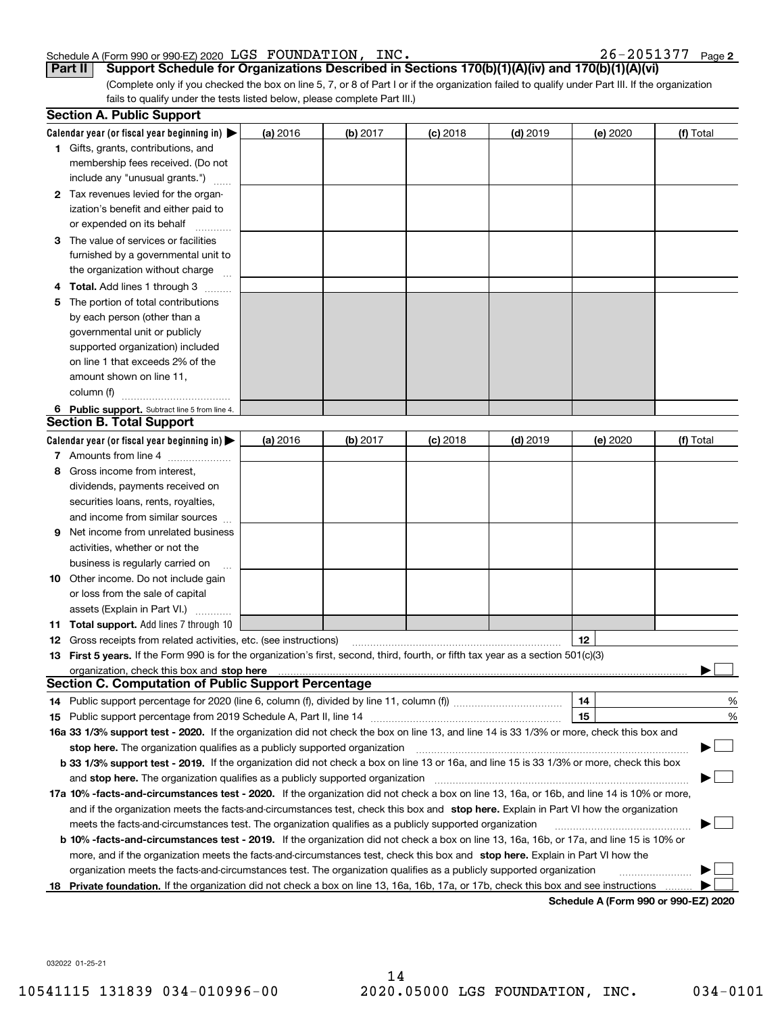### Schedule A (Form 990 or 990-EZ) 2020 Page LGS FOUNDATION, INC. 26-2051377

**2**

(Complete only if you checked the box on line 5, 7, or 8 of Part I or if the organization failed to qualify under Part III. If the organization fails to qualify under the tests listed below, please complete Part III.) **Part II Support Schedule for Organizations Described in Sections 170(b)(1)(A)(iv) and 170(b)(1)(A)(vi)**

|    | <b>Section A. Public Support</b>                                                                                                               |          |            |            |            |          |                                      |
|----|------------------------------------------------------------------------------------------------------------------------------------------------|----------|------------|------------|------------|----------|--------------------------------------|
|    | Calendar year (or fiscal year beginning in) $\blacktriangleright$                                                                              | (a) 2016 | $(b)$ 2017 | $(c)$ 2018 | $(d)$ 2019 | (e) 2020 | (f) Total                            |
|    | 1 Gifts, grants, contributions, and                                                                                                            |          |            |            |            |          |                                      |
|    | membership fees received. (Do not                                                                                                              |          |            |            |            |          |                                      |
|    | include any "unusual grants.")                                                                                                                 |          |            |            |            |          |                                      |
|    | 2 Tax revenues levied for the organ-                                                                                                           |          |            |            |            |          |                                      |
|    | ization's benefit and either paid to                                                                                                           |          |            |            |            |          |                                      |
|    | or expended on its behalf                                                                                                                      |          |            |            |            |          |                                      |
|    | 3 The value of services or facilities                                                                                                          |          |            |            |            |          |                                      |
|    | furnished by a governmental unit to                                                                                                            |          |            |            |            |          |                                      |
|    | the organization without charge                                                                                                                |          |            |            |            |          |                                      |
|    | 4 Total. Add lines 1 through 3                                                                                                                 |          |            |            |            |          |                                      |
| 5  | The portion of total contributions                                                                                                             |          |            |            |            |          |                                      |
|    | by each person (other than a                                                                                                                   |          |            |            |            |          |                                      |
|    | governmental unit or publicly                                                                                                                  |          |            |            |            |          |                                      |
|    | supported organization) included                                                                                                               |          |            |            |            |          |                                      |
|    | on line 1 that exceeds 2% of the                                                                                                               |          |            |            |            |          |                                      |
|    | amount shown on line 11,                                                                                                                       |          |            |            |            |          |                                      |
|    | column (f)                                                                                                                                     |          |            |            |            |          |                                      |
|    | 6 Public support. Subtract line 5 from line 4.                                                                                                 |          |            |            |            |          |                                      |
|    | <b>Section B. Total Support</b>                                                                                                                |          |            |            |            |          |                                      |
|    | Calendar year (or fiscal year beginning in) $\blacktriangleright$                                                                              | (a) 2016 | (b) 2017   | $(c)$ 2018 | $(d)$ 2019 | (e) 2020 | (f) Total                            |
|    | 7 Amounts from line 4                                                                                                                          |          |            |            |            |          |                                      |
| 8  | Gross income from interest,                                                                                                                    |          |            |            |            |          |                                      |
|    | dividends, payments received on                                                                                                                |          |            |            |            |          |                                      |
|    | securities loans, rents, royalties,                                                                                                            |          |            |            |            |          |                                      |
|    | and income from similar sources                                                                                                                |          |            |            |            |          |                                      |
|    | <b>9</b> Net income from unrelated business                                                                                                    |          |            |            |            |          |                                      |
|    | activities, whether or not the                                                                                                                 |          |            |            |            |          |                                      |
|    | business is regularly carried on                                                                                                               |          |            |            |            |          |                                      |
|    | <b>10</b> Other income. Do not include gain                                                                                                    |          |            |            |            |          |                                      |
|    | or loss from the sale of capital                                                                                                               |          |            |            |            |          |                                      |
|    | assets (Explain in Part VI.)                                                                                                                   |          |            |            |            |          |                                      |
|    | <b>11 Total support.</b> Add lines 7 through 10                                                                                                |          |            |            |            |          |                                      |
|    | <b>12</b> Gross receipts from related activities, etc. (see instructions)                                                                      |          |            |            |            | 12       |                                      |
|    | 13 First 5 years. If the Form 990 is for the organization's first, second, third, fourth, or fifth tax year as a section 501(c)(3)             |          |            |            |            |          |                                      |
|    |                                                                                                                                                |          |            |            |            |          |                                      |
|    | <b>Section C. Computation of Public Support Percentage</b>                                                                                     |          |            |            |            |          |                                      |
|    | 14 Public support percentage for 2020 (line 6, column (f), divided by line 11, column (f) <i>mummumumum</i>                                    |          |            |            |            | 14       | %                                    |
|    |                                                                                                                                                |          |            |            |            | 15       | %                                    |
|    | 16a 33 1/3% support test - 2020. If the organization did not check the box on line 13, and line 14 is 33 1/3% or more, check this box and      |          |            |            |            |          |                                      |
|    | stop here. The organization qualifies as a publicly supported organization                                                                     |          |            |            |            |          | ▔▁」                                  |
|    | b 33 1/3% support test - 2019. If the organization did not check a box on line 13 or 16a, and line 15 is 33 1/3% or more, check this box       |          |            |            |            |          |                                      |
|    | and stop here. The organization qualifies as a publicly supported organization                                                                 |          |            |            |            |          |                                      |
|    | 17a 10% -facts-and-circumstances test - 2020. If the organization did not check a box on line 13, 16a, or 16b, and line 14 is 10% or more,     |          |            |            |            |          |                                      |
|    | and if the organization meets the facts-and-circumstances test, check this box and stop here. Explain in Part VI how the organization          |          |            |            |            |          |                                      |
|    | meets the facts-and-circumstances test. The organization qualifies as a publicly supported organization                                        |          |            |            |            |          |                                      |
|    | <b>b 10% -facts-and-circumstances test - 2019.</b> If the organization did not check a box on line 13, 16a, 16b, or 17a, and line 15 is 10% or |          |            |            |            |          |                                      |
|    | more, and if the organization meets the facts-and-circumstances test, check this box and stop here. Explain in Part VI how the                 |          |            |            |            |          |                                      |
|    | organization meets the facts-and-circumstances test. The organization qualifies as a publicly supported organization                           |          |            |            |            |          |                                      |
| 18 | Private foundation. If the organization did not check a box on line 13, 16a, 16b, 17a, or 17b, check this box and see instructions             |          |            |            |            |          |                                      |
|    |                                                                                                                                                |          |            |            |            |          | Schedule A (Form 990 or 990-F7) 2020 |

**Schedule A (Form 990 or 990-EZ) 2020**

032022 01-25-21

14 10541115 131839 034-010996-00 2020.05000 LGS FOUNDATION, INC. 034-0101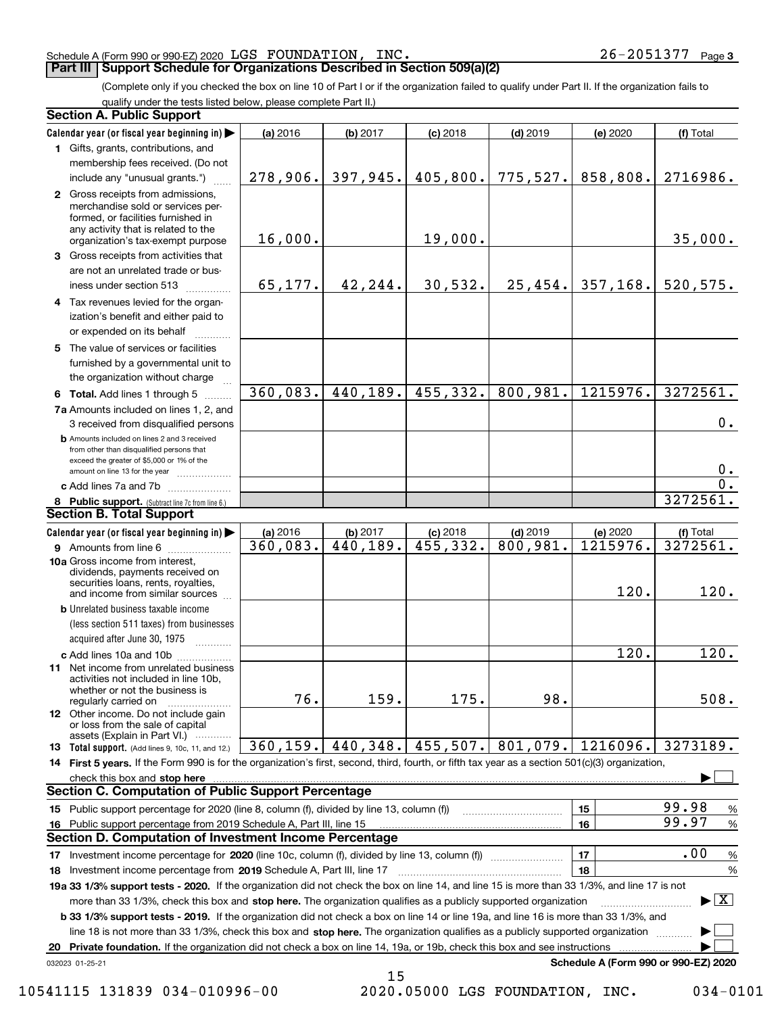### Schedule A (Form 990 or 990-EZ) 2020 Page LGS FOUNDATION, INC. 26-2051377

# **Part III Support Schedule for Organizations Described in Section 509(a)(2)**

(Complete only if you checked the box on line 10 of Part I or if the organization failed to qualify under Part II. If the organization fails to qualify under the tests listed below, please complete Part II.)

| Section A. Public Support |                                                                                                                                                                                                              |           |          |            |            |                                      |                                          |  |
|---------------------------|--------------------------------------------------------------------------------------------------------------------------------------------------------------------------------------------------------------|-----------|----------|------------|------------|--------------------------------------|------------------------------------------|--|
|                           | Calendar year (or fiscal year beginning in) $\blacktriangleright$                                                                                                                                            | (a) 2016  | (b) 2017 | $(c)$ 2018 | $(d)$ 2019 | (e) 2020                             | (f) Total                                |  |
|                           | 1 Gifts, grants, contributions, and                                                                                                                                                                          |           |          |            |            |                                      |                                          |  |
|                           | membership fees received. (Do not                                                                                                                                                                            |           |          |            |            |                                      |                                          |  |
|                           | include any "unusual grants.")                                                                                                                                                                               | 278,906.  | 397,945. | 405,800.   | 775, 527.  | 858,808.                             | 2716986.                                 |  |
|                           | 2 Gross receipts from admissions,<br>merchandise sold or services per-<br>formed, or facilities furnished in<br>any activity that is related to the<br>organization's tax-exempt purpose                     | 16,000.   |          | 19,000.    |            |                                      | 35,000.                                  |  |
|                           | 3 Gross receipts from activities that                                                                                                                                                                        |           |          |            |            |                                      |                                          |  |
|                           | are not an unrelated trade or bus-                                                                                                                                                                           |           |          |            |            |                                      |                                          |  |
|                           | iness under section 513                                                                                                                                                                                      | 65,177.   | 42,244.  | 30,532.    |            | $25,454.$ 357,168.                   | 520,575.                                 |  |
|                           | 4 Tax revenues levied for the organ-                                                                                                                                                                         |           |          |            |            |                                      |                                          |  |
|                           | ization's benefit and either paid to<br>or expended on its behalf                                                                                                                                            |           |          |            |            |                                      |                                          |  |
|                           | 5 The value of services or facilities<br>furnished by a governmental unit to                                                                                                                                 |           |          |            |            |                                      |                                          |  |
|                           | the organization without charge                                                                                                                                                                              |           |          |            |            |                                      |                                          |  |
|                           | 6 Total. Add lines 1 through 5                                                                                                                                                                               | 360,083.  | 440,189. | 455,332.   | 800,981.   | 1215976.                             | 3272561.                                 |  |
|                           | 7a Amounts included on lines 1, 2, and<br>3 received from disqualified persons                                                                                                                               |           |          |            |            |                                      | 0.                                       |  |
|                           | <b>b</b> Amounts included on lines 2 and 3 received<br>from other than disqualified persons that<br>exceed the greater of \$5,000 or 1% of the<br>amount on line 13 for the year                             |           |          |            |            |                                      | 0.                                       |  |
|                           | c Add lines 7a and 7b                                                                                                                                                                                        |           |          |            |            |                                      | $\overline{0}$ .                         |  |
|                           | 8 Public support. (Subtract line 7c from line 6.)                                                                                                                                                            |           |          |            |            |                                      | 3272561.                                 |  |
|                           | <b>Section B. Total Support</b>                                                                                                                                                                              |           |          |            |            |                                      |                                          |  |
|                           | Calendar year (or fiscal year beginning in) $\blacktriangleright$                                                                                                                                            | (a) 2016  | (b) 2017 | $(c)$ 2018 | $(d)$ 2019 | (e) 2020                             | (f) Total                                |  |
|                           | 9 Amounts from line 6                                                                                                                                                                                        | 360,083.  | 440,189. | 455,332.   | 800,981.   | 1215976.                             | 3272561.                                 |  |
|                           | 10a Gross income from interest,<br>dividends, payments received on<br>securities loans, rents, royalties,<br>and income from similar sources                                                                 |           |          |            |            | 120.                                 | 120.                                     |  |
|                           | <b>b</b> Unrelated business taxable income                                                                                                                                                                   |           |          |            |            |                                      |                                          |  |
|                           | (less section 511 taxes) from businesses<br>acquired after June 30, 1975                                                                                                                                     |           |          |            |            |                                      |                                          |  |
|                           | c Add lines 10a and 10b                                                                                                                                                                                      |           |          |            |            | 120.                                 | 120.                                     |  |
|                           | 11 Net income from unrelated business<br>activities not included in line 10b,<br>whether or not the business is                                                                                              | 76.       | 159.     | 175.       | 98.        |                                      | 508.                                     |  |
|                           | regularly carried on<br>12 Other income. Do not include gain<br>or loss from the sale of capital                                                                                                             |           |          |            |            |                                      |                                          |  |
|                           | assets (Explain in Part VI.)                                                                                                                                                                                 | 360, 159. | 440,348. | 455,507.   | 801,079.   | 1216096.                             | 3273189.                                 |  |
|                           | <b>13 Total support.</b> (Add lines 9, 10c, 11, and 12.)<br>14 First 5 years. If the Form 990 is for the organization's first, second, third, fourth, or fifth tax year as a section 501(c)(3) organization, |           |          |            |            |                                      |                                          |  |
|                           | check this box and stop here measurement contracts and the state of the state of the state of the state of the                                                                                               |           |          |            |            |                                      |                                          |  |
|                           | <b>Section C. Computation of Public Support Percentage</b>                                                                                                                                                   |           |          |            |            |                                      |                                          |  |
|                           | 15 Public support percentage for 2020 (line 8, column (f), divided by line 13, column (f))                                                                                                                   |           |          |            |            | 15                                   | 99.98<br>%                               |  |
|                           | 16 Public support percentage from 2019 Schedule A, Part III, line 15                                                                                                                                         |           |          |            |            | 16                                   | 99.97<br>$\%$                            |  |
|                           | Section D. Computation of Investment Income Percentage                                                                                                                                                       |           |          |            |            |                                      |                                          |  |
|                           | 17 Investment income percentage for 2020 (line 10c, column (f), divided by line 13, column (f))                                                                                                              |           |          |            |            | 17                                   | .00<br>$\frac{9}{6}$                     |  |
|                           | 18 Investment income percentage from 2019 Schedule A, Part III, line 17                                                                                                                                      |           |          |            |            | 18                                   | %                                        |  |
|                           | 19a 33 1/3% support tests - 2020. If the organization did not check the box on line 14, and line 15 is more than 33 1/3%, and line 17 is not                                                                 |           |          |            |            |                                      |                                          |  |
|                           | more than 33 1/3%, check this box and stop here. The organization qualifies as a publicly supported organization                                                                                             |           |          |            |            |                                      | $\blacktriangleright$ $\boxed{\text{X}}$ |  |
|                           | b 33 1/3% support tests - 2019. If the organization did not check a box on line 14 or line 19a, and line 16 is more than 33 1/3%, and                                                                        |           |          |            |            |                                      |                                          |  |
|                           | line 18 is not more than 33 1/3%, check this box and stop here. The organization qualifies as a publicly supported organization                                                                              |           |          |            |            |                                      |                                          |  |
|                           | 20 Private foundation. If the organization did not check a box on line 14, 19a, or 19b, check this box and see instructions                                                                                  |           |          |            |            |                                      |                                          |  |
|                           | 032023 01-25-21                                                                                                                                                                                              |           |          |            |            | Schedule A (Form 990 or 990-EZ) 2020 |                                          |  |
|                           |                                                                                                                                                                                                              |           | 15       |            |            |                                      |                                          |  |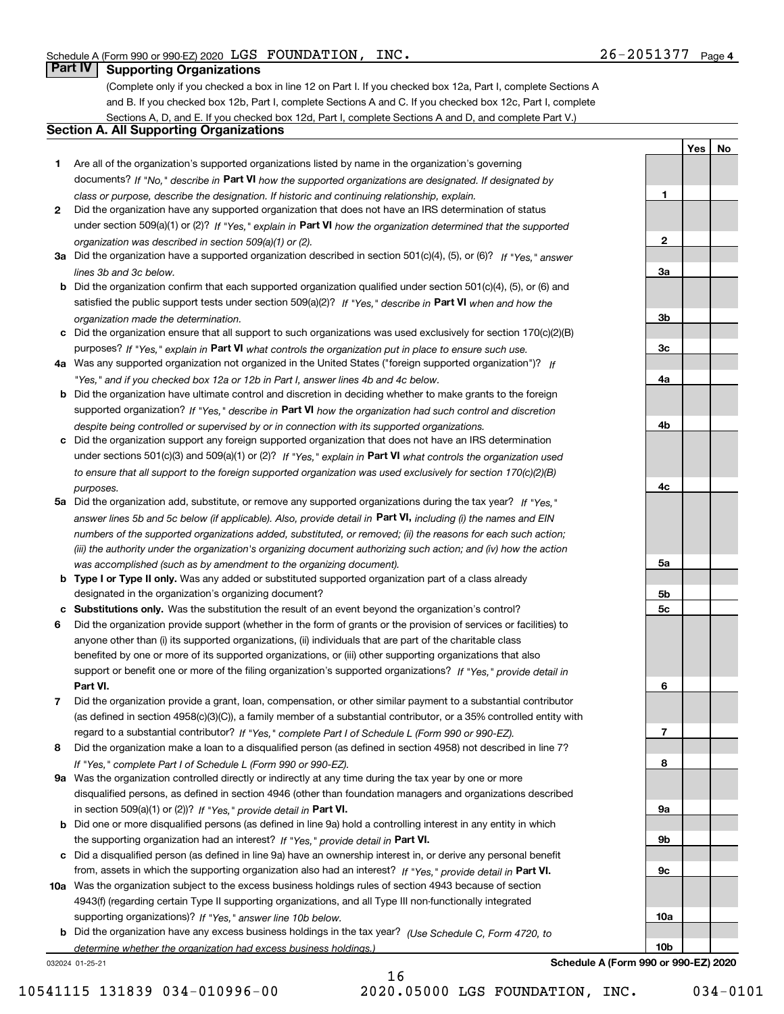**1**

**2**

**3a**

**3b**

**3c**

**4a**

**4b**

**4c**

**5a**

**5b5c**

**6**

**7**

**8**

**9a**

**9b**

**9c**

**10a**

**10b**

**YesNo**

# **Part IV Supporting Organizations**

(Complete only if you checked a box in line 12 on Part I. If you checked box 12a, Part I, complete Sections A and B. If you checked box 12b, Part I, complete Sections A and C. If you checked box 12c, Part I, complete Sections A, D, and E. If you checked box 12d, Part I, complete Sections A and D, and complete Part V.)

## **Section A. All Supporting Organizations**

- **1** Are all of the organization's supported organizations listed by name in the organization's governing documents? If "No," describe in **Part VI** how the supported organizations are designated. If designated by *class or purpose, describe the designation. If historic and continuing relationship, explain.*
- **2** Did the organization have any supported organization that does not have an IRS determination of status under section 509(a)(1) or (2)? If "Yes," explain in Part VI how the organization determined that the supported *organization was described in section 509(a)(1) or (2).*
- **3a** Did the organization have a supported organization described in section 501(c)(4), (5), or (6)? If "Yes," answer *lines 3b and 3c below.*
- **b** Did the organization confirm that each supported organization qualified under section 501(c)(4), (5), or (6) and satisfied the public support tests under section 509(a)(2)? If "Yes," describe in **Part VI** when and how the *organization made the determination.*
- **c**Did the organization ensure that all support to such organizations was used exclusively for section 170(c)(2)(B) purposes? If "Yes," explain in **Part VI** what controls the organization put in place to ensure such use.
- **4a***If* Was any supported organization not organized in the United States ("foreign supported organization")? *"Yes," and if you checked box 12a or 12b in Part I, answer lines 4b and 4c below.*
- **b** Did the organization have ultimate control and discretion in deciding whether to make grants to the foreign supported organization? If "Yes," describe in **Part VI** how the organization had such control and discretion *despite being controlled or supervised by or in connection with its supported organizations.*
- **c** Did the organization support any foreign supported organization that does not have an IRS determination under sections 501(c)(3) and 509(a)(1) or (2)? If "Yes," explain in **Part VI** what controls the organization used *to ensure that all support to the foreign supported organization was used exclusively for section 170(c)(2)(B) purposes.*
- **5a** Did the organization add, substitute, or remove any supported organizations during the tax year? If "Yes," answer lines 5b and 5c below (if applicable). Also, provide detail in **Part VI,** including (i) the names and EIN *numbers of the supported organizations added, substituted, or removed; (ii) the reasons for each such action; (iii) the authority under the organization's organizing document authorizing such action; and (iv) how the action was accomplished (such as by amendment to the organizing document).*
- **b** Type I or Type II only. Was any added or substituted supported organization part of a class already designated in the organization's organizing document?
- **cSubstitutions only.**  Was the substitution the result of an event beyond the organization's control?
- **6** Did the organization provide support (whether in the form of grants or the provision of services or facilities) to **Part VI.** *If "Yes," provide detail in* support or benefit one or more of the filing organization's supported organizations? anyone other than (i) its supported organizations, (ii) individuals that are part of the charitable class benefited by one or more of its supported organizations, or (iii) other supporting organizations that also
- **7**Did the organization provide a grant, loan, compensation, or other similar payment to a substantial contributor *If "Yes," complete Part I of Schedule L (Form 990 or 990-EZ).* regard to a substantial contributor? (as defined in section 4958(c)(3)(C)), a family member of a substantial contributor, or a 35% controlled entity with
- **8** Did the organization make a loan to a disqualified person (as defined in section 4958) not described in line 7? *If "Yes," complete Part I of Schedule L (Form 990 or 990-EZ).*
- **9a** Was the organization controlled directly or indirectly at any time during the tax year by one or more in section 509(a)(1) or (2))? If "Yes," *provide detail in* <code>Part VI.</code> disqualified persons, as defined in section 4946 (other than foundation managers and organizations described
- **b** Did one or more disqualified persons (as defined in line 9a) hold a controlling interest in any entity in which the supporting organization had an interest? If "Yes," provide detail in P**art VI**.
- **c**Did a disqualified person (as defined in line 9a) have an ownership interest in, or derive any personal benefit from, assets in which the supporting organization also had an interest? If "Yes," provide detail in P**art VI.**
- **10a** Was the organization subject to the excess business holdings rules of section 4943 because of section supporting organizations)? If "Yes," answer line 10b below. 4943(f) (regarding certain Type II supporting organizations, and all Type III non-functionally integrated
- **b** Did the organization have any excess business holdings in the tax year? (Use Schedule C, Form 4720, to *determine whether the organization had excess business holdings.)*

032024 01-25-21

**Schedule A (Form 990 or 990-EZ) 2020**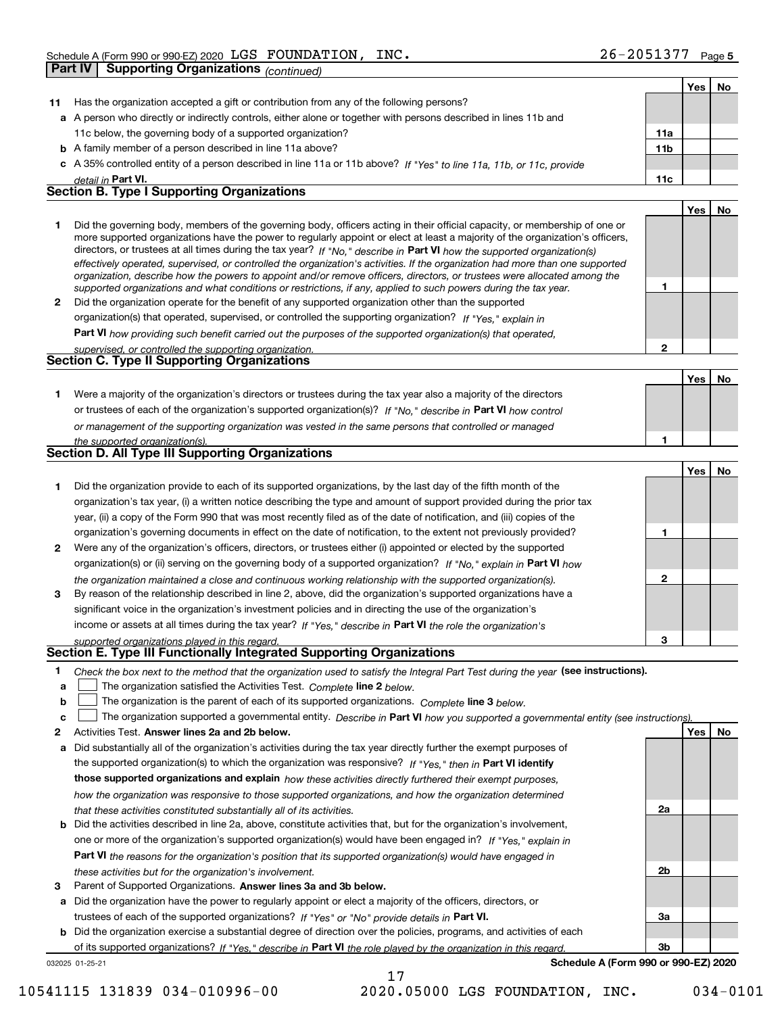|              |                                                                                                                                                                                                                                              |              | Yes | No |
|--------------|----------------------------------------------------------------------------------------------------------------------------------------------------------------------------------------------------------------------------------------------|--------------|-----|----|
| 11           | Has the organization accepted a gift or contribution from any of the following persons?                                                                                                                                                      |              |     |    |
|              | a A person who directly or indirectly controls, either alone or together with persons described in lines 11b and                                                                                                                             |              |     |    |
|              | 11c below, the governing body of a supported organization?                                                                                                                                                                                   | 11a          |     |    |
|              | <b>b</b> A family member of a person described in line 11a above?                                                                                                                                                                            | 11b          |     |    |
|              | c A 35% controlled entity of a person described in line 11a or 11b above? If "Yes" to line 11a, 11b, or 11c, provide                                                                                                                         |              |     |    |
|              | detail in Part VI.                                                                                                                                                                                                                           | 11c          |     |    |
|              | <b>Section B. Type I Supporting Organizations</b>                                                                                                                                                                                            |              |     |    |
|              |                                                                                                                                                                                                                                              |              | Yes | No |
| 1.           | Did the governing body, members of the governing body, officers acting in their official capacity, or membership of one or                                                                                                                   |              |     |    |
|              | more supported organizations have the power to regularly appoint or elect at least a majority of the organization's officers,                                                                                                                |              |     |    |
|              | directors, or trustees at all times during the tax year? If "No," describe in Part VI how the supported organization(s)                                                                                                                      |              |     |    |
|              | effectively operated, supervised, or controlled the organization's activities. If the organization had more than one supported                                                                                                               |              |     |    |
|              | organization, describe how the powers to appoint and/or remove officers, directors, or trustees were allocated among the<br>supported organizations and what conditions or restrictions, if any, applied to such powers during the tax year. | 1            |     |    |
| $\mathbf{2}$ | Did the organization operate for the benefit of any supported organization other than the supported                                                                                                                                          |              |     |    |
|              | organization(s) that operated, supervised, or controlled the supporting organization? If "Yes," explain in                                                                                                                                   |              |     |    |
|              | Part VI how providing such benefit carried out the purposes of the supported organization(s) that operated,                                                                                                                                  |              |     |    |
|              | supervised, or controlled the supporting organization.                                                                                                                                                                                       | $\mathbf{2}$ |     |    |
|              | <b>Section C. Type II Supporting Organizations</b>                                                                                                                                                                                           |              |     |    |
|              |                                                                                                                                                                                                                                              |              | Yes | No |
| 1.           | Were a majority of the organization's directors or trustees during the tax year also a majority of the directors                                                                                                                             |              |     |    |
|              | or trustees of each of the organization's supported organization(s)? If "No," describe in Part VI how control                                                                                                                                |              |     |    |
|              | or management of the supporting organization was vested in the same persons that controlled or managed                                                                                                                                       |              |     |    |
|              | the supported organization(s).                                                                                                                                                                                                               | 1            |     |    |
|              | Section D. All Type III Supporting Organizations                                                                                                                                                                                             |              |     |    |
|              |                                                                                                                                                                                                                                              |              | Yes | No |
| 1.           | Did the organization provide to each of its supported organizations, by the last day of the fifth month of the                                                                                                                               |              |     |    |
|              | organization's tax year, (i) a written notice describing the type and amount of support provided during the prior tax                                                                                                                        |              |     |    |
|              | year, (ii) a copy of the Form 990 that was most recently filed as of the date of notification, and (iii) copies of the                                                                                                                       |              |     |    |
|              | organization's governing documents in effect on the date of notification, to the extent not previously provided?                                                                                                                             | 1            |     |    |
| 2            | Were any of the organization's officers, directors, or trustees either (i) appointed or elected by the supported                                                                                                                             |              |     |    |
|              | organization(s) or (ii) serving on the governing body of a supported organization? If "No," explain in Part VI how                                                                                                                           |              |     |    |
|              | the organization maintained a close and continuous working relationship with the supported organization(s).                                                                                                                                  | $\mathbf{2}$ |     |    |
| 3            | By reason of the relationship described in line 2, above, did the organization's supported organizations have a                                                                                                                              |              |     |    |
|              | significant voice in the organization's investment policies and in directing the use of the organization's                                                                                                                                   |              |     |    |
|              | income or assets at all times during the tax year? If "Yes," describe in Part VI the role the organization's                                                                                                                                 |              |     |    |
|              | supported organizations played in this regard.                                                                                                                                                                                               | 3            |     |    |
|              | Section E. Type III Functionally Integrated Supporting Organizations                                                                                                                                                                         |              |     |    |
| 1.           | Check the box next to the method that the organization used to satisfy the Integral Part Test during the year (see instructions).                                                                                                            |              |     |    |
| a            | The organization satisfied the Activities Test. Complete line 2 below.                                                                                                                                                                       |              |     |    |
| b            | The organization is the parent of each of its supported organizations. Complete line 3 below.                                                                                                                                                |              |     |    |
| c            | The organization supported a governmental entity. Describe in Part VI how you supported a governmental entity (see instructions)                                                                                                             |              |     |    |
| 2            | Activities Test. Answer lines 2a and 2b below.                                                                                                                                                                                               |              | Yes | No |
| а            | Did substantially all of the organization's activities during the tax year directly further the exempt purposes of                                                                                                                           |              |     |    |
|              | the supported organization(s) to which the organization was responsive? If "Yes." then in Part VI identify                                                                                                                                   |              |     |    |
|              | those supported organizations and explain how these activities directly furthered their exempt purposes,                                                                                                                                     |              |     |    |
|              | how the organization was responsive to those supported organizations, and how the organization determined                                                                                                                                    |              |     |    |
|              | that these activities constituted substantially all of its activities.                                                                                                                                                                       | 2a           |     |    |
|              | <b>b</b> Did the activities described in line 2a, above, constitute activities that, but for the organization's involvement,                                                                                                                 |              |     |    |
|              | one or more of the organization's supported organization(s) would have been engaged in? If "Yes," explain in                                                                                                                                 |              |     |    |
|              | <b>Part VI</b> the reasons for the organization's position that its supported organization(s) would have engaged in                                                                                                                          |              |     |    |
|              | these activities but for the organization's involvement.                                                                                                                                                                                     | 2b           |     |    |
| з            | Parent of Supported Organizations. Answer lines 3a and 3b below.                                                                                                                                                                             |              |     |    |
|              | a Did the organization have the power to regularly appoint or elect a majority of the officers, directors, or                                                                                                                                |              |     |    |
|              | trustees of each of the supported organizations? If "Yes" or "No" provide details in Part VI.                                                                                                                                                | За           |     |    |
|              |                                                                                                                                                                                                                                              |              |     |    |

**b** Did the organization exercise a substantial degree of direction over the policies, programs, and activities of each of its supported organizations? If "Yes," describe in Part VI the role played by the organization in this regard.

17

032025 01-25-21

**Schedule A (Form 990 or 990-EZ) 2020**

**3b**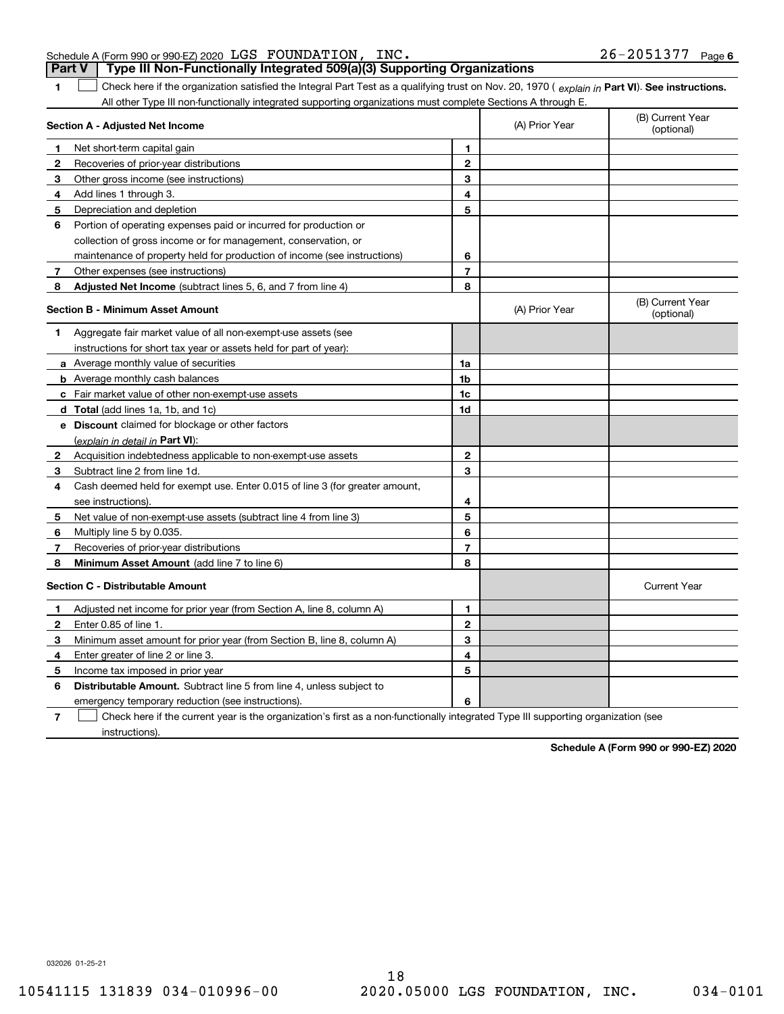### Schedule A (Form 990 or 990-EZ) 2020 Page LGS FOUNDATION, INC. 26-2051377 **Part V Type III Non-Functionally Integrated 509(a)(3) Supporting Organizations**

**1**1 Check here if the organization satisfied the Integral Part Test as a qualifying trust on Nov. 20, 1970 (explain in Part VI). See instructions. All other Type III non-functionally integrated supporting organizations must complete Sections A through E.

|              | Section A - Adjusted Net Income                                                                                                   |                | (A) Prior Year | (B) Current Year<br>(optional) |
|--------------|-----------------------------------------------------------------------------------------------------------------------------------|----------------|----------------|--------------------------------|
| 1            | Net short-term capital gain                                                                                                       | 1              |                |                                |
| 2            | Recoveries of prior-year distributions                                                                                            | $\overline{2}$ |                |                                |
| 3            | Other gross income (see instructions)                                                                                             | 3              |                |                                |
| 4            | Add lines 1 through 3.                                                                                                            | 4              |                |                                |
| 5            | Depreciation and depletion                                                                                                        | 5              |                |                                |
| 6            | Portion of operating expenses paid or incurred for production or                                                                  |                |                |                                |
|              | collection of gross income or for management, conservation, or                                                                    |                |                |                                |
|              | maintenance of property held for production of income (see instructions)                                                          | 6              |                |                                |
| 7            | Other expenses (see instructions)                                                                                                 | $\overline{7}$ |                |                                |
| 8            | Adjusted Net Income (subtract lines 5, 6, and 7 from line 4)                                                                      | 8              |                |                                |
|              | <b>Section B - Minimum Asset Amount</b>                                                                                           |                | (A) Prior Year | (B) Current Year<br>(optional) |
| 1            | Aggregate fair market value of all non-exempt-use assets (see                                                                     |                |                |                                |
|              | instructions for short tax year or assets held for part of year):                                                                 |                |                |                                |
|              | a Average monthly value of securities                                                                                             | 1a             |                |                                |
|              | <b>b</b> Average monthly cash balances                                                                                            | 1 <sub>b</sub> |                |                                |
|              | c Fair market value of other non-exempt-use assets                                                                                | 1c             |                |                                |
|              | d Total (add lines 1a, 1b, and 1c)                                                                                                | 1d             |                |                                |
|              | e Discount claimed for blockage or other factors                                                                                  |                |                |                                |
|              | (explain in detail in Part VI):                                                                                                   |                |                |                                |
| $\mathbf{2}$ | Acquisition indebtedness applicable to non-exempt-use assets                                                                      | 2              |                |                                |
| 3            | Subtract line 2 from line 1d.                                                                                                     | 3              |                |                                |
| 4            | Cash deemed held for exempt use. Enter 0.015 of line 3 (for greater amount,                                                       |                |                |                                |
|              | see instructions).                                                                                                                | 4              |                |                                |
| 5            | Net value of non-exempt-use assets (subtract line 4 from line 3)                                                                  | 5              |                |                                |
| 6            | Multiply line 5 by 0.035.                                                                                                         | 6              |                |                                |
| 7            | Recoveries of prior-year distributions                                                                                            | $\overline{7}$ |                |                                |
| 8            | Minimum Asset Amount (add line 7 to line 6)                                                                                       | 8              |                |                                |
|              | <b>Section C - Distributable Amount</b>                                                                                           |                |                | <b>Current Year</b>            |
| 1            | Adjusted net income for prior year (from Section A, line 8, column A)                                                             | 1              |                |                                |
| 2            | Enter 0.85 of line 1.                                                                                                             | $\overline{2}$ |                |                                |
| з            | Minimum asset amount for prior year (from Section B, line 8, column A)                                                            | 3              |                |                                |
| 4            | Enter greater of line 2 or line 3.                                                                                                | 4              |                |                                |
| 5            | Income tax imposed in prior year                                                                                                  | 5              |                |                                |
| 6            | <b>Distributable Amount.</b> Subtract line 5 from line 4, unless subject to                                                       |                |                |                                |
|              | emergency temporary reduction (see instructions).                                                                                 | 6              |                |                                |
| 7            | Check here if the current year is the organization's first as a non-functionally integrated Type III supporting organization (see |                |                |                                |

instructions).

**Schedule A (Form 990 or 990-EZ) 2020**

032026 01-25-21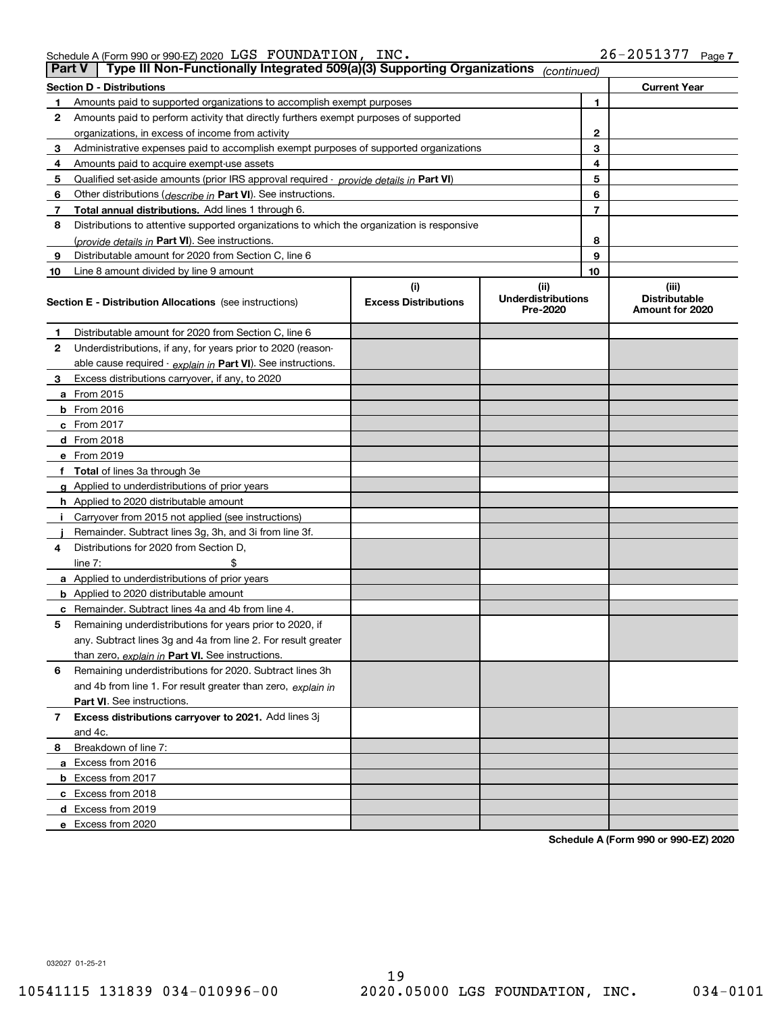| Schedule A (Form 990 or 990-EZ) 2020 $\,$ LGS $\,$ FOUNDATION , |  | INC. | 26-2051377 | Page, |
|-----------------------------------------------------------------|--|------|------------|-------|
|                                                                 |  |      |            |       |

|    | Type III Non-Functionally Integrated 509(a)(3) Supporting Organizations<br><b>Part V</b><br>(continued) |                             |                                       |    |                                         |  |  |  |
|----|---------------------------------------------------------------------------------------------------------|-----------------------------|---------------------------------------|----|-----------------------------------------|--|--|--|
|    | <b>Section D - Distributions</b>                                                                        |                             |                                       |    | <b>Current Year</b>                     |  |  |  |
| 1  | Amounts paid to supported organizations to accomplish exempt purposes                                   |                             | 1                                     |    |                                         |  |  |  |
| 2  | Amounts paid to perform activity that directly furthers exempt purposes of supported                    |                             |                                       |    |                                         |  |  |  |
|    | organizations, in excess of income from activity                                                        |                             | 2                                     |    |                                         |  |  |  |
| 3  | Administrative expenses paid to accomplish exempt purposes of supported organizations                   |                             |                                       | 3  |                                         |  |  |  |
| 4  | Amounts paid to acquire exempt-use assets                                                               |                             |                                       | 4  |                                         |  |  |  |
| 5  | Qualified set-aside amounts (prior IRS approval required - provide details in Part VI)                  |                             |                                       | 5  |                                         |  |  |  |
| 6  | Other distributions (describe in Part VI). See instructions.                                            |                             |                                       | 6  |                                         |  |  |  |
| 7  | Total annual distributions. Add lines 1 through 6.                                                      |                             |                                       | 7  |                                         |  |  |  |
| 8  | Distributions to attentive supported organizations to which the organization is responsive              |                             |                                       |    |                                         |  |  |  |
|    | (provide details in Part VI). See instructions.                                                         |                             |                                       | 8  |                                         |  |  |  |
| 9  | Distributable amount for 2020 from Section C, line 6                                                    |                             |                                       | 9  |                                         |  |  |  |
| 10 | Line 8 amount divided by line 9 amount                                                                  |                             |                                       | 10 |                                         |  |  |  |
|    |                                                                                                         | (i)                         | (ii)                                  |    | (iii)                                   |  |  |  |
|    | <b>Section E - Distribution Allocations</b> (see instructions)                                          | <b>Excess Distributions</b> | <b>Underdistributions</b><br>Pre-2020 |    | <b>Distributable</b><br>Amount for 2020 |  |  |  |
| 1  | Distributable amount for 2020 from Section C, line 6                                                    |                             |                                       |    |                                         |  |  |  |
| 2  | Underdistributions, if any, for years prior to 2020 (reason-                                            |                             |                                       |    |                                         |  |  |  |
|    | able cause required - explain in Part VI). See instructions.                                            |                             |                                       |    |                                         |  |  |  |
| 3  | Excess distributions carryover, if any, to 2020                                                         |                             |                                       |    |                                         |  |  |  |
|    | <b>a</b> From 2015                                                                                      |                             |                                       |    |                                         |  |  |  |
|    | <b>b</b> From 2016                                                                                      |                             |                                       |    |                                         |  |  |  |
|    | c From 2017                                                                                             |                             |                                       |    |                                         |  |  |  |
|    | <b>d</b> From 2018                                                                                      |                             |                                       |    |                                         |  |  |  |
|    | e From 2019                                                                                             |                             |                                       |    |                                         |  |  |  |
|    | f Total of lines 3a through 3e                                                                          |                             |                                       |    |                                         |  |  |  |
|    | g Applied to underdistributions of prior years                                                          |                             |                                       |    |                                         |  |  |  |
|    | <b>h</b> Applied to 2020 distributable amount                                                           |                             |                                       |    |                                         |  |  |  |
|    | Carryover from 2015 not applied (see instructions)                                                      |                             |                                       |    |                                         |  |  |  |
|    | Remainder. Subtract lines 3g, 3h, and 3i from line 3f.                                                  |                             |                                       |    |                                         |  |  |  |
| 4  | Distributions for 2020 from Section D,                                                                  |                             |                                       |    |                                         |  |  |  |
|    | line $7:$                                                                                               |                             |                                       |    |                                         |  |  |  |
|    | a Applied to underdistributions of prior years                                                          |                             |                                       |    |                                         |  |  |  |
|    | <b>b</b> Applied to 2020 distributable amount                                                           |                             |                                       |    |                                         |  |  |  |
|    | c Remainder. Subtract lines 4a and 4b from line 4.                                                      |                             |                                       |    |                                         |  |  |  |
| 5  | Remaining underdistributions for years prior to 2020, if                                                |                             |                                       |    |                                         |  |  |  |
|    | any. Subtract lines 3g and 4a from line 2. For result greater                                           |                             |                                       |    |                                         |  |  |  |
|    | than zero, explain in Part VI. See instructions.                                                        |                             |                                       |    |                                         |  |  |  |
| 6  | Remaining underdistributions for 2020. Subtract lines 3h                                                |                             |                                       |    |                                         |  |  |  |
|    | and 4b from line 1. For result greater than zero, explain in                                            |                             |                                       |    |                                         |  |  |  |
|    | Part VI. See instructions.                                                                              |                             |                                       |    |                                         |  |  |  |
| 7  | Excess distributions carryover to 2021. Add lines 3j                                                    |                             |                                       |    |                                         |  |  |  |
|    | and 4c.                                                                                                 |                             |                                       |    |                                         |  |  |  |
| 8  | Breakdown of line 7:                                                                                    |                             |                                       |    |                                         |  |  |  |
|    | a Excess from 2016                                                                                      |                             |                                       |    |                                         |  |  |  |
|    | <b>b</b> Excess from 2017                                                                               |                             |                                       |    |                                         |  |  |  |
|    | c Excess from 2018                                                                                      |                             |                                       |    |                                         |  |  |  |
|    | d Excess from 2019                                                                                      |                             |                                       |    |                                         |  |  |  |
|    | e Excess from 2020                                                                                      |                             |                                       |    |                                         |  |  |  |

**Schedule A (Form 990 or 990-EZ) 2020**

032027 01-25-21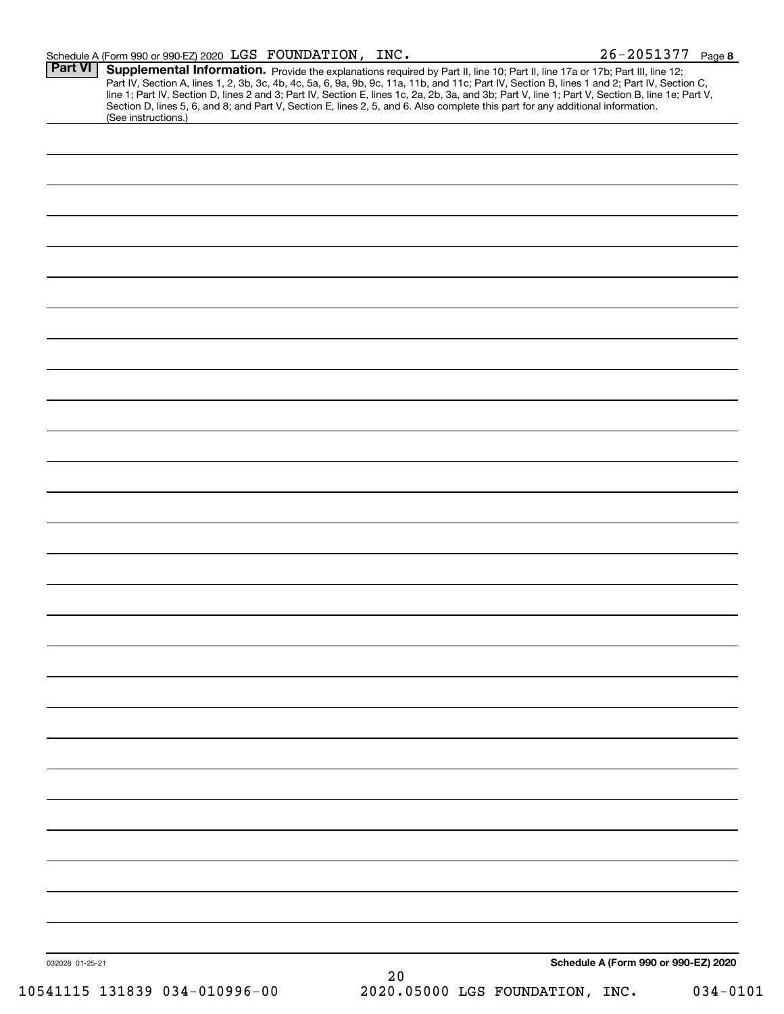| Schedule A (Form 990 or 990-EZ) 2020 LGS FOUNDATION,                                                                                 | INC. | 2051377<br>$26 -$ | Page 8 |
|--------------------------------------------------------------------------------------------------------------------------------------|------|-------------------|--------|
| $Dovt$ $Ml$ $Q1$ and $Q2$ and $Q1$ and $Q2$ and $Q2$ and $Q3$ and $Q4$ and $Q5$ and $Q6$ and $Q7$ and $Q8$ and $Q9$ and $Q1$ and $Q$ |      |                   |        |

| (See instructions.)           | line 1; Part IV, Section D, lines 2 and 3; Part IV, Section E, lines 1c, 2a, 2b, 3a, and 3b; Part V, line 1; Part V, Section B, line 1e; Part V,<br>Section D, lines 5, 6, and 8; and Part V, Section E, lines 2, 5, and 6. Also complete this part for any additional information. |
|-------------------------------|-------------------------------------------------------------------------------------------------------------------------------------------------------------------------------------------------------------------------------------------------------------------------------------|
|                               |                                                                                                                                                                                                                                                                                     |
|                               |                                                                                                                                                                                                                                                                                     |
|                               |                                                                                                                                                                                                                                                                                     |
|                               |                                                                                                                                                                                                                                                                                     |
|                               |                                                                                                                                                                                                                                                                                     |
|                               |                                                                                                                                                                                                                                                                                     |
|                               |                                                                                                                                                                                                                                                                                     |
|                               |                                                                                                                                                                                                                                                                                     |
|                               |                                                                                                                                                                                                                                                                                     |
|                               |                                                                                                                                                                                                                                                                                     |
|                               |                                                                                                                                                                                                                                                                                     |
|                               |                                                                                                                                                                                                                                                                                     |
|                               |                                                                                                                                                                                                                                                                                     |
|                               |                                                                                                                                                                                                                                                                                     |
|                               |                                                                                                                                                                                                                                                                                     |
|                               |                                                                                                                                                                                                                                                                                     |
|                               |                                                                                                                                                                                                                                                                                     |
|                               |                                                                                                                                                                                                                                                                                     |
|                               |                                                                                                                                                                                                                                                                                     |
|                               |                                                                                                                                                                                                                                                                                     |
|                               |                                                                                                                                                                                                                                                                                     |
|                               |                                                                                                                                                                                                                                                                                     |
|                               |                                                                                                                                                                                                                                                                                     |
|                               |                                                                                                                                                                                                                                                                                     |
|                               |                                                                                                                                                                                                                                                                                     |
|                               |                                                                                                                                                                                                                                                                                     |
|                               |                                                                                                                                                                                                                                                                                     |
|                               |                                                                                                                                                                                                                                                                                     |
|                               |                                                                                                                                                                                                                                                                                     |
|                               |                                                                                                                                                                                                                                                                                     |
|                               |                                                                                                                                                                                                                                                                                     |
|                               |                                                                                                                                                                                                                                                                                     |
|                               |                                                                                                                                                                                                                                                                                     |
|                               |                                                                                                                                                                                                                                                                                     |
|                               |                                                                                                                                                                                                                                                                                     |
| 032028 01-25-21               | Schedule A (Form 990 or 990-EZ) 2020                                                                                                                                                                                                                                                |
| 10541115 131839 034-010996-00 | 20<br>2020.05000 LGS FOUNDATION, INC.<br>$034 - 0101$                                                                                                                                                                                                                               |
|                               |                                                                                                                                                                                                                                                                                     |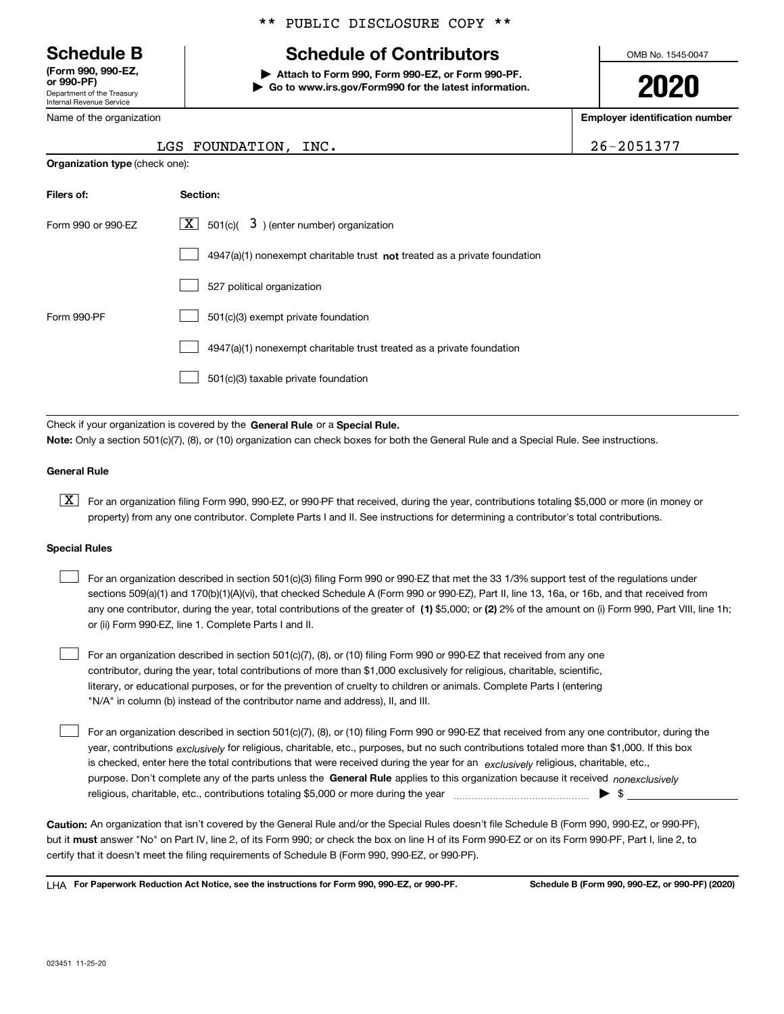Department of the Treasury Internal Revenue Service **(Form 990, 990-EZ, or 990-PF)**

\*\* PUBLIC DISCLOSURE COPY \*\*

# **Schedule B Schedule of Contributors**

**| Attach to Form 990, Form 990-EZ, or Form 990-PF. | Go to www.irs.gov/Form990 for the latest information.** OMB No. 1545-0047

**2020**

**Employer identification number**

26-2051377

| (LAIII 220' 220-ET'<br>or 990-PF)                      |
|--------------------------------------------------------|
| Department of the Treasury<br>Internal Revenue Service |
| Name of the organization                               |

**Organization type** (check one):

| LGS FOUNDATION, INC. |  |
|----------------------|--|
|                      |  |

| Filers of:         | Section:                                                                    |
|--------------------|-----------------------------------------------------------------------------|
| Form 990 or 990-EZ | $\lfloor x \rfloor$ 501(c)( 3) (enter number) organization                  |
|                    | $4947(a)(1)$ nonexempt charitable trust not treated as a private foundation |
|                    | 527 political organization                                                  |
| Form 990-PF        | 501(c)(3) exempt private foundation                                         |
|                    | 4947(a)(1) nonexempt charitable trust treated as a private foundation       |
|                    | 501(c)(3) taxable private foundation                                        |

Check if your organization is covered by the **General Rule** or a **Special Rule. Note:**  Only a section 501(c)(7), (8), or (10) organization can check boxes for both the General Rule and a Special Rule. See instructions.

## **General Rule**

 $\boxed{\textbf{X}}$  For an organization filing Form 990, 990-EZ, or 990-PF that received, during the year, contributions totaling \$5,000 or more (in money or property) from any one contributor. Complete Parts I and II. See instructions for determining a contributor's total contributions.

### **Special Rules**

 $\sqrt{ }$ 

| For an organization described in section 501(c)(3) filing Form 990 or 990-EZ that met the 33 1/3% support test of the regulations under               |
|-------------------------------------------------------------------------------------------------------------------------------------------------------|
| sections 509(a)(1) and 170(b)(1)(A)(vi), that checked Schedule A (Form 990 or 990-EZ), Part II, line 13, 16a, or 16b, and that received from          |
| any one contributor, during the year, total contributions of the greater of (1) \$5,000; or (2) 2% of the amount on (i) Form 990, Part VIII, line 1h; |
| or (ii) Form 990-EZ, line 1. Complete Parts I and II.                                                                                                 |

For an organization described in section 501(c)(7), (8), or (10) filing Form 990 or 990-EZ that received from any one contributor, during the year, total contributions of more than \$1,000 exclusively for religious, charitable, scientific, literary, or educational purposes, or for the prevention of cruelty to children or animals. Complete Parts I (entering "N/A" in column (b) instead of the contributor name and address), II, and III.  $\mathcal{L}^{\text{max}}$ 

purpose. Don't complete any of the parts unless the **General Rule** applies to this organization because it received *nonexclusively* year, contributions <sub>exclusively</sub> for religious, charitable, etc., purposes, but no such contributions totaled more than \$1,000. If this box is checked, enter here the total contributions that were received during the year for an  $\;$ exclusively religious, charitable, etc., For an organization described in section 501(c)(7), (8), or (10) filing Form 990 or 990-EZ that received from any one contributor, during the religious, charitable, etc., contributions totaling \$5,000 or more during the year  $\Box$ — $\Box$  =  $\Box$  $\mathcal{L}^{\text{max}}$ 

**Caution:**  An organization that isn't covered by the General Rule and/or the Special Rules doesn't file Schedule B (Form 990, 990-EZ, or 990-PF),  **must** but it answer "No" on Part IV, line 2, of its Form 990; or check the box on line H of its Form 990-EZ or on its Form 990-PF, Part I, line 2, to certify that it doesn't meet the filing requirements of Schedule B (Form 990, 990-EZ, or 990-PF).

**For Paperwork Reduction Act Notice, see the instructions for Form 990, 990-EZ, or 990-PF. Schedule B (Form 990, 990-EZ, or 990-PF) (2020)** LHA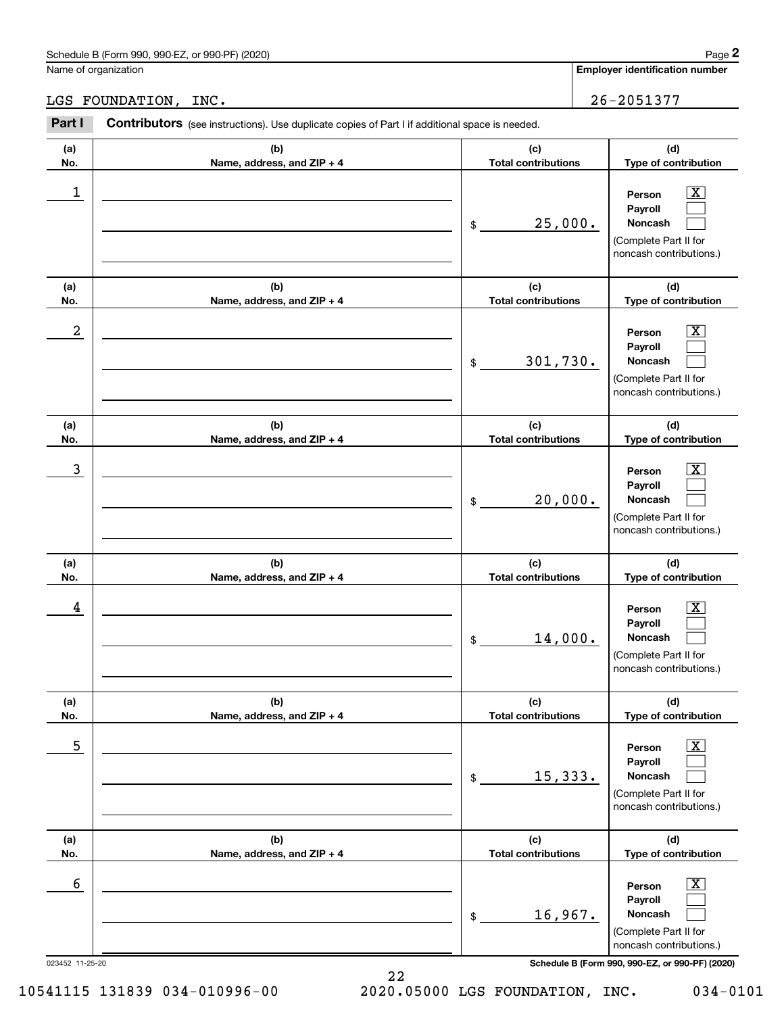|                  | Schedule B (Form 990, 990-EZ, or 990-PF) (2020)                                                |                                   | Page 2                                                                                                      |  |
|------------------|------------------------------------------------------------------------------------------------|-----------------------------------|-------------------------------------------------------------------------------------------------------------|--|
|                  | Vame of organization                                                                           |                                   | <b>Employer identification number</b>                                                                       |  |
|                  | LGS FOUNDATION, INC.                                                                           |                                   | 26-2051377                                                                                                  |  |
| Part I           | Contributors (see instructions). Use duplicate copies of Part I if additional space is needed. |                                   |                                                                                                             |  |
| (a)<br>No.       | (b)<br>Name, address, and ZIP + 4                                                              | (c)<br><b>Total contributions</b> | (d)<br>Type of contribution                                                                                 |  |
| 1                |                                                                                                | 25,000.<br>\$                     | $\mathbf{X}$<br>Person<br>Payroll<br>Noncash<br>(Complete Part II for<br>noncash contributions.)            |  |
| (a)<br>No.       | (b)<br>Name, address, and ZIP + 4                                                              | (c)<br><b>Total contributions</b> | (d)<br>Type of contribution                                                                                 |  |
| $\boldsymbol{2}$ |                                                                                                | 301,730.<br>\$                    | $\overline{\mathbf{X}}$<br>Person<br>Payroll<br>Noncash<br>(Complete Part II for<br>noncash contributions.) |  |
| (a)<br>No.       | (b)<br>Name, address, and ZIP + 4                                                              | (c)<br><b>Total contributions</b> | (d)<br>Type of contribution                                                                                 |  |
| $\mathsf 3$      |                                                                                                | 20,000.<br>\$                     | $\overline{\mathbf{X}}$<br>Person<br>Payroll<br>Noncash<br>(Complete Part II for<br>noncash contributions.) |  |
| (a)<br>No.       | (b)<br>Name, address, and ZIP + 4                                                              | (c)<br><b>Total contributions</b> | (d)<br>Type of contribution                                                                                 |  |
| 4                |                                                                                                | 14,000.<br>\$                     | $\mathbf{X}$<br>Person<br>Payroll<br>Noncash<br>(Complete Part II for<br>noncash contributions.)            |  |
| (a)<br>No.       | (b)<br>Name, address, and ZIP + 4                                                              | (c)<br><b>Total contributions</b> | (d)<br>Type of contribution                                                                                 |  |
| 5                |                                                                                                | 15,333.<br>\$                     | $\boxed{\text{X}}$<br>Person<br>Payroll<br>Noncash<br>(Complete Part II for<br>noncash contributions.)      |  |
| (a)<br>No.       | (b)<br>Name, address, and ZIP + 4                                                              | (c)<br><b>Total contributions</b> | (d)<br>Type of contribution                                                                                 |  |
| 6                |                                                                                                | 16,967.<br>\$                     | $\boxed{\text{X}}$<br>Person<br>Payroll<br>Noncash<br>(Complete Part II for<br>noncash contributions.)      |  |

023452 11-25-20 **Schedule B (Form 990, 990-EZ, or 990-PF) (2020)**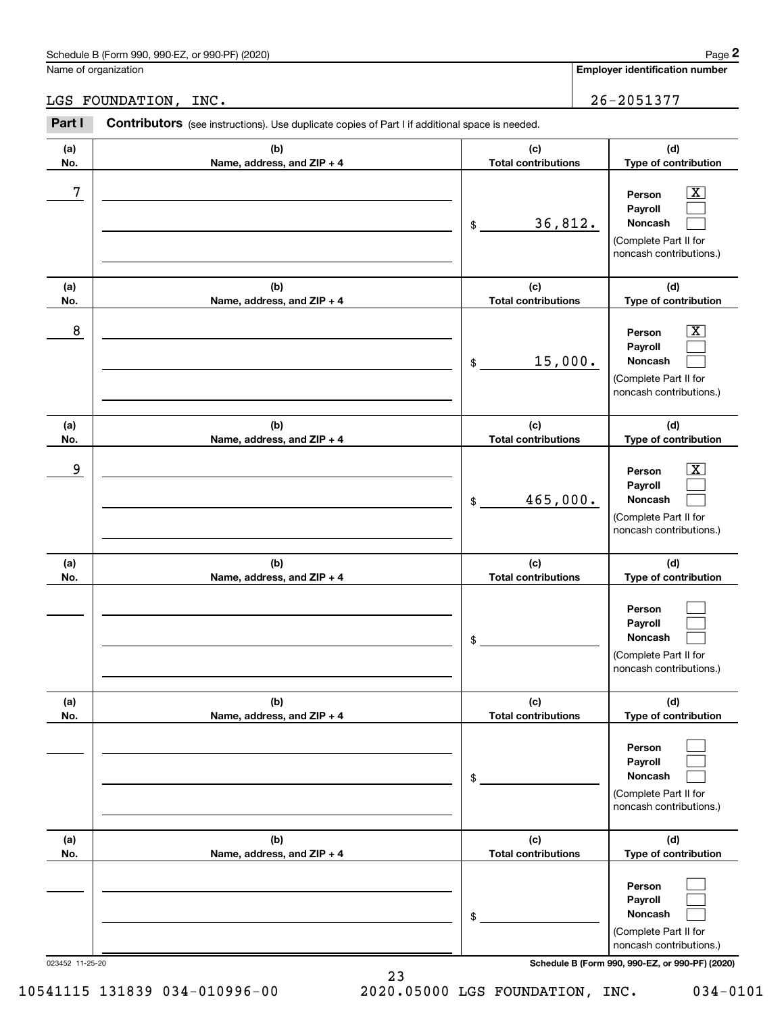|                      | Schedule B (Form 990, 990-EZ, or 990-PF) (2020)                                                |                                   | Page 2                                                                                                                              |
|----------------------|------------------------------------------------------------------------------------------------|-----------------------------------|-------------------------------------------------------------------------------------------------------------------------------------|
| Name of organization |                                                                                                |                                   | <b>Employer identification number</b>                                                                                               |
|                      | LGS FOUNDATION, INC.                                                                           |                                   | 26-2051377                                                                                                                          |
| Part I               | Contributors (see instructions). Use duplicate copies of Part I if additional space is needed. |                                   |                                                                                                                                     |
| (a)<br>No.           | (b)<br>Name, address, and ZIP + 4                                                              | (c)<br><b>Total contributions</b> | (d)<br>Type of contribution                                                                                                         |
| 7                    |                                                                                                | 36,812.<br>\$                     | $\overline{\mathbf{X}}$<br>Person<br>Payroll<br>Noncash<br>(Complete Part II for<br>noncash contributions.)                         |
| (a)<br>No.           | (b)<br>Name, address, and ZIP + 4                                                              | (c)<br><b>Total contributions</b> | (d)<br>Type of contribution                                                                                                         |
| 8                    |                                                                                                | 15,000.<br>\$                     | $\overline{\mathbf{X}}$<br>Person<br>Payroll<br>Noncash<br>(Complete Part II for<br>noncash contributions.)                         |
| (a)<br>No.           | (b)<br>Name, address, and ZIP + 4                                                              | (c)<br><b>Total contributions</b> | (d)<br>Type of contribution                                                                                                         |
| 9                    |                                                                                                | 465,000.<br>\$                    | $\overline{\mathbf{X}}$<br>Person<br>Payroll<br>Noncash<br>(Complete Part II for<br>noncash contributions.)                         |
| (a)<br>No.           | (b)<br>Name, address, and ZIP + 4                                                              | (c)<br><b>Total contributions</b> | (d)<br>Type of contribution                                                                                                         |
|                      |                                                                                                | \$                                | Person<br>Payroll<br>Noncash<br>(Complete Part II for<br>noncash contributions.)                                                    |
| (a)<br>No.           | (b)<br>Name, address, and ZIP + 4                                                              | (c)<br><b>Total contributions</b> | (d)<br>Type of contribution                                                                                                         |
|                      |                                                                                                | \$                                | Person<br>Payroll<br>Noncash<br>(Complete Part II for<br>noncash contributions.)                                                    |
| (a)<br>No.           | (b)<br>Name, address, and ZIP + 4                                                              | (c)<br><b>Total contributions</b> | (d)<br>Type of contribution                                                                                                         |
|                      |                                                                                                | \$                                | Person<br>Payroll<br>Noncash<br>(Complete Part II for<br>noncash contributions.)<br>Schedule B (Form 990, 990-EZ, or 990-PF) (2020) |

10541115 131839 034-010996-00 2020.05000 LGS FOUNDATION, INC. 034-0101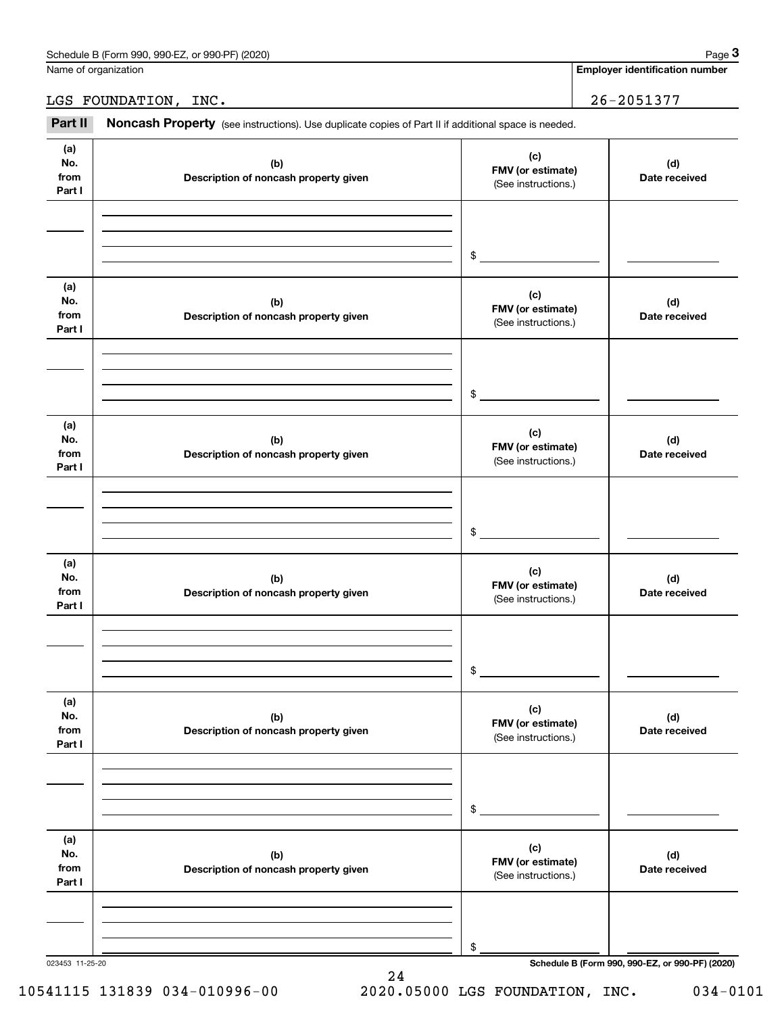**Employer identification number**

# LGS FOUNDATION, INC. 26-2051377

Chedule B (Form 990, 990-EZ, or 990-PF) (2020)<br>
lame of organization<br> **3Part II if additional space is needed.**<br> **Part II Noncash Property** (see instructions). Use duplicate copies of Part II if additional space is needed.

| (a)<br>No.<br>from<br>Part I | (b)<br>Description of noncash property given | (c)<br>FMV (or estimate)<br>(See instructions.) | (d)<br>Date received |
|------------------------------|----------------------------------------------|-------------------------------------------------|----------------------|
|                              |                                              | $\frac{1}{2}$                                   |                      |
| (a)<br>No.<br>from<br>Part I | (b)<br>Description of noncash property given | (c)<br>FMV (or estimate)<br>(See instructions.) | (d)<br>Date received |
|                              |                                              | $\frac{1}{2}$                                   |                      |
| (a)<br>No.<br>from<br>Part I | (b)<br>Description of noncash property given | (c)<br>FMV (or estimate)<br>(See instructions.) | (d)<br>Date received |
|                              |                                              | $\sim$                                          |                      |
| (a)<br>No.<br>from<br>Part I | (b)<br>Description of noncash property given | (c)<br>FMV (or estimate)<br>(See instructions.) | (d)<br>Date received |
|                              |                                              | $\frac{1}{2}$                                   |                      |
| (a)<br>No.<br>from<br>Part I | (b)<br>Description of noncash property given | (c)<br>FMV (or estimate)<br>(See instructions.) | (d)<br>Date received |
|                              |                                              | \$                                              |                      |
| (a)<br>No.<br>from<br>Part I | (b)<br>Description of noncash property given | (c)<br>FMV (or estimate)<br>(See instructions.) | (d)<br>Date received |
|                              |                                              | \$                                              |                      |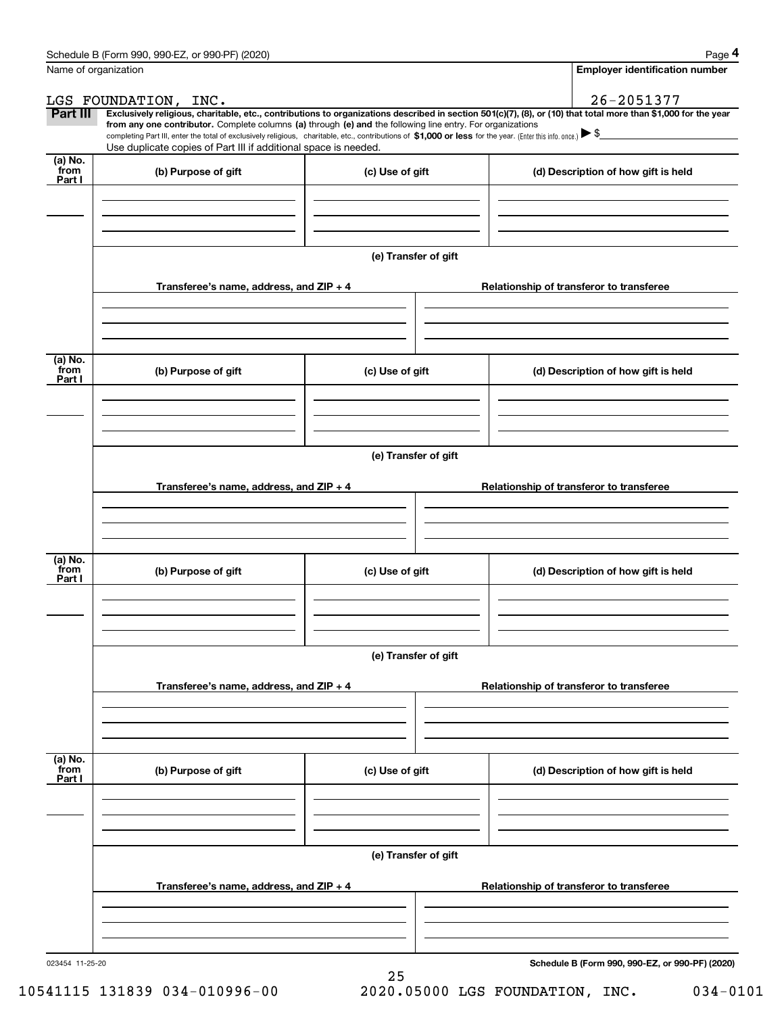|                           | Schedule B (Form 990, 990-EZ, or 990-PF) (2020)                                                                                                                                   |                      | Page 4                                                                                                                                                         |  |  |  |  |  |
|---------------------------|-----------------------------------------------------------------------------------------------------------------------------------------------------------------------------------|----------------------|----------------------------------------------------------------------------------------------------------------------------------------------------------------|--|--|--|--|--|
|                           | Name of organization                                                                                                                                                              |                      | <b>Employer identification number</b>                                                                                                                          |  |  |  |  |  |
|                           | LGS FOUNDATION, INC.                                                                                                                                                              |                      | 26-2051377                                                                                                                                                     |  |  |  |  |  |
| Part III                  | from any one contributor. Complete columns (a) through (e) and the following line entry. For organizations                                                                        |                      | Exclusively religious, charitable, etc., contributions to organizations described in section 501(c)(7), (8), or (10) that total more than \$1,000 for the year |  |  |  |  |  |
|                           | completing Part III, enter the total of exclusively religious, charitable, etc., contributions of \$1,000 or less for the year. (Enter this info. once.) $\blacktriangleright$ \$ |                      |                                                                                                                                                                |  |  |  |  |  |
|                           | Use duplicate copies of Part III if additional space is needed.                                                                                                                   |                      |                                                                                                                                                                |  |  |  |  |  |
| (a) No.<br>from<br>Part I | (b) Purpose of gift                                                                                                                                                               | (c) Use of gift      | (d) Description of how gift is held                                                                                                                            |  |  |  |  |  |
|                           |                                                                                                                                                                                   |                      |                                                                                                                                                                |  |  |  |  |  |
|                           |                                                                                                                                                                                   | (e) Transfer of gift |                                                                                                                                                                |  |  |  |  |  |
|                           | Transferee's name, address, and ZIP + 4                                                                                                                                           |                      | Relationship of transferor to transferee                                                                                                                       |  |  |  |  |  |
|                           |                                                                                                                                                                                   |                      |                                                                                                                                                                |  |  |  |  |  |
|                           |                                                                                                                                                                                   |                      |                                                                                                                                                                |  |  |  |  |  |
| (a) No.<br>from<br>Part I | (b) Purpose of gift                                                                                                                                                               | (c) Use of gift      | (d) Description of how gift is held                                                                                                                            |  |  |  |  |  |
|                           |                                                                                                                                                                                   |                      |                                                                                                                                                                |  |  |  |  |  |
|                           |                                                                                                                                                                                   | (e) Transfer of gift |                                                                                                                                                                |  |  |  |  |  |
|                           | Transferee's name, address, and ZIP + 4                                                                                                                                           |                      | Relationship of transferor to transferee                                                                                                                       |  |  |  |  |  |
|                           |                                                                                                                                                                                   |                      |                                                                                                                                                                |  |  |  |  |  |
|                           |                                                                                                                                                                                   |                      |                                                                                                                                                                |  |  |  |  |  |
| (a) No.<br>from<br>Part I | (b) Purpose of gift                                                                                                                                                               | (c) Use of gift      | (d) Description of how gift is held                                                                                                                            |  |  |  |  |  |
|                           |                                                                                                                                                                                   |                      |                                                                                                                                                                |  |  |  |  |  |
|                           | (e) Transfer of gift                                                                                                                                                              |                      |                                                                                                                                                                |  |  |  |  |  |
|                           | Transferee's name, address, and ZIP + 4                                                                                                                                           |                      | Relationship of transferor to transferee                                                                                                                       |  |  |  |  |  |
|                           |                                                                                                                                                                                   |                      |                                                                                                                                                                |  |  |  |  |  |
|                           |                                                                                                                                                                                   |                      |                                                                                                                                                                |  |  |  |  |  |
| (a) No.<br>from<br>Part I | (b) Purpose of gift                                                                                                                                                               | (c) Use of gift      | (d) Description of how gift is held                                                                                                                            |  |  |  |  |  |
|                           |                                                                                                                                                                                   |                      |                                                                                                                                                                |  |  |  |  |  |
|                           | (e) Transfer of gift                                                                                                                                                              |                      |                                                                                                                                                                |  |  |  |  |  |
|                           |                                                                                                                                                                                   |                      |                                                                                                                                                                |  |  |  |  |  |
|                           | Transferee's name, address, and ZIP + 4                                                                                                                                           |                      | Relationship of transferor to transferee                                                                                                                       |  |  |  |  |  |
|                           |                                                                                                                                                                                   |                      |                                                                                                                                                                |  |  |  |  |  |
| 023454 11-25-20           |                                                                                                                                                                                   |                      | Schedule B (Form 990, 990-EZ, or 990-PF) (2020)                                                                                                                |  |  |  |  |  |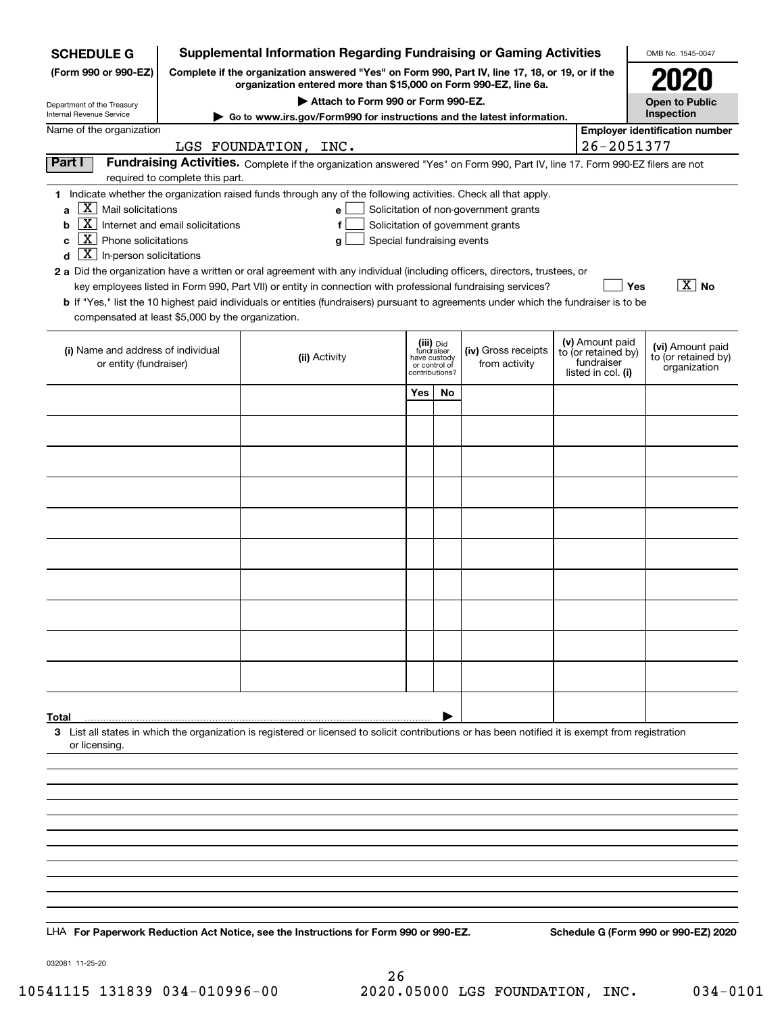| <b>SCHEDULE G</b>                                                                                                                                                                                                                                                                                                                                                                                             | <b>Supplemental Information Regarding Fundraising or Gaming Activities</b>                                                                                          |                      |                                           |                                                                            |    |                                                                                                                                                                                           |  | OMB No. 1545-0047                                                          |                                                         |
|---------------------------------------------------------------------------------------------------------------------------------------------------------------------------------------------------------------------------------------------------------------------------------------------------------------------------------------------------------------------------------------------------------------|---------------------------------------------------------------------------------------------------------------------------------------------------------------------|----------------------|-------------------------------------------|----------------------------------------------------------------------------|----|-------------------------------------------------------------------------------------------------------------------------------------------------------------------------------------------|--|----------------------------------------------------------------------------|---------------------------------------------------------|
| (Form 990 or 990-EZ)                                                                                                                                                                                                                                                                                                                                                                                          | Complete if the organization answered "Yes" on Form 990, Part IV, line 17, 18, or 19, or if the<br>organization entered more than \$15,000 on Form 990-EZ, line 6a. |                      |                                           |                                                                            |    |                                                                                                                                                                                           |  |                                                                            |                                                         |
|                                                                                                                                                                                                                                                                                                                                                                                                               |                                                                                                                                                                     |                      | <b>Open to Public</b>                     |                                                                            |    |                                                                                                                                                                                           |  |                                                                            |                                                         |
| Department of the Treasury<br>Internal Revenue Service                                                                                                                                                                                                                                                                                                                                                        | Attach to Form 990 or Form 990-EZ.<br>Inspection<br>Go to www.irs.gov/Form990 for instructions and the latest information.                                          |                      |                                           |                                                                            |    |                                                                                                                                                                                           |  |                                                                            |                                                         |
| Name of the organization                                                                                                                                                                                                                                                                                                                                                                                      |                                                                                                                                                                     | LGS FOUNDATION, INC. |                                           |                                                                            |    |                                                                                                                                                                                           |  | 26-2051377                                                                 | <b>Employer identification number</b>                   |
| Part I                                                                                                                                                                                                                                                                                                                                                                                                        |                                                                                                                                                                     |                      |                                           |                                                                            |    | Fundraising Activities. Complete if the organization answered "Yes" on Form 990, Part IV, line 17. Form 990-EZ filers are not                                                             |  |                                                                            |                                                         |
|                                                                                                                                                                                                                                                                                                                                                                                                               | required to complete this part.                                                                                                                                     |                      |                                           |                                                                            |    |                                                                                                                                                                                           |  |                                                                            |                                                         |
| 1 Indicate whether the organization raised funds through any of the following activities. Check all that apply.<br>$X$ Mail solicitations<br>a<br>$\lfloor x \rfloor$<br>b<br>$\boxed{\textbf{X}}$ Phone solicitations<br>c<br>$\lfloor x \rfloor$ In-person solicitations<br>d<br>2 a Did the organization have a written or oral agreement with any individual (including officers, directors, trustees, or | Internet and email solicitations                                                                                                                                    |                      | e<br>f<br>Special fundraising events<br>g |                                                                            |    | Solicitation of non-government grants<br>Solicitation of government grants<br>key employees listed in Form 990, Part VII) or entity in connection with professional fundraising services? |  | Yes                                                                        | $\boxed{\text{X}}$ No                                   |
| <b>b</b> If "Yes," list the 10 highest paid individuals or entities (fundraisers) pursuant to agreements under which the fundraiser is to be                                                                                                                                                                                                                                                                  |                                                                                                                                                                     |                      |                                           |                                                                            |    |                                                                                                                                                                                           |  |                                                                            |                                                         |
| compensated at least \$5,000 by the organization.<br>(i) Name and address of individual<br>or entity (fundraiser)                                                                                                                                                                                                                                                                                             |                                                                                                                                                                     | (ii) Activity        |                                           | (iii) Did<br>fundraiser<br>have custody<br>or control of<br>contributions? |    | (iv) Gross receipts<br>from activity                                                                                                                                                      |  | (v) Amount paid<br>to (or retained by)<br>fundraiser<br>listed in col. (i) | (vi) Amount paid<br>to (or retained by)<br>organization |
|                                                                                                                                                                                                                                                                                                                                                                                                               |                                                                                                                                                                     |                      |                                           | Yes                                                                        | No |                                                                                                                                                                                           |  |                                                                            |                                                         |
|                                                                                                                                                                                                                                                                                                                                                                                                               |                                                                                                                                                                     |                      |                                           |                                                                            |    |                                                                                                                                                                                           |  |                                                                            |                                                         |
|                                                                                                                                                                                                                                                                                                                                                                                                               |                                                                                                                                                                     |                      |                                           |                                                                            |    |                                                                                                                                                                                           |  |                                                                            |                                                         |
|                                                                                                                                                                                                                                                                                                                                                                                                               |                                                                                                                                                                     |                      |                                           |                                                                            |    |                                                                                                                                                                                           |  |                                                                            |                                                         |
|                                                                                                                                                                                                                                                                                                                                                                                                               |                                                                                                                                                                     |                      |                                           |                                                                            |    |                                                                                                                                                                                           |  |                                                                            |                                                         |
|                                                                                                                                                                                                                                                                                                                                                                                                               |                                                                                                                                                                     |                      |                                           |                                                                            |    |                                                                                                                                                                                           |  |                                                                            |                                                         |
|                                                                                                                                                                                                                                                                                                                                                                                                               |                                                                                                                                                                     |                      |                                           |                                                                            |    |                                                                                                                                                                                           |  |                                                                            |                                                         |
|                                                                                                                                                                                                                                                                                                                                                                                                               |                                                                                                                                                                     |                      |                                           |                                                                            |    |                                                                                                                                                                                           |  |                                                                            |                                                         |
|                                                                                                                                                                                                                                                                                                                                                                                                               |                                                                                                                                                                     |                      |                                           |                                                                            |    |                                                                                                                                                                                           |  |                                                                            |                                                         |
|                                                                                                                                                                                                                                                                                                                                                                                                               |                                                                                                                                                                     |                      |                                           |                                                                            |    |                                                                                                                                                                                           |  |                                                                            |                                                         |
|                                                                                                                                                                                                                                                                                                                                                                                                               |                                                                                                                                                                     |                      |                                           |                                                                            |    |                                                                                                                                                                                           |  |                                                                            |                                                         |
|                                                                                                                                                                                                                                                                                                                                                                                                               |                                                                                                                                                                     |                      |                                           |                                                                            |    |                                                                                                                                                                                           |  |                                                                            |                                                         |
| Total<br>3 List all states in which the organization is registered or licensed to solicit contributions or has been notified it is exempt from registration                                                                                                                                                                                                                                                   |                                                                                                                                                                     |                      |                                           |                                                                            |    |                                                                                                                                                                                           |  |                                                                            |                                                         |
| or licensing.                                                                                                                                                                                                                                                                                                                                                                                                 |                                                                                                                                                                     |                      |                                           |                                                                            |    |                                                                                                                                                                                           |  |                                                                            |                                                         |
|                                                                                                                                                                                                                                                                                                                                                                                                               |                                                                                                                                                                     |                      |                                           |                                                                            |    |                                                                                                                                                                                           |  |                                                                            |                                                         |
|                                                                                                                                                                                                                                                                                                                                                                                                               |                                                                                                                                                                     |                      |                                           |                                                                            |    |                                                                                                                                                                                           |  |                                                                            |                                                         |
|                                                                                                                                                                                                                                                                                                                                                                                                               |                                                                                                                                                                     |                      |                                           |                                                                            |    |                                                                                                                                                                                           |  |                                                                            |                                                         |
|                                                                                                                                                                                                                                                                                                                                                                                                               |                                                                                                                                                                     |                      |                                           |                                                                            |    |                                                                                                                                                                                           |  |                                                                            |                                                         |
|                                                                                                                                                                                                                                                                                                                                                                                                               |                                                                                                                                                                     |                      |                                           |                                                                            |    |                                                                                                                                                                                           |  |                                                                            |                                                         |
|                                                                                                                                                                                                                                                                                                                                                                                                               |                                                                                                                                                                     |                      |                                           |                                                                            |    |                                                                                                                                                                                           |  |                                                                            |                                                         |
| LHA For Paperwork Reduction Act Notice, see the Instructions for Form 990 or 990-EZ.                                                                                                                                                                                                                                                                                                                          |                                                                                                                                                                     |                      |                                           |                                                                            |    |                                                                                                                                                                                           |  |                                                                            | Schedule G (Form 990 or 990-EZ) 2020                    |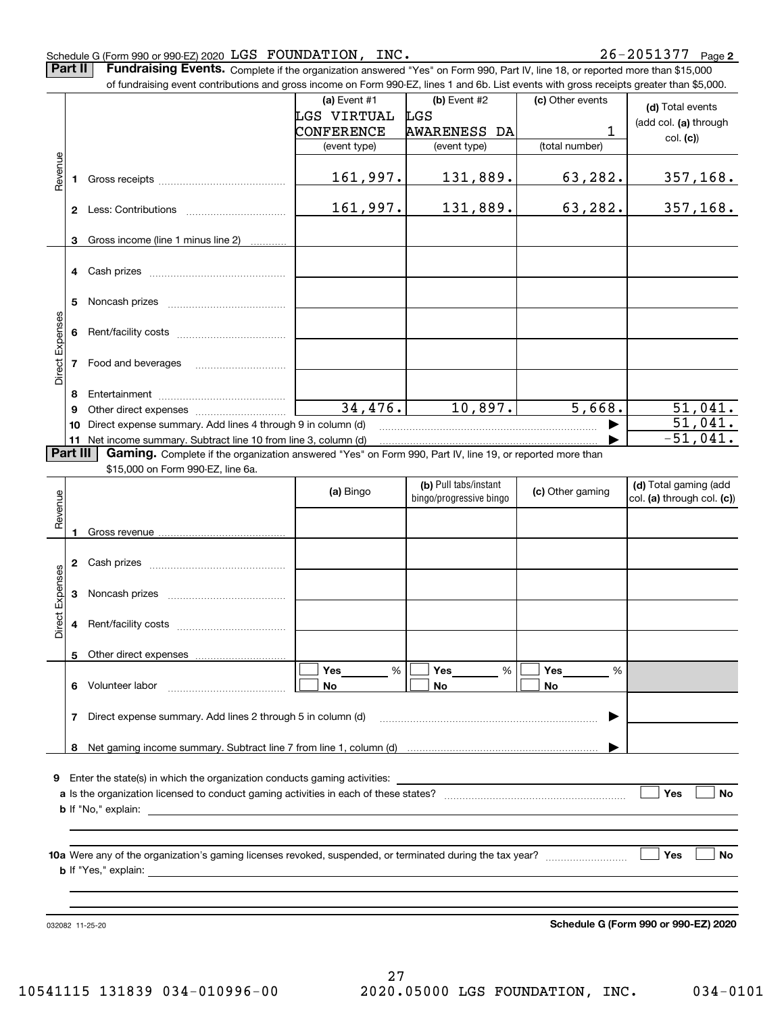### Schedule G (Form 990 or 990-EZ) 2020 Page LGS FOUNDATION, INC. 26-2051377

**Part II** | Fundraising Events. Complete if the organization answered "Yes" on Form 990, Part IV, line 18, or reported more than \$15,000 of fundraising event contributions and gross income on Form 990-EZ, lines 1 and 6b. List events with gross receipts greater than \$5,000.

|                 |              | of fundraising event contributions and gross income on Form 990-EZ, lines 1 and 6b. List events with gross receipts greater than \$5,000.                                                                                                 |                |                         |                  |                                      |
|-----------------|--------------|-------------------------------------------------------------------------------------------------------------------------------------------------------------------------------------------------------------------------------------------|----------------|-------------------------|------------------|--------------------------------------|
|                 |              |                                                                                                                                                                                                                                           | (a) Event $#1$ | (b) Event #2            | (c) Other events | (d) Total events                     |
|                 |              |                                                                                                                                                                                                                                           | LGS VIRTUAL    | LGS                     |                  | (add col. (a) through                |
|                 |              |                                                                                                                                                                                                                                           | CONFERENCE     | <b>AWARENESS DA</b>     | 1                | col. (c)                             |
|                 |              |                                                                                                                                                                                                                                           | (event type)   | (event type)            | (total number)   |                                      |
| Revenue         | 1            |                                                                                                                                                                                                                                           | 161,997.       | 131,889.                | 63,282.          | 357,168.                             |
|                 |              |                                                                                                                                                                                                                                           | 161,997.       | 131,889.                | 63,282.          | 357,168.                             |
|                 |              |                                                                                                                                                                                                                                           |                |                         |                  |                                      |
|                 | 3            | Gross income (line 1 minus line 2)                                                                                                                                                                                                        |                |                         |                  |                                      |
|                 |              |                                                                                                                                                                                                                                           |                |                         |                  |                                      |
|                 | 5            |                                                                                                                                                                                                                                           |                |                         |                  |                                      |
|                 | 6            |                                                                                                                                                                                                                                           |                |                         |                  |                                      |
| Direct Expenses |              | 7 Food and beverages                                                                                                                                                                                                                      |                |                         |                  |                                      |
|                 | 8            |                                                                                                                                                                                                                                           |                |                         |                  |                                      |
|                 | 9            |                                                                                                                                                                                                                                           | 34, 476.       | 10,897.                 | 5,668.           | 51,041.                              |
|                 | 10           | Direct expense summary. Add lines 4 through 9 in column (d)                                                                                                                                                                               |                |                         | ▶                | $\overline{51}$ , 041.               |
|                 | 11           | Net income summary. Subtract line 10 from line 3, column (d)                                                                                                                                                                              |                |                         |                  | $\overline{-51}$ ,041.               |
|                 | Part III     | Gaming. Complete if the organization answered "Yes" on Form 990, Part IV, line 19, or reported more than                                                                                                                                  |                |                         |                  |                                      |
|                 |              | \$15,000 on Form 990-EZ, line 6a.                                                                                                                                                                                                         |                |                         |                  |                                      |
|                 |              |                                                                                                                                                                                                                                           | (a) Bingo      | (b) Pull tabs/instant   | (c) Other gaming | (d) Total gaming (add                |
| Revenue         |              |                                                                                                                                                                                                                                           |                | bingo/progressive bingo |                  | col. (a) through col. (c))           |
|                 |              |                                                                                                                                                                                                                                           |                |                         |                  |                                      |
|                 | 1            |                                                                                                                                                                                                                                           |                |                         |                  |                                      |
|                 | $\mathbf{2}$ |                                                                                                                                                                                                                                           |                |                         |                  |                                      |
| Direct Expenses | 3            |                                                                                                                                                                                                                                           |                |                         |                  |                                      |
|                 | 4            |                                                                                                                                                                                                                                           |                |                         |                  |                                      |
|                 |              | 5 Other direct expenses                                                                                                                                                                                                                   |                |                         |                  |                                      |
|                 |              |                                                                                                                                                                                                                                           | %<br>Yes       | Yes<br>%                | Yes<br>%         |                                      |
|                 | 6.           | Volunteer labor                                                                                                                                                                                                                           | No             | No                      | No               |                                      |
|                 | 7            | Direct expense summary. Add lines 2 through 5 in column (d)                                                                                                                                                                               |                |                         |                  |                                      |
|                 |              |                                                                                                                                                                                                                                           |                |                         |                  |                                      |
|                 |              |                                                                                                                                                                                                                                           |                |                         |                  |                                      |
| 9               |              | Enter the state(s) in which the organization conducts gaming activities:                                                                                                                                                                  |                |                         |                  |                                      |
|                 |              |                                                                                                                                                                                                                                           |                |                         |                  | Yes<br>No                            |
|                 |              | <b>b</b> If "No," explain: <u>International Contract Constantine Contract Constanting Constanting Constanting Constanting Constanting Constanting Constanting Constanting Constanting Constanting Constanting Constanting Constanting</u> |                |                         |                  |                                      |
|                 |              |                                                                                                                                                                                                                                           |                |                         |                  |                                      |
|                 |              |                                                                                                                                                                                                                                           |                |                         |                  |                                      |
|                 |              |                                                                                                                                                                                                                                           |                |                         |                  | Yes<br>No                            |
|                 |              |                                                                                                                                                                                                                                           |                |                         |                  |                                      |
|                 |              |                                                                                                                                                                                                                                           |                |                         |                  |                                      |
|                 |              |                                                                                                                                                                                                                                           |                |                         |                  |                                      |
|                 |              | 032082 11-25-20                                                                                                                                                                                                                           |                |                         |                  | Schedule G (Form 990 or 990-EZ) 2020 |

**Schedule G (Form 990 or 990-EZ) 2020**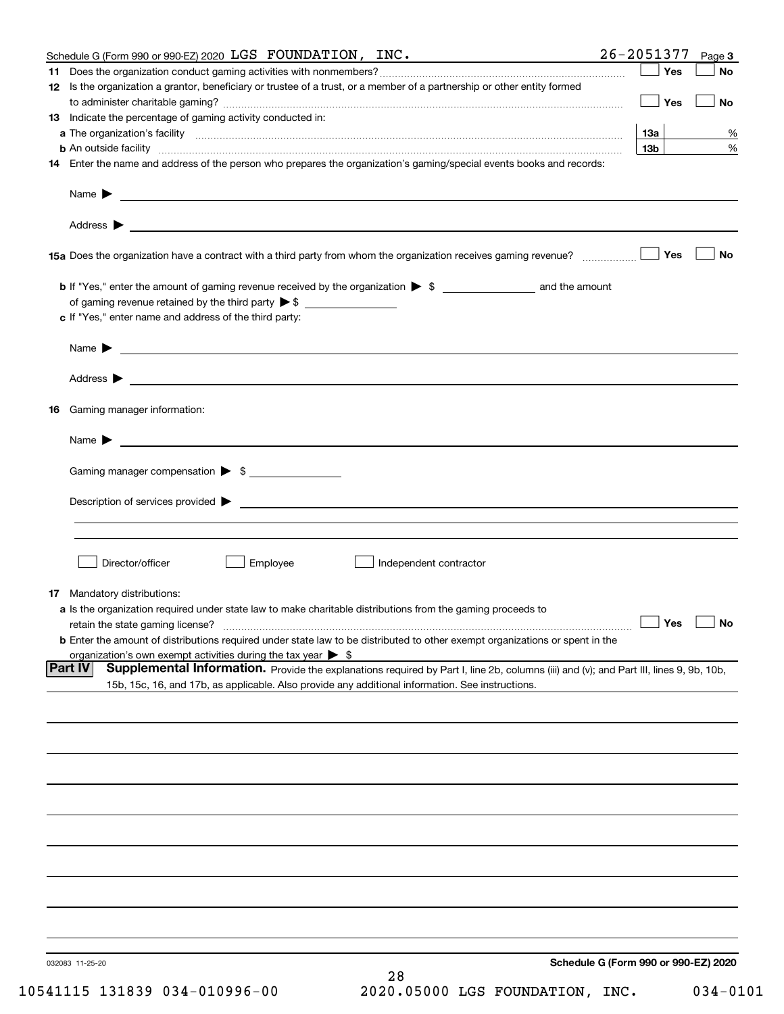|    | Schedule G (Form 990 or 990-EZ) 2020 LGS FOUNDATION, INC.                                                                                                     | 26-2051377      | Page 3    |
|----|---------------------------------------------------------------------------------------------------------------------------------------------------------------|-----------------|-----------|
| 11 |                                                                                                                                                               | Yes             | No        |
|    | 12 Is the organization a grantor, beneficiary or trustee of a trust, or a member of a partnership or other entity formed                                      |                 |           |
|    |                                                                                                                                                               | Yes             | No        |
|    | 13 Indicate the percentage of gaming activity conducted in:                                                                                                   |                 |           |
|    |                                                                                                                                                               | <u>13a</u>      | %         |
|    | <b>b</b> An outside facility <i>www.communicality www.communicality.communicality www.communicality www.communicality.communicality www.communicality.com</i> | 13 <sub>b</sub> | %         |
|    | 14 Enter the name and address of the person who prepares the organization's gaming/special events books and records:                                          |                 |           |
|    |                                                                                                                                                               |                 |           |
|    |                                                                                                                                                               |                 |           |
|    |                                                                                                                                                               |                 |           |
|    |                                                                                                                                                               |                 |           |
|    |                                                                                                                                                               |                 |           |
|    |                                                                                                                                                               | Yes             | <b>No</b> |
|    |                                                                                                                                                               |                 |           |
|    |                                                                                                                                                               |                 |           |
|    | b If "Yes," enter the amount of gaming revenue received by the organization > \$ ____________________ and the amount                                          |                 |           |
|    |                                                                                                                                                               |                 |           |
|    | c If "Yes," enter name and address of the third party:                                                                                                        |                 |           |
|    |                                                                                                                                                               |                 |           |
|    | Name $\blacktriangleright$ $\bot$                                                                                                                             |                 |           |
|    |                                                                                                                                                               |                 |           |
|    |                                                                                                                                                               |                 |           |
|    |                                                                                                                                                               |                 |           |
| 16 | Gaming manager information:                                                                                                                                   |                 |           |
|    |                                                                                                                                                               |                 |           |
|    | Name $\blacktriangleright$ $\frac{1}{\sqrt{1-\frac{1}{2}}\left(1-\frac{1}{2}\right)}$                                                                         |                 |           |
|    |                                                                                                                                                               |                 |           |
|    | Gaming manager compensation > \$                                                                                                                              |                 |           |
|    |                                                                                                                                                               |                 |           |
|    |                                                                                                                                                               |                 |           |
|    |                                                                                                                                                               |                 |           |
|    |                                                                                                                                                               |                 |           |
|    |                                                                                                                                                               |                 |           |
|    | Director/officer<br>Employee<br>Independent contractor                                                                                                        |                 |           |
|    |                                                                                                                                                               |                 |           |
|    | 17 Mandatory distributions:                                                                                                                                   |                 |           |
|    | a Is the organization required under state law to make charitable distributions from the gaming proceeds to                                                   |                 |           |
|    | $\Box$ Yes $\Box$ No<br>retain the state gaming license?                                                                                                      |                 |           |
|    | <b>b</b> Enter the amount of distributions required under state law to be distributed to other exempt organizations or spent in the                           |                 |           |
|    | organization's own exempt activities during the tax year $\triangleright$ \$                                                                                  |                 |           |
|    | Part IV<br>Supplemental Information. Provide the explanations required by Part I, line 2b, columns (iii) and (v); and Part III, lines 9, 9b, 10b,             |                 |           |
|    | 15b, 15c, 16, and 17b, as applicable. Also provide any additional information. See instructions.                                                              |                 |           |
|    |                                                                                                                                                               |                 |           |
|    |                                                                                                                                                               |                 |           |
|    |                                                                                                                                                               |                 |           |
|    |                                                                                                                                                               |                 |           |
|    |                                                                                                                                                               |                 |           |
|    |                                                                                                                                                               |                 |           |
|    |                                                                                                                                                               |                 |           |
|    |                                                                                                                                                               |                 |           |
|    |                                                                                                                                                               |                 |           |
|    |                                                                                                                                                               |                 |           |
|    |                                                                                                                                                               |                 |           |
|    |                                                                                                                                                               |                 |           |
|    |                                                                                                                                                               |                 |           |
|    |                                                                                                                                                               |                 |           |
|    |                                                                                                                                                               |                 |           |
|    |                                                                                                                                                               |                 |           |
|    |                                                                                                                                                               |                 |           |
|    |                                                                                                                                                               |                 |           |
|    | Schedule G (Form 990 or 990-EZ) 2020<br>032083 11-25-20<br>28                                                                                                 |                 |           |
|    |                                                                                                                                                               |                 |           |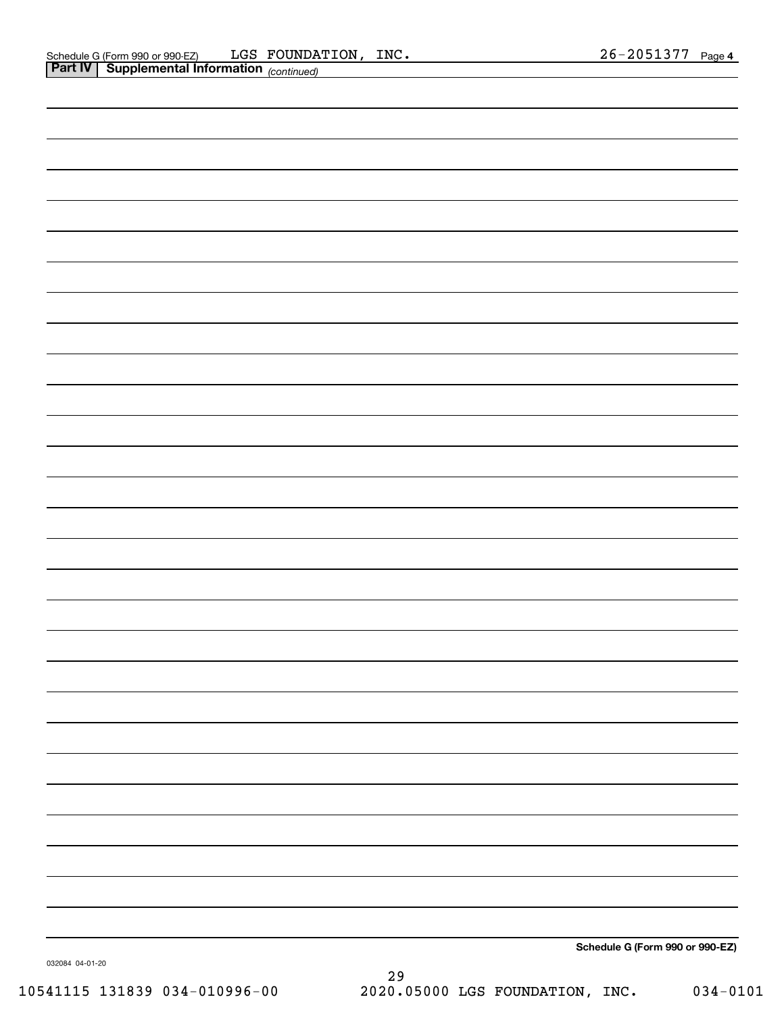| 032084 04-01-20 | Schedule G (Form 990 or 990-EZ) |
|-----------------|---------------------------------|
|                 |                                 |
|                 |                                 |
|                 |                                 |
|                 |                                 |
|                 |                                 |
|                 |                                 |
|                 |                                 |
|                 |                                 |
|                 |                                 |
|                 |                                 |
|                 |                                 |
|                 |                                 |
|                 |                                 |
|                 |                                 |
|                 |                                 |
|                 |                                 |
|                 |                                 |
|                 |                                 |
|                 |                                 |
|                 |                                 |
|                 |                                 |
|                 |                                 |
|                 |                                 |
|                 |                                 |
|                 |                                 |
|                 |                                 |
|                 |                                 |
|                 |                                 |
|                 |                                 |
|                 |                                 |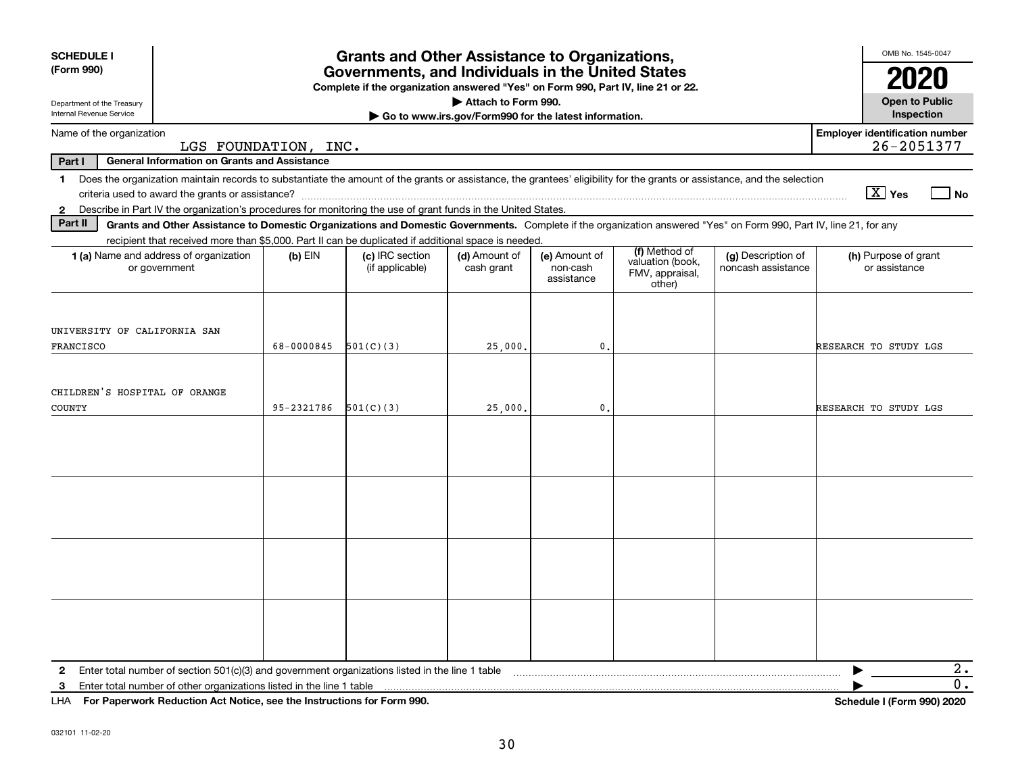| <b>SCHEDULE I</b><br>(Form 990)                                                           | <b>Grants and Other Assistance to Organizations,</b><br>Governments, and Individuals in the United States<br>Complete if the organization answered "Yes" on Form 990, Part IV, line 21 or 22. |            |                                                                                                                                                                                                                                                                           |                             |                                         |                                                                |                                          | OMB No. 1545-0047<br>2020                           |
|-------------------------------------------------------------------------------------------|-----------------------------------------------------------------------------------------------------------------------------------------------------------------------------------------------|------------|---------------------------------------------------------------------------------------------------------------------------------------------------------------------------------------------------------------------------------------------------------------------------|-----------------------------|-----------------------------------------|----------------------------------------------------------------|------------------------------------------|-----------------------------------------------------|
| Department of the Treasury                                                                |                                                                                                                                                                                               |            |                                                                                                                                                                                                                                                                           | Attach to Form 990.         |                                         |                                                                |                                          | <b>Open to Public</b>                               |
| Internal Revenue Service<br>Go to www.irs.gov/Form990 for the latest information.         |                                                                                                                                                                                               |            |                                                                                                                                                                                                                                                                           |                             |                                         |                                                                |                                          | Inspection                                          |
| Name of the organization                                                                  | LGS FOUNDATION, INC.                                                                                                                                                                          |            |                                                                                                                                                                                                                                                                           |                             |                                         |                                                                |                                          | <b>Employer identification number</b><br>26-2051377 |
| Part I                                                                                    | <b>General Information on Grants and Assistance</b>                                                                                                                                           |            |                                                                                                                                                                                                                                                                           |                             |                                         |                                                                |                                          |                                                     |
| $\mathbf 1$                                                                               |                                                                                                                                                                                               |            | Does the organization maintain records to substantiate the amount of the grants or assistance, the grantees' eligibility for the grants or assistance, and the selection                                                                                                  |                             |                                         |                                                                |                                          | $\boxed{\text{X}}$ Yes<br>_l No                     |
| $\mathbf{2}$<br>Part II                                                                   |                                                                                                                                                                                               |            | Describe in Part IV the organization's procedures for monitoring the use of grant funds in the United States.                                                                                                                                                             |                             |                                         |                                                                |                                          |                                                     |
|                                                                                           |                                                                                                                                                                                               |            | Grants and Other Assistance to Domestic Organizations and Domestic Governments. Complete if the organization answered "Yes" on Form 990, Part IV, line 21, for any<br>recipient that received more than \$5,000. Part II can be duplicated if additional space is needed. |                             |                                         |                                                                |                                          |                                                     |
| 1 (a) Name and address of organization<br>or government                                   |                                                                                                                                                                                               | $(b)$ EIN  | (c) IRC section<br>(if applicable)                                                                                                                                                                                                                                        | (d) Amount of<br>cash grant | (e) Amount of<br>non-cash<br>assistance | (f) Method of<br>valuation (book,<br>FMV, appraisal,<br>other) | (g) Description of<br>noncash assistance | (h) Purpose of grant<br>or assistance               |
| UNIVERSITY OF CALIFORNIA SAN<br>FRANCISCO                                                 |                                                                                                                                                                                               | 68-0000845 | 501(C)(3)                                                                                                                                                                                                                                                                 | 25,000.                     | $\mathbf{0}$                            |                                                                |                                          | RESEARCH TO STUDY LGS                               |
| CHILDREN'S HOSPITAL OF ORANGE<br><b>COUNTY</b>                                            |                                                                                                                                                                                               | 95-2321786 | 501(C)(3)                                                                                                                                                                                                                                                                 | 25,000.                     | 0.                                      |                                                                |                                          | RESEARCH TO STUDY LGS                               |
|                                                                                           |                                                                                                                                                                                               |            |                                                                                                                                                                                                                                                                           |                             |                                         |                                                                |                                          |                                                     |
|                                                                                           |                                                                                                                                                                                               |            |                                                                                                                                                                                                                                                                           |                             |                                         |                                                                |                                          |                                                     |
|                                                                                           |                                                                                                                                                                                               |            |                                                                                                                                                                                                                                                                           |                             |                                         |                                                                |                                          |                                                     |
|                                                                                           |                                                                                                                                                                                               |            |                                                                                                                                                                                                                                                                           |                             |                                         |                                                                |                                          |                                                     |
|                                                                                           |                                                                                                                                                                                               |            | Enter total number of section $501(c)(3)$ and government organizations listed in the line 1 table                                                                                                                                                                         |                             |                                         |                                                                |                                          | 2.                                                  |
| $\mathbf{2}$<br>Enter total number of other organizations listed in the line 1 table<br>3 |                                                                                                                                                                                               |            |                                                                                                                                                                                                                                                                           |                             |                                         |                                                                |                                          | О.                                                  |
| LHA For Paperwork Reduction Act Notice, see the Instructions for Form 990.                |                                                                                                                                                                                               |            |                                                                                                                                                                                                                                                                           |                             |                                         |                                                                |                                          | Schedule I (Form 990) 2020                          |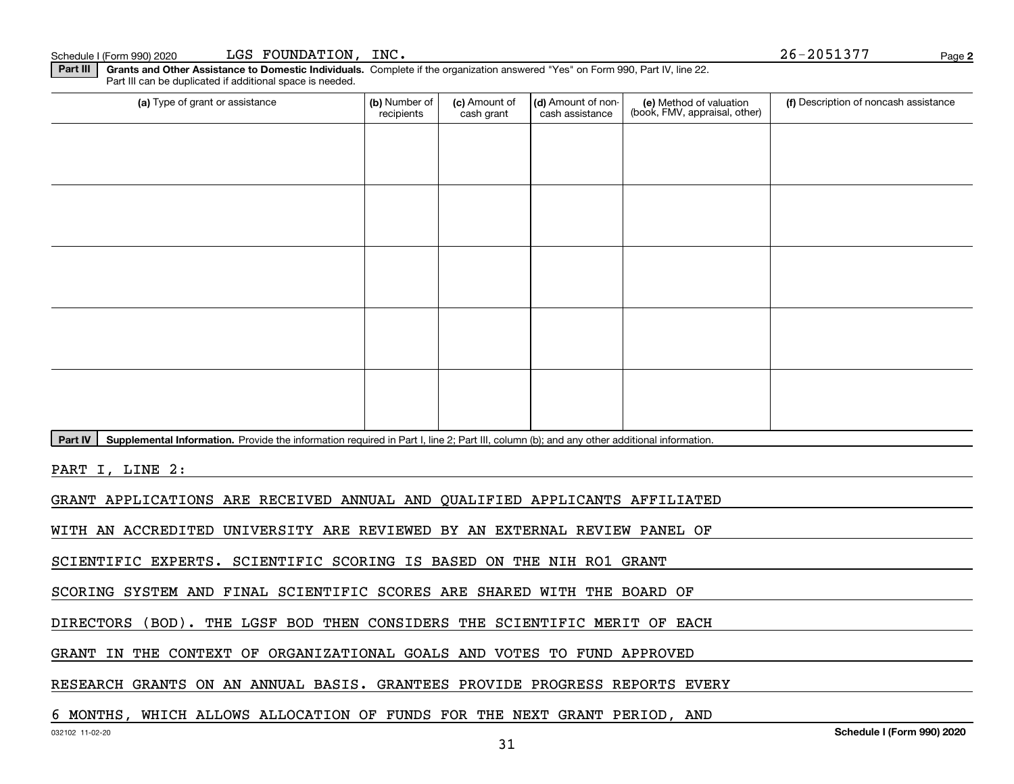Part IV | Supplemental Information. Provide the information required in Part I, line 2; Part III, column (b); and any other additional information. PART I, LINE 2: GRANT APPLICATIONS ARE RECEIVED ANNUAL AND QUALIFIED APPLICANTS AFFILIATED WITH AN ACCREDITED UNIVERSITY ARE REVIEWED BY AN EXTERNAL REVIEW PANEL OF SCIENTIFIC EXPERTS. SCIENTIFIC SCORING IS BASED ON THE NIH RO1 GRANT SCORING SYSTEM AND FINAL SCIENTIFIC SCORES ARE SHARED WITH THE BOARD OF DIRECTORS (BOD). THE LGSF BOD THEN CONSIDERS THE SCIENTIFIC MERIT OF EACH GRANT IN THE CONTEXT OF ORGANIZATIONAL GOALS AND VOTES TO FUND APPROVED RESEARCH GRANTS ON AN ANNUAL BASIS. GRANTEES PROVIDE PROGRESS REPORTS EVERY 6 MONTHS, WHICH ALLOWS ALLOCATION OF FUNDS FOR THE NEXT GRANT PERIOD, AND

31

**Part III | Grants and Other Assistance to Domestic Individuals. Complete if the organization answered "Yes" on Form 990, Part IV, line 22.** Schedule I (Form 990) 2020  ${\rm LGS}$   ${\rm FOUNDATION}$  ,  ${\rm INC.}$   ${\rm NCC.}$ Part III can be duplicated if additional space is needed.

recipients

(a) Type of grant or assistance **Audity Commet Audio Commet Commet Commet Commet Commet Commet Commet Commet Comme** 

(c) Amount of cash grant

(d) Amount of noncash assistance

**(f)** Description of noncash assistance

(e) Method of valuation (book, FMV, appraisal, other)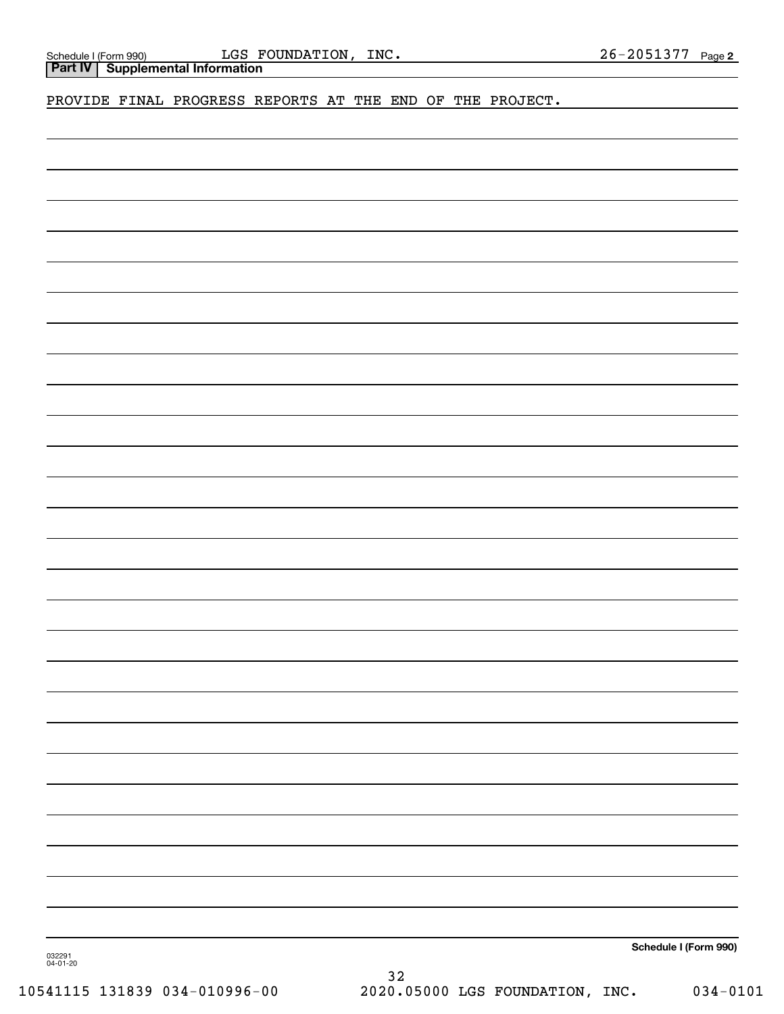| Schedule I (Form 990)                     | LGS FOUNDATION, | INC. | 26-2051377 | Page 2 |
|-------------------------------------------|-----------------|------|------------|--------|
| <b>Part IV   Supplemental Information</b> |                 |      |            |        |

PROVIDE FINAL PROGRESS REPORTS AT THE END OF THE PROJECT.

**Schedule I (Form 990)**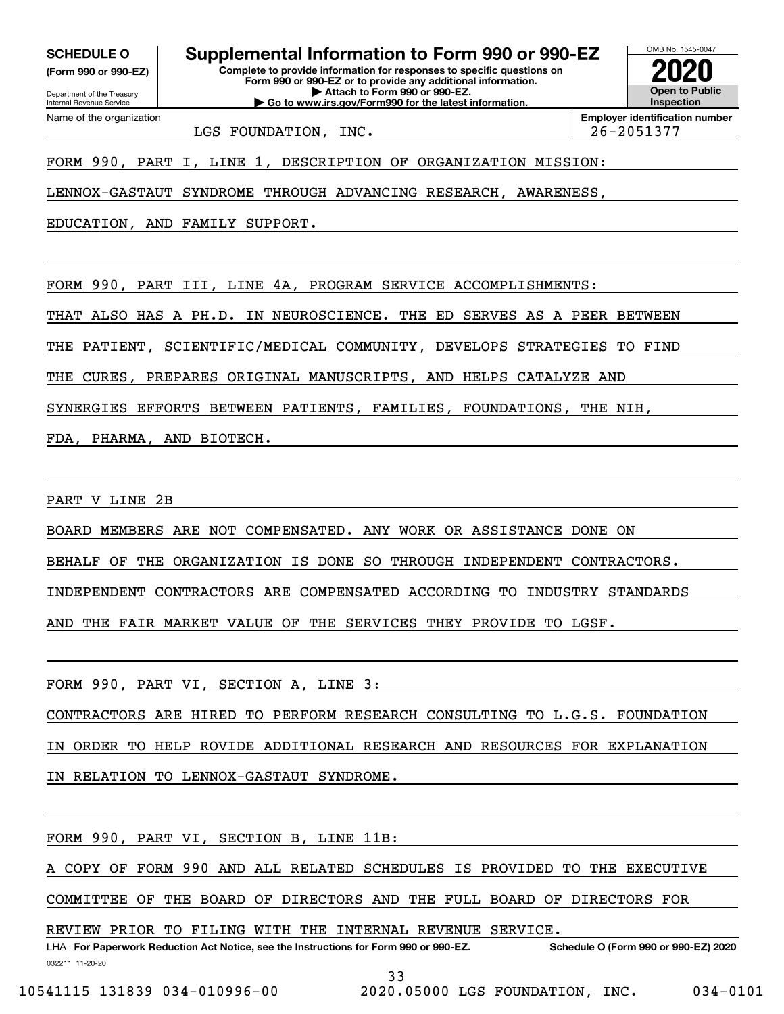**(Form 990 or 990-EZ)**

Department of the Treasury Internal Revenue Service Name of the organization

**Complete to provide information for responses to specific questions on Form 990 or 990-EZ or to provide any additional information. | Attach to Form 990 or 990-EZ. | Go to www.irs.gov/Form990 for the latest information. SCHEDULE O Supplemental Information to Form 990 or 990-EZ**



LGS FOUNDATION, INC.  $\vert$  26-2051377

**Employer identification number**

FORM 990, PART I, LINE 1, DESCRIPTION OF ORGANIZATION MISSION:

LENNOX-GASTAUT SYNDROME THROUGH ADVANCING RESEARCH, AWARENESS,

EDUCATION, AND FAMILY SUPPORT.

FORM 990, PART III, LINE 4A, PROGRAM SERVICE ACCOMPLISHMENTS:

THAT ALSO HAS A PH.D. IN NEUROSCIENCE. THE ED SERVES AS A PEER BETWEEN

THE PATIENT, SCIENTIFIC/MEDICAL COMMUNITY, DEVELOPS STRATEGIES TO FIND

THE CURES, PREPARES ORIGINAL MANUSCRIPTS, AND HELPS CATALYZE AND

SYNERGIES EFFORTS BETWEEN PATIENTS, FAMILIES, FOUNDATIONS, THE NIH,

FDA, PHARMA, AND BIOTECH.

PART V LINE 2B

BOARD MEMBERS ARE NOT COMPENSATED. ANY WORK OR ASSISTANCE DONE ON

BEHALF OF THE ORGANIZATION IS DONE SO THROUGH INDEPENDENT CONTRACTORS.

INDEPENDENT CONTRACTORS ARE COMPENSATED ACCORDING TO INDUSTRY STANDARDS

AND THE FAIR MARKET VALUE OF THE SERVICES THEY PROVIDE TO LGSF.

FORM 990, PART VI, SECTION A, LINE 3:

CONTRACTORS ARE HIRED TO PERFORM RESEARCH CONSULTING TO L.G.S. FOUNDATION

IN ORDER TO HELP ROVIDE ADDITIONAL RESEARCH AND RESOURCES FOR EXPLANATION

IN RELATION TO LENNOX-GASTAUT SYNDROME.

FORM 990, PART VI, SECTION B, LINE 11B:

A COPY OF FORM 990 AND ALL RELATED SCHEDULES IS PROVIDED TO THE EXECUTIVE

COMMITTEE OF THE BOARD OF DIRECTORS AND THE FULL BOARD OF DIRECTORS FOR

REVIEW PRIOR TO FILING WITH THE INTERNAL REVENUE SERVICE.

032211 11-20-20 LHA For Paperwork Reduction Act Notice, see the Instructions for Form 990 or 990-EZ. Schedule O (Form 990 or 990-EZ) 2020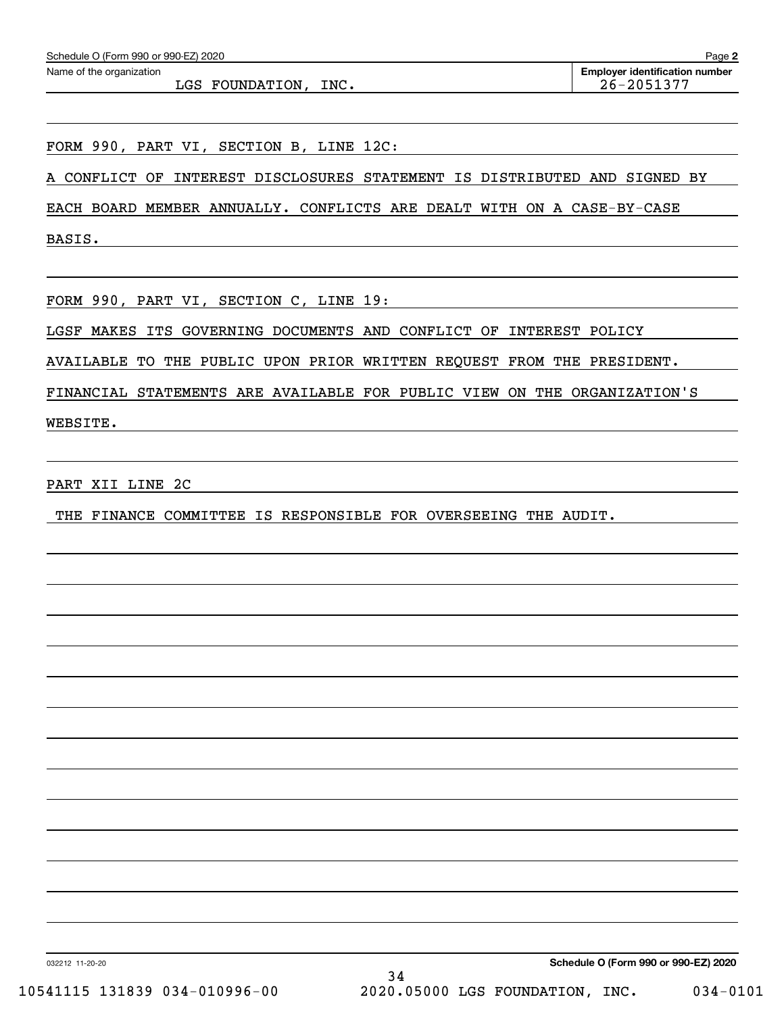| Schedule O (Form 990 or 990-EZ) 2020 |  |  |  |  |
|--------------------------------------|--|--|--|--|
|--------------------------------------|--|--|--|--|

LGS FOUNDATION, INC. 26-2051377

FORM 990, PART VI, SECTION B, LINE 12C:

A CONFLICT OF INTEREST DISCLOSURES STATEMENT IS DISTRIBUTED AND SIGNED BY

EACH BOARD MEMBER ANNUALLY. CONFLICTS ARE DEALT WITH ON A CASE-BY-CASE

BASIS.

FORM 990, PART VI, SECTION C, LINE 19:

LGSF MAKES ITS GOVERNING DOCUMENTS AND CONFLICT OF INTEREST POLICY

AVAILABLE TO THE PUBLIC UPON PRIOR WRITTEN REQUEST FROM THE PRESIDENT.

FINANCIAL STATEMENTS ARE AVAILABLE FOR PUBLIC VIEW ON THE ORGANIZATION'S

WEBSITE.

PART XII LINE 2C

THE FINANCE COMMITTEE IS RESPONSIBLE FOR OVERSEEING THE AUDIT.

032212 11-20-20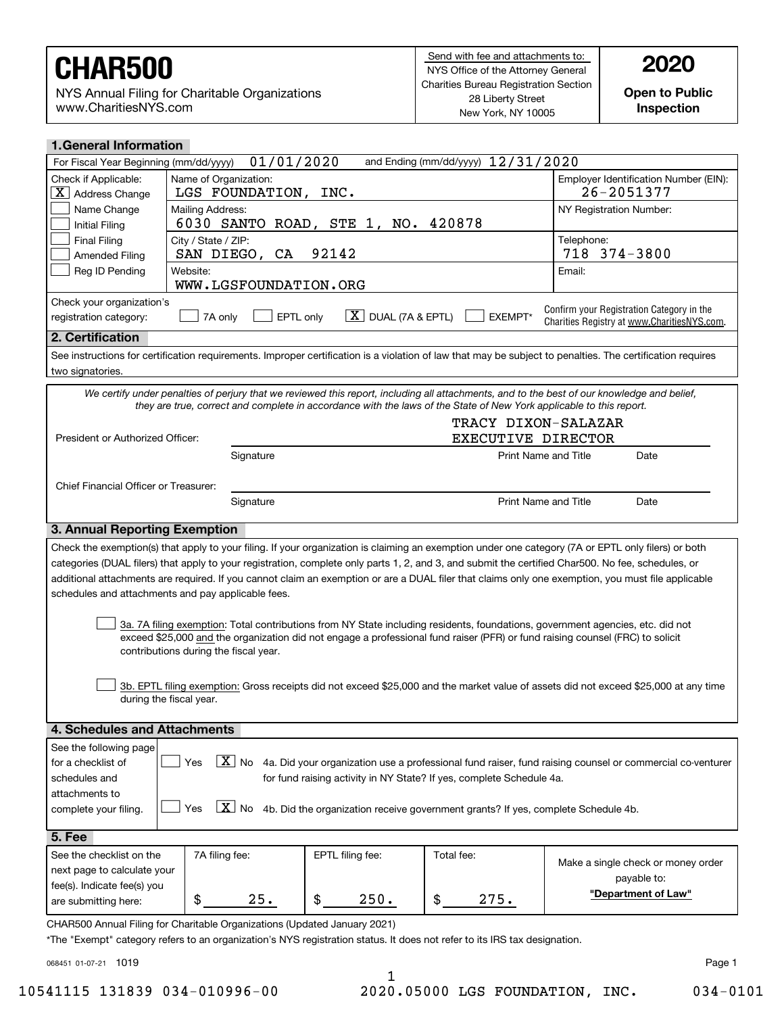NYS Annual Filing for Charitable Organizations www.CharitiesNYS.com

**Open to Public Inspection**

| <b>1.General Information</b>                                                                                                                                                                                                                                                                                                                                                                                                                                                                                                                                                                                                                                                                                                                                                                                                                                                                                                                                                                         |                                                                                                                     |                      |                                           |                                                                                                                                                            |  |  |  |
|------------------------------------------------------------------------------------------------------------------------------------------------------------------------------------------------------------------------------------------------------------------------------------------------------------------------------------------------------------------------------------------------------------------------------------------------------------------------------------------------------------------------------------------------------------------------------------------------------------------------------------------------------------------------------------------------------------------------------------------------------------------------------------------------------------------------------------------------------------------------------------------------------------------------------------------------------------------------------------------------------|---------------------------------------------------------------------------------------------------------------------|----------------------|-------------------------------------------|------------------------------------------------------------------------------------------------------------------------------------------------------------|--|--|--|
| For Fiscal Year Beginning (mm/dd/yyyy)                                                                                                                                                                                                                                                                                                                                                                                                                                                                                                                                                                                                                                                                                                                                                                                                                                                                                                                                                               | 01/01/2020                                                                                                          |                      | and Ending (mm/dd/yyyy) $12/31/2020$      |                                                                                                                                                            |  |  |  |
| Check if Applicable:<br>$\overline{\mathbf{X}}$ Address Change                                                                                                                                                                                                                                                                                                                                                                                                                                                                                                                                                                                                                                                                                                                                                                                                                                                                                                                                       | Name of Organization:<br>LGS FOUNDATION, INC.                                                                       |                      |                                           | Employer Identification Number (EIN):<br>26-2051377                                                                                                        |  |  |  |
| Name Change<br><b>Initial Filing</b>                                                                                                                                                                                                                                                                                                                                                                                                                                                                                                                                                                                                                                                                                                                                                                                                                                                                                                                                                                 | Mailing Address:<br>NY Registration Number:<br>6030 SANTO ROAD, STE 1, NO. 420878                                   |                      |                                           |                                                                                                                                                            |  |  |  |
| <b>Final Filing</b><br><b>Amended Filing</b>                                                                                                                                                                                                                                                                                                                                                                                                                                                                                                                                                                                                                                                                                                                                                                                                                                                                                                                                                         | City / State / ZIP:<br>SAN DIEGO, CA 92142                                                                          |                      |                                           | Telephone:<br>718 374-3800                                                                                                                                 |  |  |  |
| Reg ID Pending                                                                                                                                                                                                                                                                                                                                                                                                                                                                                                                                                                                                                                                                                                                                                                                                                                                                                                                                                                                       | Website:<br>WWW.LGSFOUNDATION.ORG                                                                                   |                      |                                           | Email:                                                                                                                                                     |  |  |  |
| Check your organization's                                                                                                                                                                                                                                                                                                                                                                                                                                                                                                                                                                                                                                                                                                                                                                                                                                                                                                                                                                            |                                                                                                                     |                      |                                           |                                                                                                                                                            |  |  |  |
| registration category:                                                                                                                                                                                                                                                                                                                                                                                                                                                                                                                                                                                                                                                                                                                                                                                                                                                                                                                                                                               | EPTL only<br>7A only                                                                                                | $X$ DUAL (7A & EPTL) | EXEMPT*                                   | Confirm your Registration Category in the<br>Charities Registry at www.CharitiesNYS.com.                                                                   |  |  |  |
| 2. Certification                                                                                                                                                                                                                                                                                                                                                                                                                                                                                                                                                                                                                                                                                                                                                                                                                                                                                                                                                                                     |                                                                                                                     |                      |                                           |                                                                                                                                                            |  |  |  |
| two signatories.                                                                                                                                                                                                                                                                                                                                                                                                                                                                                                                                                                                                                                                                                                                                                                                                                                                                                                                                                                                     |                                                                                                                     |                      |                                           | See instructions for certification requirements. Improper certification is a violation of law that may be subject to penalties. The certification requires |  |  |  |
|                                                                                                                                                                                                                                                                                                                                                                                                                                                                                                                                                                                                                                                                                                                                                                                                                                                                                                                                                                                                      | they are true, correct and complete in accordance with the laws of the State of New York applicable to this report. |                      |                                           | We certify under penalties of perjury that we reviewed this report, including all attachments, and to the best of our knowledge and belief,                |  |  |  |
| President or Authorized Officer:                                                                                                                                                                                                                                                                                                                                                                                                                                                                                                                                                                                                                                                                                                                                                                                                                                                                                                                                                                     |                                                                                                                     |                      | TRACY DIXON-SALAZAR<br>EXECUTIVE DIRECTOR |                                                                                                                                                            |  |  |  |
|                                                                                                                                                                                                                                                                                                                                                                                                                                                                                                                                                                                                                                                                                                                                                                                                                                                                                                                                                                                                      | Signature                                                                                                           |                      | Print Name and Title                      | Date                                                                                                                                                       |  |  |  |
| Chief Financial Officer or Treasurer:                                                                                                                                                                                                                                                                                                                                                                                                                                                                                                                                                                                                                                                                                                                                                                                                                                                                                                                                                                |                                                                                                                     |                      |                                           |                                                                                                                                                            |  |  |  |
|                                                                                                                                                                                                                                                                                                                                                                                                                                                                                                                                                                                                                                                                                                                                                                                                                                                                                                                                                                                                      | Signature                                                                                                           |                      | Print Name and Title                      | Date                                                                                                                                                       |  |  |  |
| 3. Annual Reporting Exemption                                                                                                                                                                                                                                                                                                                                                                                                                                                                                                                                                                                                                                                                                                                                                                                                                                                                                                                                                                        |                                                                                                                     |                      |                                           |                                                                                                                                                            |  |  |  |
| Check the exemption(s) that apply to your filing. If your organization is claiming an exemption under one category (7A or EPTL only filers) or both<br>categories (DUAL filers) that apply to your registration, complete only parts 1, 2, and 3, and submit the certified Char500. No fee, schedules, or<br>additional attachments are required. If you cannot claim an exemption or are a DUAL filer that claims only one exemption, you must file applicable<br>schedules and attachments and pay applicable fees.<br>3a. 7A filing exemption: Total contributions from NY State including residents, foundations, government agencies, etc. did not<br>exceed \$25,000 and the organization did not engage a professional fund raiser (PFR) or fund raising counsel (FRC) to solicit<br>contributions during the fiscal year.<br>3b. EPTL filing exemption: Gross receipts did not exceed \$25,000 and the market value of assets did not exceed \$25,000 at any time<br>during the fiscal year. |                                                                                                                     |                      |                                           |                                                                                                                                                            |  |  |  |
| 4. Schedules and Attachments                                                                                                                                                                                                                                                                                                                                                                                                                                                                                                                                                                                                                                                                                                                                                                                                                                                                                                                                                                         |                                                                                                                     |                      |                                           |                                                                                                                                                            |  |  |  |
| See the following page<br>$\boxed{\textbf{X}}$ No 4a. Did your organization use a professional fund raiser, fund raising counsel or commercial co-venturer<br>Yes<br>for a checklist of<br>for fund raising activity in NY State? If yes, complete Schedule 4a.<br>schedules and<br>attachments to<br>$X$ No<br>4b. Did the organization receive government grants? If yes, complete Schedule 4b.<br>Yes<br>complete your filing.                                                                                                                                                                                                                                                                                                                                                                                                                                                                                                                                                                    |                                                                                                                     |                      |                                           |                                                                                                                                                            |  |  |  |
| 5. Fee                                                                                                                                                                                                                                                                                                                                                                                                                                                                                                                                                                                                                                                                                                                                                                                                                                                                                                                                                                                               |                                                                                                                     |                      |                                           |                                                                                                                                                            |  |  |  |
| See the checklist on the<br>next page to calculate your<br>fee(s). Indicate fee(s) you                                                                                                                                                                                                                                                                                                                                                                                                                                                                                                                                                                                                                                                                                                                                                                                                                                                                                                               | 7A filing fee:                                                                                                      | EPTL filing fee:     | Total fee:                                | Make a single check or money order<br>payable to:                                                                                                          |  |  |  |
| are submitting here:                                                                                                                                                                                                                                                                                                                                                                                                                                                                                                                                                                                                                                                                                                                                                                                                                                                                                                                                                                                 | 25.<br>\$                                                                                                           | \$<br>250.           | \$<br>275.                                | "Department of Law"                                                                                                                                        |  |  |  |
| CHAR500 Annual Filing for Charitable Organizations (Updated January 2021)<br>*The "Exempt" category refers to an organization's NYS registration status. It does not refer to its IRS tax designation.                                                                                                                                                                                                                                                                                                                                                                                                                                                                                                                                                                                                                                                                                                                                                                                               |                                                                                                                     |                      |                                           |                                                                                                                                                            |  |  |  |

1

068451 01-07-21 1019

Page 1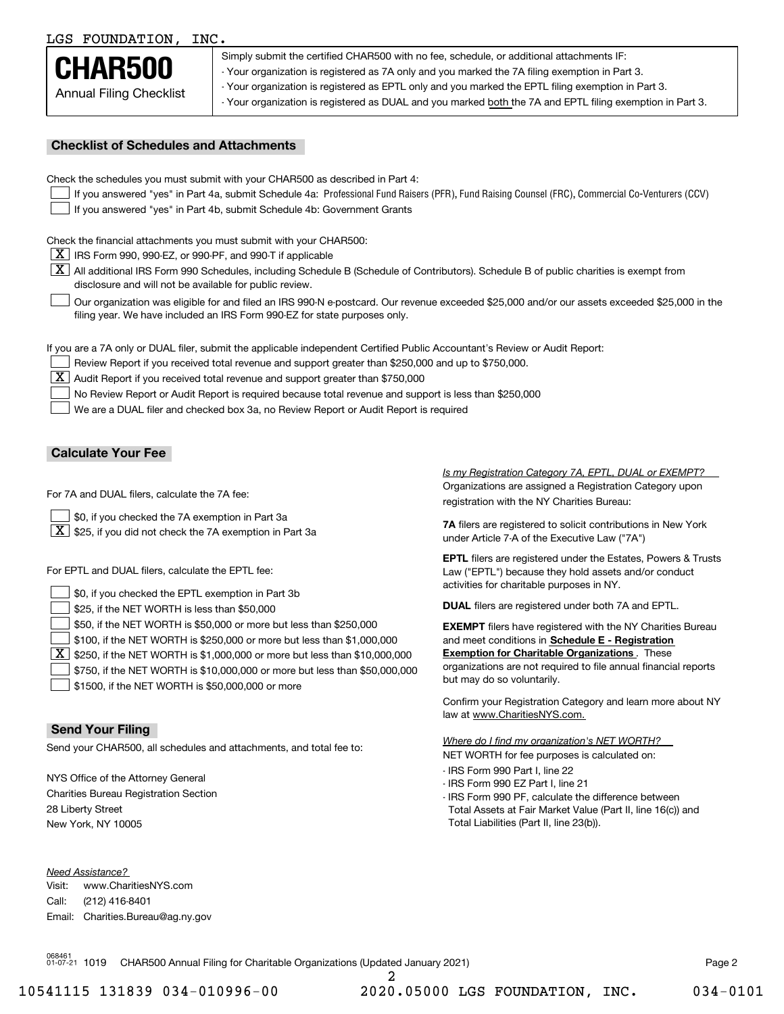# LGS FOUNDATION, INC.



Simply submit the certified CHAR500 with no fee, schedule, or additional attachments IF:

- Your organization is registered as 7A only and you marked the 7A filing exemption in Part 3.

- Your organization is registered as EPTL only and you marked the EPTL filing exemption in Part 3.

- Your organization is registered as DUAL and you marked both the 7A and EPTL filing exemption in Part 3.

### **Checklist of Schedules and Attachments**

Check the schedules you must submit with your CHAR500 as described in Part 4:

- If you answered "yes" in Part 4a, submit Schedule 4a: Professional Fund Raisers (PFR), Fund Raising Counsel (FRC), Commercial Co-Venturers (CCV)  $\mathcal{L}^{\text{max}}$
- If you answered "yes" in Part 4b, submit Schedule 4b: Government Grants

Check the financial attachments you must submit with your CHAR500:

 $\boxed{\textbf{X}}$  IRS Form 990, 990-EZ, or 990-PF, and 990-T if applicable

 $\boxed{\textbf{X}}$  All additional IRS Form 990 Schedules, including Schedule B (Schedule of Contributors). Schedule B of public charities is exempt from disclosure and will not be available for public review.

Our organization was eligible for and filed an IRS 990-N e-postcard. Our revenue exceeded \$25,000 and/or our assets exceeded \$25,000 in the filing year. We have included an IRS Form 990-EZ for state purposes only.  $\mathcal{L}^{\text{max}}$ 

If you are a 7A only or DUAL filer, submit the applicable independent Certified Public Accountant's Review or Audit Report:

Review Report if you received total revenue and support greater than \$250,000 and up to \$750,000.

 $\boxed{\textbf{X}}$  Audit Report if you received total revenue and support greater than \$750,000

No Review Report or Audit Report is required because total revenue and support is less than \$250,000  $\mathcal{L}^{\text{max}}$ 

We are a DUAL filer and checked box 3a, no Review Report or Audit Report is required  $\mathcal{L}^{\text{max}}$ 

### **Calculate Your Fee**

For 7A and DUAL filers, calculate the 7A fee:

\$0, if you checked the 7A exemption in Part 3a  $\mathcal{L}^{\text{max}}$ 

 $\boxed{\textbf{X}}$  \$25, if you did not check the 7A exemption in Part 3a

For EPTL and DUAL filers, calculate the EPTL fee:

| $\Box$ \$0, if you checked the EPTL exemption in Part 3b                          | activities for charitable purposes in NY.<br><b>DUAL</b> filers are registered under both 7A and EPTL. |  |  |  |
|-----------------------------------------------------------------------------------|--------------------------------------------------------------------------------------------------------|--|--|--|
| $\Box$ \$25, if the NET WORTH is less than \$50,000                               |                                                                                                        |  |  |  |
| $\Box$ \$50, if the NET WORTH is \$50,000 or more but less than \$250,000         | <b>EXEMPT</b> filers have registered with the NY Charities Bureau                                      |  |  |  |
| $\Box$ \$100, if the NET WORTH is \$250,000 or more but less than \$1,000,000     | and meet conditions in Schedule E - Registration                                                       |  |  |  |
| $X$ \$250, if the NET WORTH is \$1,000,000 or more but less than \$10,000,000     | <b>Exemption for Charitable Organizations</b> . These                                                  |  |  |  |
| $\Box$ \$750, if the NET WORTH is \$10,000,000 or more but less than \$50,000,000 | organizations are not required to file annual financial reports                                        |  |  |  |
| $\rfloor$ \$1500, if the NET WORTH is \$50,000,000 or more                        | but may do so voluntarily.                                                                             |  |  |  |

### **Send Your Filing**

Send your CHAR500, all schedules and attachments, and total fee to:

NYS Office of the Attorney General Charities Bureau Registration Section 28 Liberty Street New York, NY 10005

*Need Assistance?*

Visit:Call:Email:Charities.Bureau@ag.ny.gov www.CharitiesNYS.com(212) 416-8401

Organizations are assigned a Registration Category upon registration with the NY Charities Bureau: *Is my Registration Category 7A, EPTL, DUAL or EXEMPT?* 

**7A** filers are registered to solicit contributions in New York under Article 7-A of the Executive Law ("7A")

**EPTL** filers are registered under the Estates, Powers & Trusts Law ("EPTL") because they hold assets and/or conduct activities for charitable purposes in NY.

Confirm your Registration Category and learn more about NY law at www.CharitiesNYS.com.

NET WORTH for fee purposes is calculated on: *Where do I find my organization's NET WORTH?*

- IRS Form 990 Part I, line 22
- IRS Form 990 EZ Part I, line 21
- IRS Form 990 PF, calculate the difference between Total Assets at Fair Market Value (Part II, line 16(c)) and Total Liabilities (Part II, line 23(b)).

068461 01-07-21 1019 CHAR500 Annual Filing for Charitable Organizations (Updated January 2021) Page 2